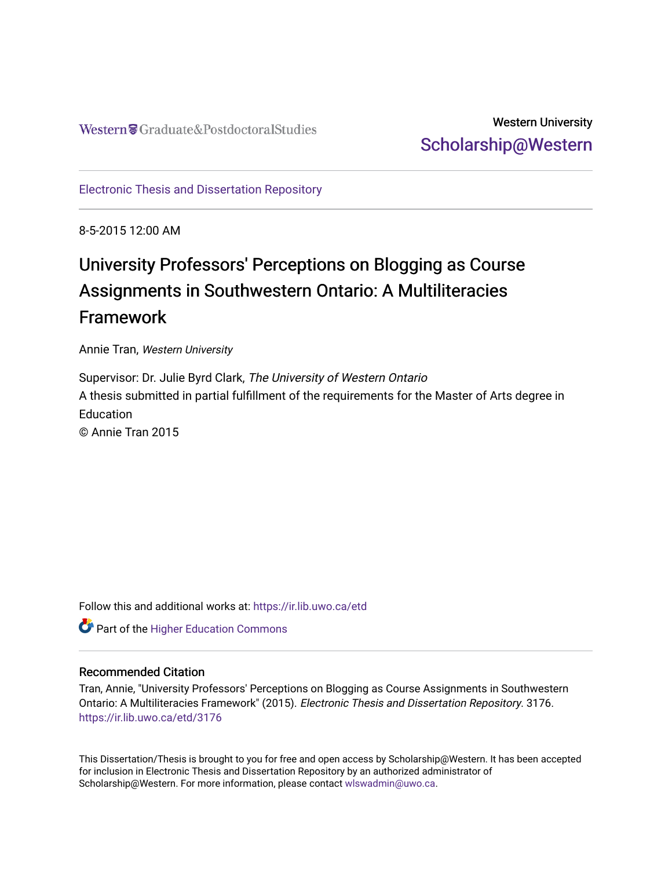## Western University [Scholarship@Western](https://ir.lib.uwo.ca/)

[Electronic Thesis and Dissertation Repository](https://ir.lib.uwo.ca/etd)

8-5-2015 12:00 AM

# University Professors' Perceptions on Blogging as Course Assignments in Southwestern Ontario: A Multiliteracies Framework

Annie Tran, Western University

Supervisor: Dr. Julie Byrd Clark, The University of Western Ontario A thesis submitted in partial fulfillment of the requirements for the Master of Arts degree in **Education** © Annie Tran 2015

Follow this and additional works at: [https://ir.lib.uwo.ca/etd](https://ir.lib.uwo.ca/etd?utm_source=ir.lib.uwo.ca%2Fetd%2F3176&utm_medium=PDF&utm_campaign=PDFCoverPages) 

**Part of the Higher Education Commons** 

#### Recommended Citation

Tran, Annie, "University Professors' Perceptions on Blogging as Course Assignments in Southwestern Ontario: A Multiliteracies Framework" (2015). Electronic Thesis and Dissertation Repository. 3176. [https://ir.lib.uwo.ca/etd/3176](https://ir.lib.uwo.ca/etd/3176?utm_source=ir.lib.uwo.ca%2Fetd%2F3176&utm_medium=PDF&utm_campaign=PDFCoverPages)

This Dissertation/Thesis is brought to you for free and open access by Scholarship@Western. It has been accepted for inclusion in Electronic Thesis and Dissertation Repository by an authorized administrator of Scholarship@Western. For more information, please contact [wlswadmin@uwo.ca.](mailto:wlswadmin@uwo.ca)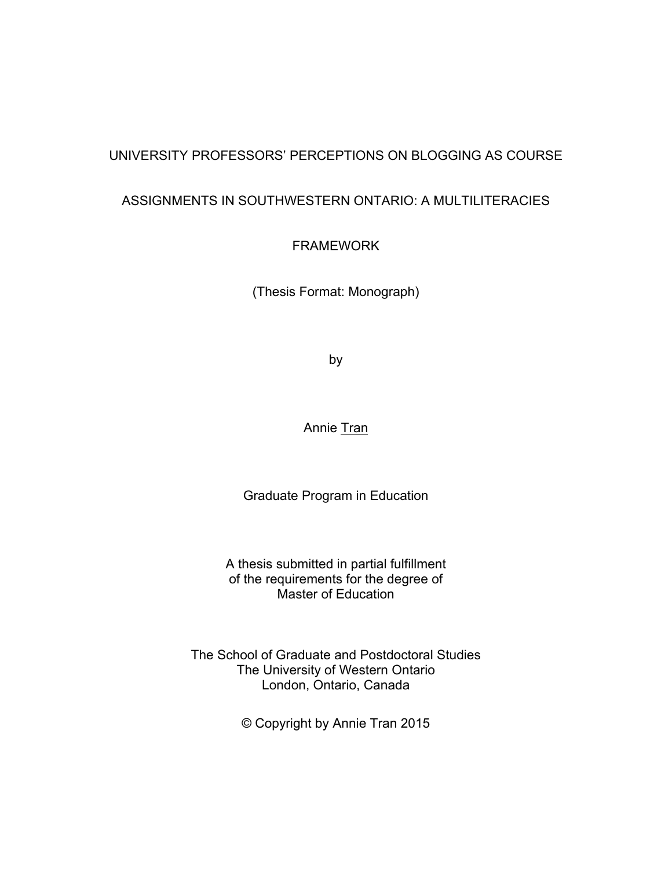### UNIVERSITY PROFESSORS' PERCEPTIONS ON BLOGGING AS COURSE

### ASSIGNMENTS IN SOUTHWESTERN ONTARIO: A MULTILITERACIES

FRAMEWORK

(Thesis Format: Monograph)

by

Annie Tran

Graduate Program in Education

A thesis submitted in partial fulfillment of the requirements for the degree of Master of Education

The School of Graduate and Postdoctoral Studies The University of Western Ontario London, Ontario, Canada

© Copyright by Annie Tran 2015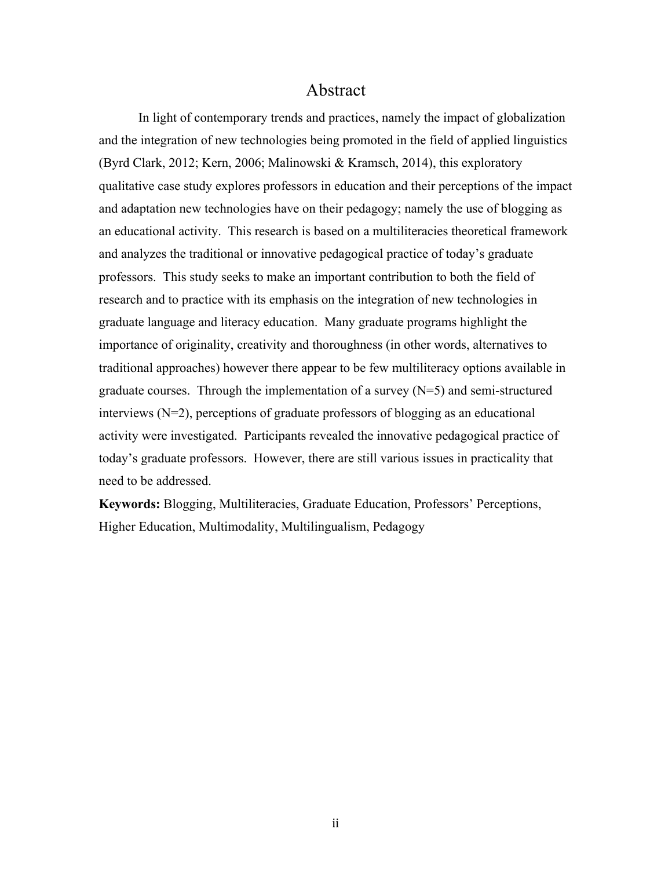### Abstract

In light of contemporary trends and practices, namely the impact of globalization and the integration of new technologies being promoted in the field of applied linguistics (Byrd Clark, 2012; Kern, 2006; Malinowski & Kramsch, 2014), this exploratory qualitative case study explores professors in education and their perceptions of the impact and adaptation new technologies have on their pedagogy; namely the use of blogging as an educational activity. This research is based on a multiliteracies theoretical framework and analyzes the traditional or innovative pedagogical practice of today's graduate professors. This study seeks to make an important contribution to both the field of research and to practice with its emphasis on the integration of new technologies in graduate language and literacy education. Many graduate programs highlight the importance of originality, creativity and thoroughness (in other words, alternatives to traditional approaches) however there appear to be few multiliteracy options available in graduate courses. Through the implementation of a survey  $(N=5)$  and semi-structured interviews (N=2), perceptions of graduate professors of blogging as an educational activity were investigated. Participants revealed the innovative pedagogical practice of today's graduate professors. However, there are still various issues in practicality that need to be addressed.

**Keywords:** Blogging, Multiliteracies, Graduate Education, Professors' Perceptions, Higher Education, Multimodality, Multilingualism, Pedagogy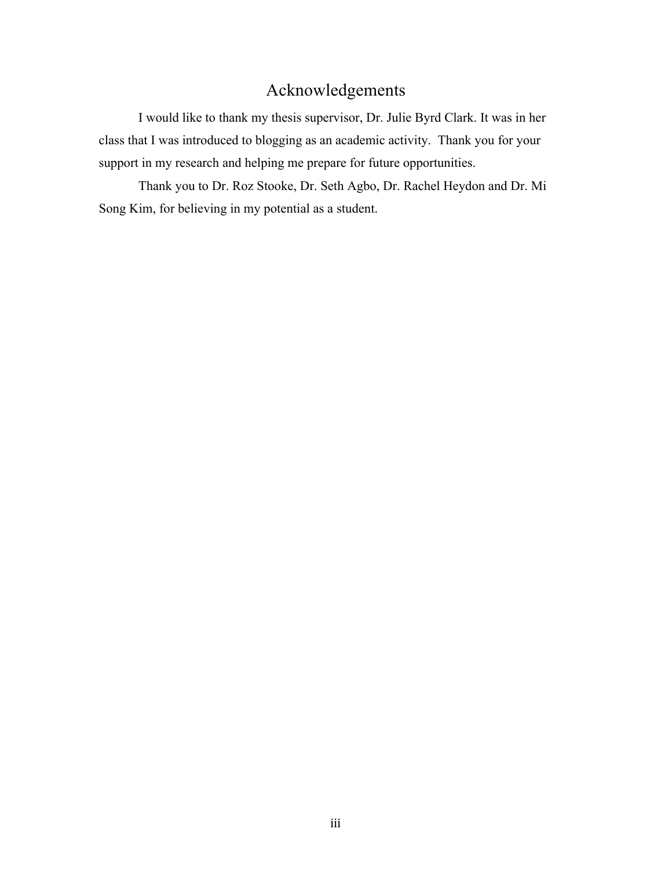## Acknowledgements

I would like to thank my thesis supervisor, Dr. Julie Byrd Clark. It was in her class that I was introduced to blogging as an academic activity. Thank you for your support in my research and helping me prepare for future opportunities.

Thank you to Dr. Roz Stooke, Dr. Seth Agbo, Dr. Rachel Heydon and Dr. Mi Song Kim, for believing in my potential as a student.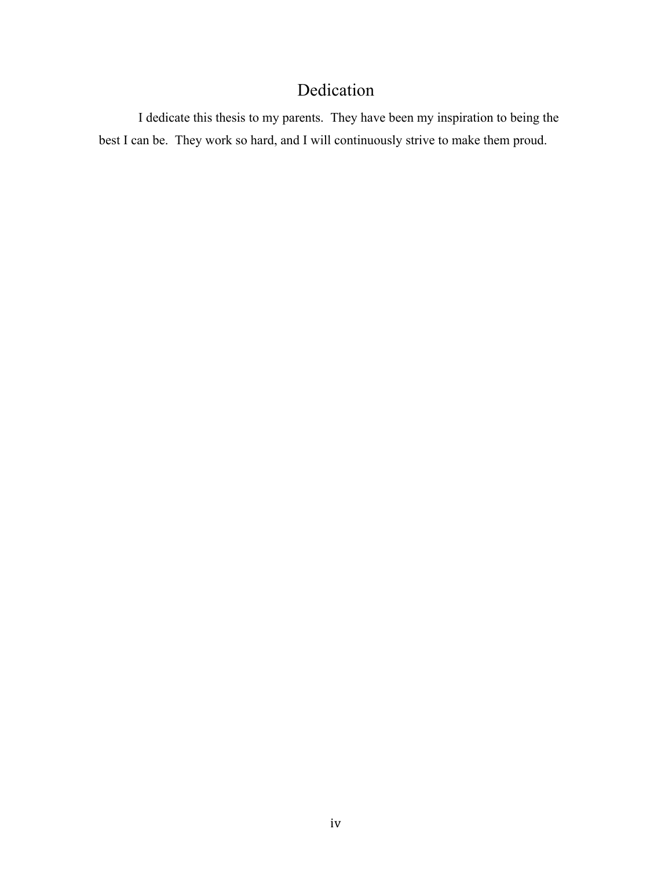## Dedication

I dedicate this thesis to my parents. They have been my inspiration to being the best I can be. They work so hard, and I will continuously strive to make them proud.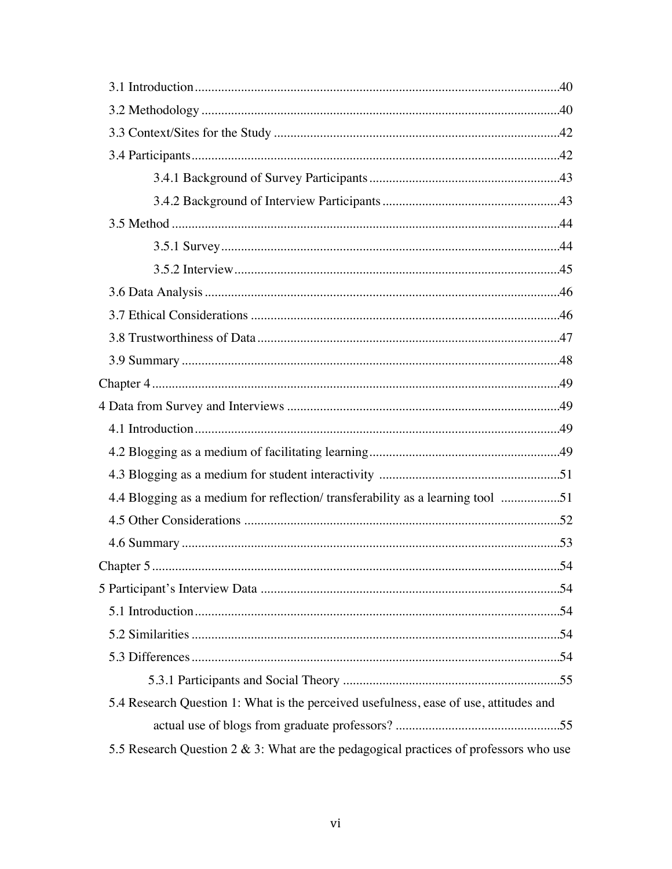| 4.4 Blogging as a medium for reflection/ transferability as a learning tool 51           |    |
|------------------------------------------------------------------------------------------|----|
|                                                                                          |    |
|                                                                                          |    |
|                                                                                          | 54 |
|                                                                                          |    |
|                                                                                          |    |
|                                                                                          |    |
|                                                                                          |    |
|                                                                                          |    |
| 5.4 Research Question 1: What is the perceived usefulness, ease of use, attitudes and    |    |
|                                                                                          |    |
| 5.5 Research Question 2 $\&$ 3: What are the pedagogical practices of professors who use |    |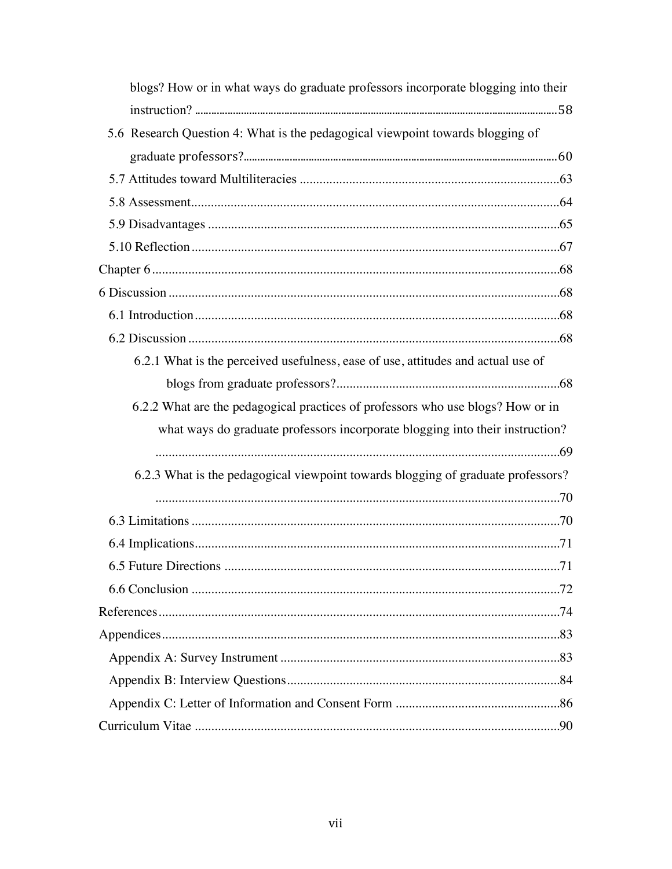| blogs? How or in what ways do graduate professors incorporate blogging into their |
|-----------------------------------------------------------------------------------|
|                                                                                   |
| 5.6 Research Question 4: What is the pedagogical viewpoint towards blogging of    |
|                                                                                   |
|                                                                                   |
|                                                                                   |
|                                                                                   |
|                                                                                   |
|                                                                                   |
|                                                                                   |
|                                                                                   |
|                                                                                   |
| 6.2.1 What is the perceived usefulness, ease of use, attitudes and actual use of  |
|                                                                                   |
| 6.2.2 What are the pedagogical practices of professors who use blogs? How or in   |
| what ways do graduate professors incorporate blogging into their instruction?     |
|                                                                                   |
| 6.2.3 What is the pedagogical viewpoint towards blogging of graduate professors?  |
|                                                                                   |
|                                                                                   |
|                                                                                   |
|                                                                                   |
|                                                                                   |
|                                                                                   |
|                                                                                   |
|                                                                                   |
|                                                                                   |
|                                                                                   |
|                                                                                   |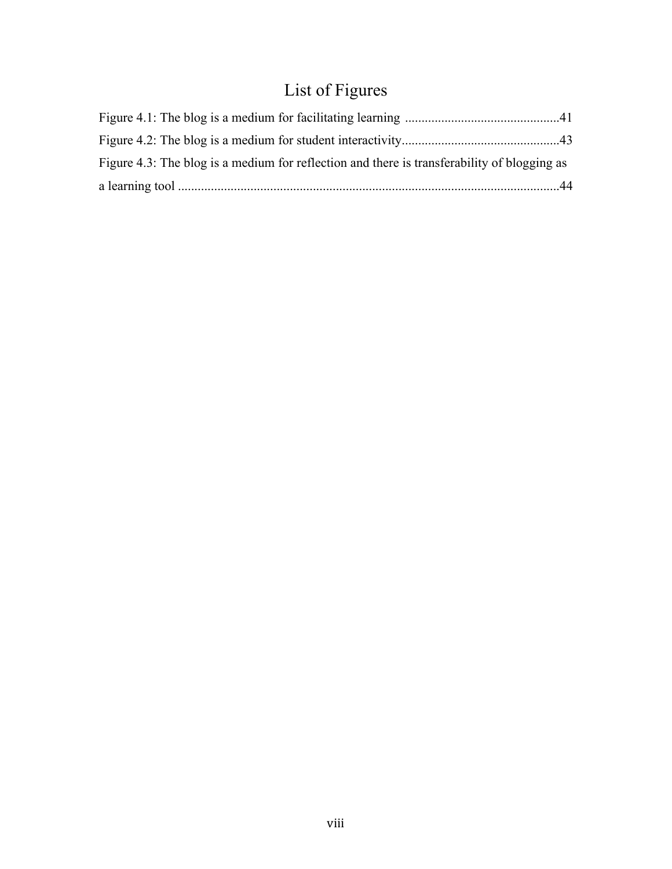# List of Figures

| Figure 4.3: The blog is a medium for reflection and there is transferability of blogging as |  |
|---------------------------------------------------------------------------------------------|--|
|                                                                                             |  |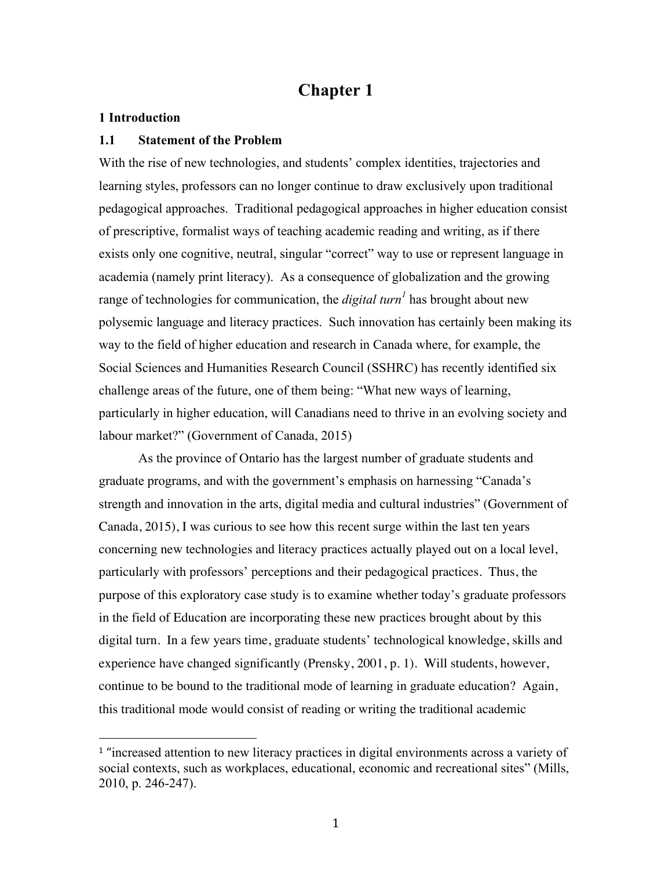### **Chapter 1**

#### **1 Introduction**

#### **1.1 Statement of the Problem**

 

With the rise of new technologies, and students' complex identities, trajectories and learning styles, professors can no longer continue to draw exclusively upon traditional pedagogical approaches. Traditional pedagogical approaches in higher education consist of prescriptive, formalist ways of teaching academic reading and writing, as if there exists only one cognitive, neutral, singular "correct" way to use or represent language in academia (namely print literacy). As a consequence of globalization and the growing range of technologies for communication, the *digital turn<sup>1</sup>* has brought about new polysemic language and literacy practices. Such innovation has certainly been making its way to the field of higher education and research in Canada where, for example, the Social Sciences and Humanities Research Council (SSHRC) has recently identified six challenge areas of the future, one of them being: "What new ways of learning, particularly in higher education, will Canadians need to thrive in an evolving society and labour market?" (Government of Canada, 2015)

As the province of Ontario has the largest number of graduate students and graduate programs, and with the government's emphasis on harnessing "Canada's strength and innovation in the arts, digital media and cultural industries" (Government of Canada, 2015), I was curious to see how this recent surge within the last ten years concerning new technologies and literacy practices actually played out on a local level, particularly with professors' perceptions and their pedagogical practices. Thus, the purpose of this exploratory case study is to examine whether today's graduate professors in the field of Education are incorporating these new practices brought about by this digital turn. In a few years time, graduate students' technological knowledge, skills and experience have changed significantly (Prensky, 2001, p. 1). Will students, however, continue to be bound to the traditional mode of learning in graduate education? Again, this traditional mode would consist of reading or writing the traditional academic

<sup>&</sup>lt;sup>1</sup> "increased attention to new literacy practices in digital environments across a variety of social contexts, such as workplaces, educational, economic and recreational sites" (Mills, 2010, p. 246-247).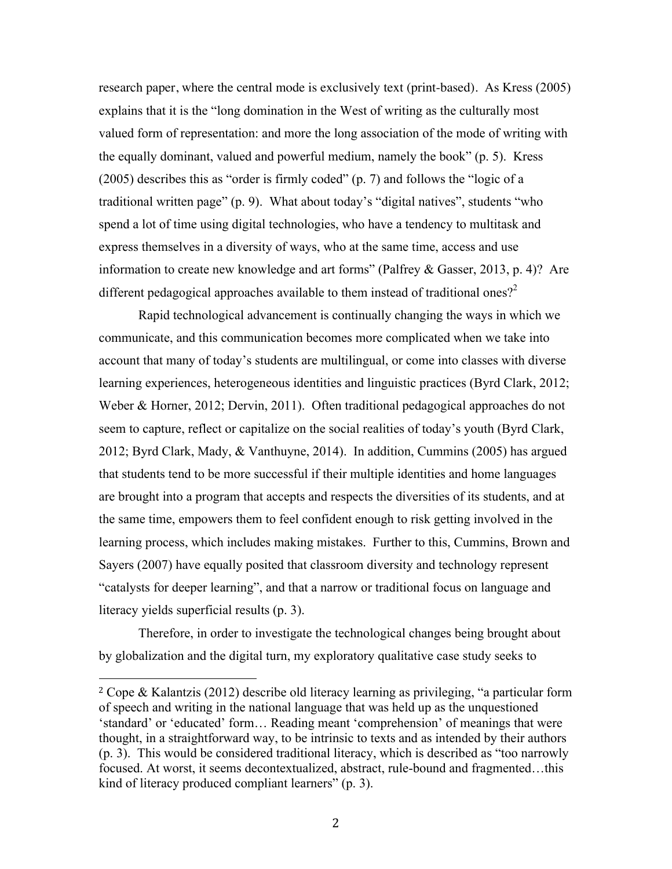research paper, where the central mode is exclusively text (print-based). As Kress (2005) explains that it is the "long domination in the West of writing as the culturally most valued form of representation: and more the long association of the mode of writing with the equally dominant, valued and powerful medium, namely the book" (p. 5). Kress (2005) describes this as "order is firmly coded" (p. 7) and follows the "logic of a traditional written page" (p. 9). What about today's "digital natives", students "who spend a lot of time using digital technologies, who have a tendency to multitask and express themselves in a diversity of ways, who at the same time, access and use information to create new knowledge and art forms" (Palfrey & Gasser, 2013, p. 4)? Are different pedagogical approaches available to them instead of traditional ones?<sup>2</sup>

Rapid technological advancement is continually changing the ways in which we communicate, and this communication becomes more complicated when we take into account that many of today's students are multilingual, or come into classes with diverse learning experiences, heterogeneous identities and linguistic practices (Byrd Clark, 2012; Weber & Horner, 2012; Dervin, 2011). Often traditional pedagogical approaches do not seem to capture, reflect or capitalize on the social realities of today's youth (Byrd Clark, 2012; Byrd Clark, Mady, & Vanthuyne, 2014). In addition, Cummins (2005) has argued that students tend to be more successful if their multiple identities and home languages are brought into a program that accepts and respects the diversities of its students, and at the same time, empowers them to feel confident enough to risk getting involved in the learning process, which includes making mistakes. Further to this, Cummins, Brown and Sayers (2007) have equally posited that classroom diversity and technology represent "catalysts for deeper learning", and that a narrow or traditional focus on language and literacy yields superficial results (p. 3).

Therefore, in order to investigate the technological changes being brought about by globalization and the digital turn, my exploratory qualitative case study seeks to

<sup>2</sup> Cope & Kalantzis (2012) describe old literacy learning as privileging, "a particular form of speech and writing in the national language that was held up as the unquestioned 'standard' or 'educated' form… Reading meant 'comprehension' of meanings that were thought, in a straightforward way, to be intrinsic to texts and as intended by their authors (p. 3). This would be considered traditional literacy, which is described as "too narrowly focused. At worst, it seems decontextualized, abstract, rule-bound and fragmented…this kind of literacy produced compliant learners" (p. 3).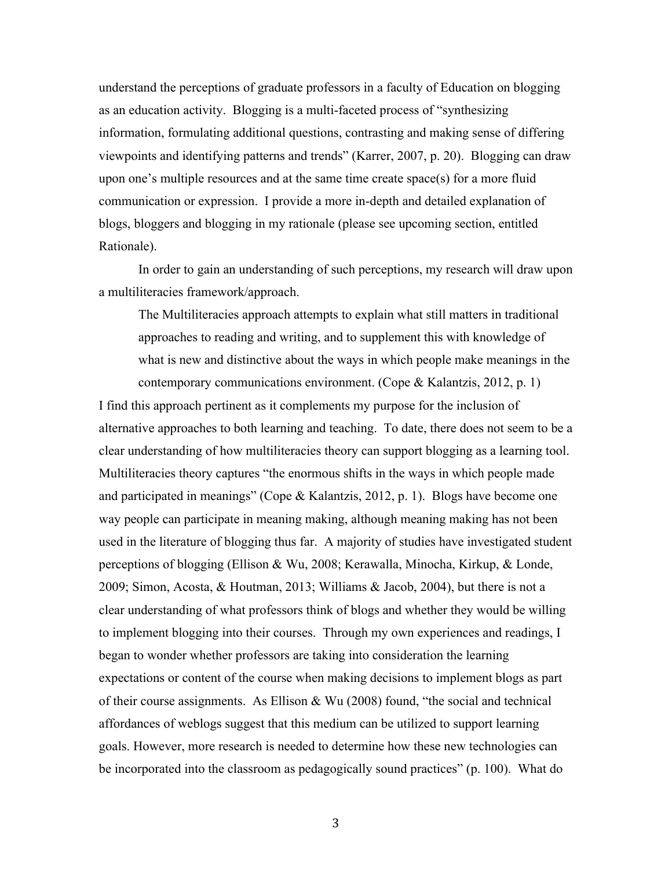understand the perceptions of graduate professors in a faculty of Education on blogging as an education activity. Blogging is a multi-faceted process of "synthesizing information, formulating additional questions, contrasting and making sense of differing viewpoints and identifying patterns and trends" (Karrer, 2007, p. 20). Blogging can draw upon one's multiple resources and at the same time create space(s) for a more fluid communication or expression. I provide a more in-depth and detailed explanation of blogs, bloggers and blogging in my rationale (please see upcoming section, entitled Rationale).

In order to gain an understanding of such perceptions, my research will draw upon a multiliteracies framework/approach.

The Multiliteracies approach attempts to explain what still matters in traditional approaches to reading and writing, and to supplement this with knowledge of what is new and distinctive about the ways in which people make meanings in the contemporary communications environment. (Cope & Kalantzis, 2012, p. 1)

I find this approach pertinent as it complements my purpose for the inclusion of alternative approaches to both learning and teaching. To date, there does not seem to be a clear understanding of how multiliteracies theory can support blogging as a learning tool. Multiliteracies theory captures "the enormous shifts in the ways in which people made and participated in meanings" (Cope & Kalantzis, 2012, p. 1). Blogs have become one way people can participate in meaning making, although meaning making has not been used in the literature of blogging thus far. A majority of studies have investigated student perceptions of blogging (Ellison & Wu, 2008; Kerawalla, Minocha, Kirkup, & Londe, 2009; Simon, Acosta, & Houtman, 2013; Williams & Jacob, 2004), but there is not a clear understanding of what professors think of blogs and whether they would be willing to implement blogging into their courses. Through my own experiences and readings, I began to wonder whether professors are taking into consideration the learning expectations or content of the course when making decisions to implement blogs as part of their course assignments. As Ellison & Wu (2008) found, "the social and technical affordances of weblogs suggest that this medium can be utilized to support learning goals. However, more research is needed to determine how these new technologies can be incorporated into the classroom as pedagogically sound practices" (p. 100). What do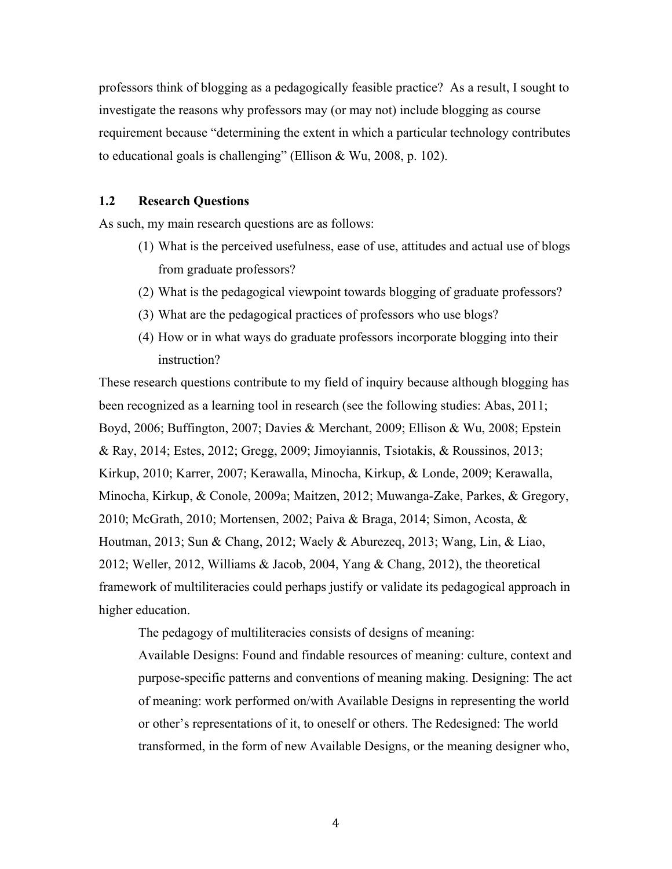professors think of blogging as a pedagogically feasible practice? As a result, I sought to investigate the reasons why professors may (or may not) include blogging as course requirement because "determining the extent in which a particular technology contributes to educational goals is challenging" (Ellison & Wu, 2008, p. 102).

#### **1.2 Research Questions**

As such, my main research questions are as follows:

- (1) What is the perceived usefulness, ease of use, attitudes and actual use of blogs from graduate professors?
- (2) What is the pedagogical viewpoint towards blogging of graduate professors?
- (3) What are the pedagogical practices of professors who use blogs?
- (4) How or in what ways do graduate professors incorporate blogging into their instruction?

These research questions contribute to my field of inquiry because although blogging has been recognized as a learning tool in research (see the following studies: Abas, 2011; Boyd, 2006; Buffington, 2007; Davies & Merchant, 2009; Ellison & Wu, 2008; Epstein & Ray, 2014; Estes, 2012; Gregg, 2009; Jimoyiannis, Tsiotakis, & Roussinos, 2013; Kirkup, 2010; Karrer, 2007; Kerawalla, Minocha, Kirkup, & Londe, 2009; Kerawalla, Minocha, Kirkup, & Conole, 2009a; Maitzen, 2012; Muwanga-Zake, Parkes, & Gregory, 2010; McGrath, 2010; Mortensen, 2002; Paiva & Braga, 2014; Simon, Acosta, & Houtman, 2013; Sun & Chang, 2012; Waely & Aburezeq, 2013; Wang, Lin, & Liao, 2012; Weller, 2012, Williams & Jacob, 2004, Yang & Chang, 2012), the theoretical framework of multiliteracies could perhaps justify or validate its pedagogical approach in higher education.

The pedagogy of multiliteracies consists of designs of meaning: Available Designs: Found and findable resources of meaning: culture, context and purpose-specific patterns and conventions of meaning making. Designing: The act of meaning: work performed on/with Available Designs in representing the world or other's representations of it, to oneself or others. The Redesigned: The world transformed, in the form of new Available Designs, or the meaning designer who,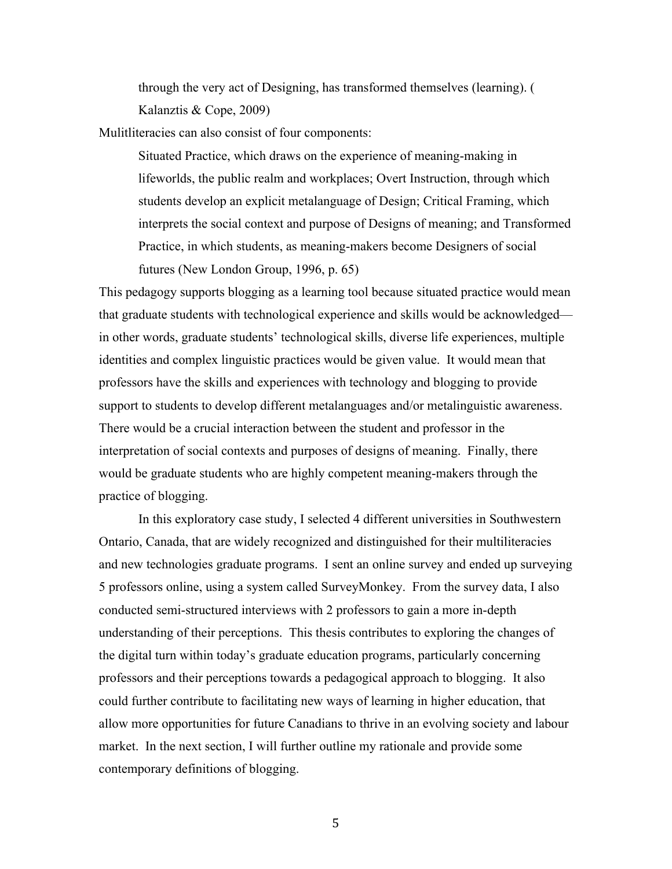through the very act of Designing, has transformed themselves (learning). ( Kalanztis & Cope, 2009)

Mulitliteracies can also consist of four components:

Situated Practice, which draws on the experience of meaning-making in lifeworlds, the public realm and workplaces; Overt Instruction, through which students develop an explicit metalanguage of Design; Critical Framing, which interprets the social context and purpose of Designs of meaning; and Transformed Practice, in which students, as meaning-makers become Designers of social futures (New London Group, 1996, p. 65)

This pedagogy supports blogging as a learning tool because situated practice would mean that graduate students with technological experience and skills would be acknowledged in other words, graduate students' technological skills, diverse life experiences, multiple identities and complex linguistic practices would be given value. It would mean that professors have the skills and experiences with technology and blogging to provide support to students to develop different metalanguages and/or metalinguistic awareness. There would be a crucial interaction between the student and professor in the interpretation of social contexts and purposes of designs of meaning. Finally, there would be graduate students who are highly competent meaning-makers through the practice of blogging.

In this exploratory case study, I selected 4 different universities in Southwestern Ontario, Canada, that are widely recognized and distinguished for their multiliteracies and new technologies graduate programs. I sent an online survey and ended up surveying 5 professors online, using a system called SurveyMonkey. From the survey data, I also conducted semi-structured interviews with 2 professors to gain a more in-depth understanding of their perceptions. This thesis contributes to exploring the changes of the digital turn within today's graduate education programs, particularly concerning professors and their perceptions towards a pedagogical approach to blogging. It also could further contribute to facilitating new ways of learning in higher education, that allow more opportunities for future Canadians to thrive in an evolving society and labour market. In the next section, I will further outline my rationale and provide some contemporary definitions of blogging.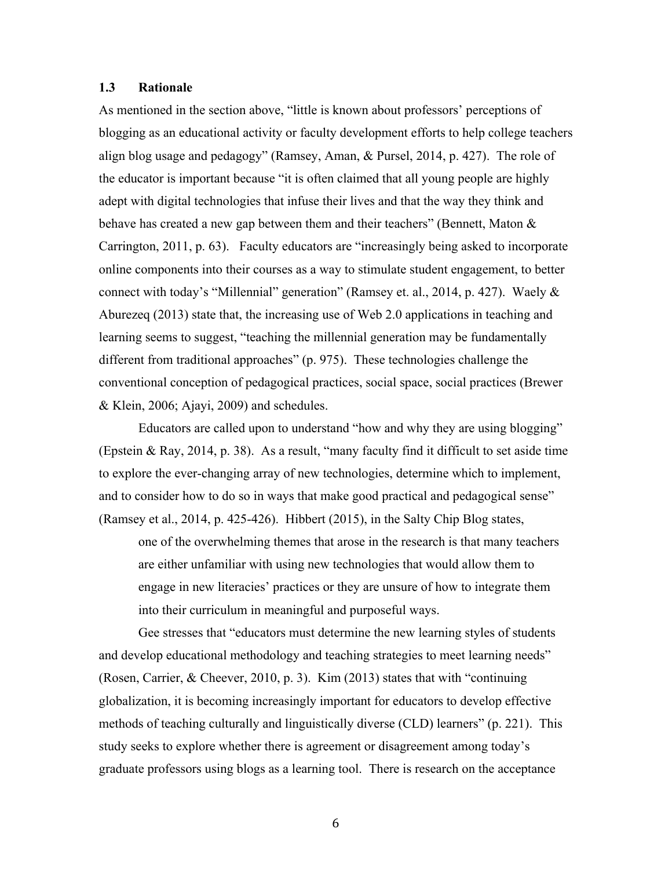#### **1.3 Rationale**

As mentioned in the section above, "little is known about professors' perceptions of blogging as an educational activity or faculty development efforts to help college teachers align blog usage and pedagogy" (Ramsey, Aman, & Pursel, 2014, p. 427). The role of the educator is important because "it is often claimed that all young people are highly adept with digital technologies that infuse their lives and that the way they think and behave has created a new gap between them and their teachers" (Bennett, Maton & Carrington, 2011, p. 63). Faculty educators are "increasingly being asked to incorporate online components into their courses as a way to stimulate student engagement, to better connect with today's "Millennial" generation" (Ramsey et. al., 2014, p. 427). Waely & Aburezeq (2013) state that, the increasing use of Web 2.0 applications in teaching and learning seems to suggest, "teaching the millennial generation may be fundamentally different from traditional approaches" (p. 975). These technologies challenge the conventional conception of pedagogical practices, social space, social practices (Brewer & Klein, 2006; Ajayi, 2009) and schedules.

Educators are called upon to understand "how and why they are using blogging" (Epstein & Ray, 2014, p. 38). As a result, "many faculty find it difficult to set aside time to explore the ever-changing array of new technologies, determine which to implement, and to consider how to do so in ways that make good practical and pedagogical sense" (Ramsey et al., 2014, p. 425-426). Hibbert (2015), in the Salty Chip Blog states,

one of the overwhelming themes that arose in the research is that many teachers are either unfamiliar with using new technologies that would allow them to engage in new literacies' practices or they are unsure of how to integrate them into their curriculum in meaningful and purposeful ways.

Gee stresses that "educators must determine the new learning styles of students and develop educational methodology and teaching strategies to meet learning needs" (Rosen, Carrier, & Cheever, 2010, p. 3). Kim (2013) states that with "continuing globalization, it is becoming increasingly important for educators to develop effective methods of teaching culturally and linguistically diverse (CLD) learners" (p. 221). This study seeks to explore whether there is agreement or disagreement among today's graduate professors using blogs as a learning tool. There is research on the acceptance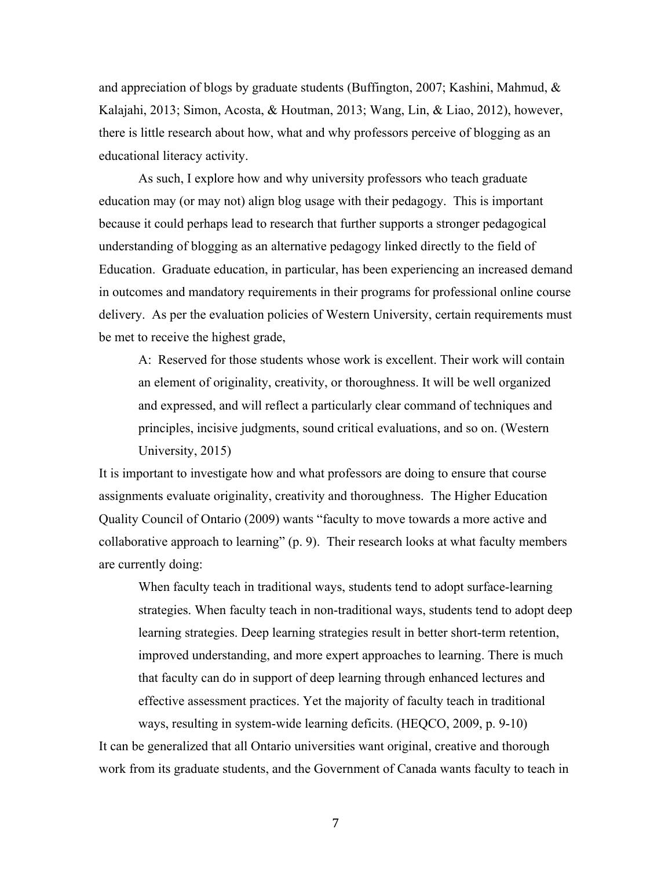and appreciation of blogs by graduate students (Buffington, 2007; Kashini, Mahmud, & Kalajahi, 2013; Simon, Acosta, & Houtman, 2013; Wang, Lin, & Liao, 2012), however, there is little research about how, what and why professors perceive of blogging as an educational literacy activity.

As such, I explore how and why university professors who teach graduate education may (or may not) align blog usage with their pedagogy. This is important because it could perhaps lead to research that further supports a stronger pedagogical understanding of blogging as an alternative pedagogy linked directly to the field of Education. Graduate education, in particular, has been experiencing an increased demand in outcomes and mandatory requirements in their programs for professional online course delivery. As per the evaluation policies of Western University, certain requirements must be met to receive the highest grade,

A: Reserved for those students whose work is excellent. Their work will contain an element of originality, creativity, or thoroughness. It will be well organized and expressed, and will reflect a particularly clear command of techniques and principles, incisive judgments, sound critical evaluations, and so on. (Western University, 2015)

It is important to investigate how and what professors are doing to ensure that course assignments evaluate originality, creativity and thoroughness. The Higher Education Quality Council of Ontario (2009) wants "faculty to move towards a more active and collaborative approach to learning" (p. 9). Their research looks at what faculty members are currently doing:

When faculty teach in traditional ways, students tend to adopt surface-learning strategies. When faculty teach in non-traditional ways, students tend to adopt deep learning strategies. Deep learning strategies result in better short-term retention, improved understanding, and more expert approaches to learning. There is much that faculty can do in support of deep learning through enhanced lectures and effective assessment practices. Yet the majority of faculty teach in traditional ways, resulting in system-wide learning deficits. (HEQCO, 2009, p. 9-10)

It can be generalized that all Ontario universities want original, creative and thorough work from its graduate students, and the Government of Canada wants faculty to teach in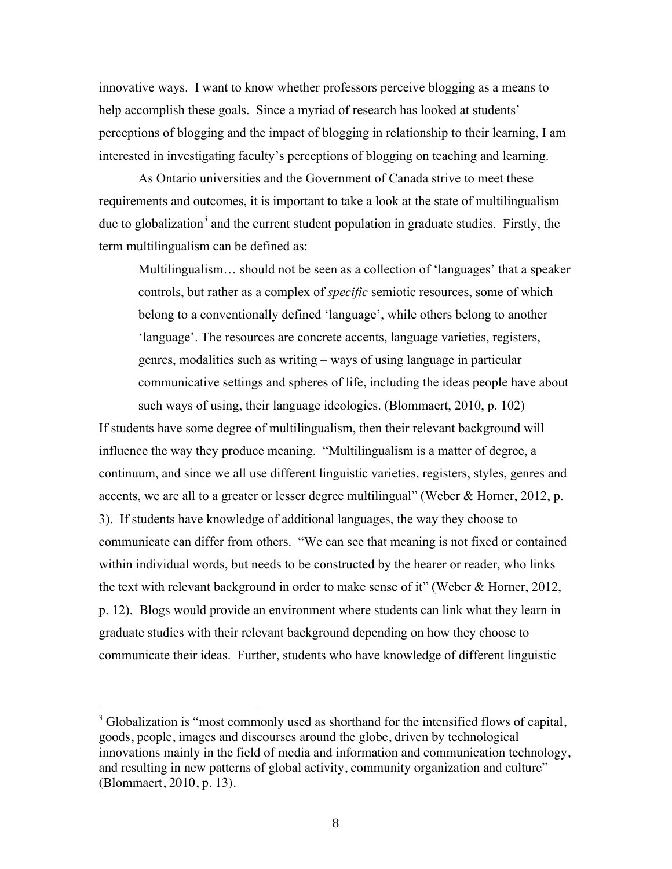innovative ways. I want to know whether professors perceive blogging as a means to help accomplish these goals. Since a myriad of research has looked at students' perceptions of blogging and the impact of blogging in relationship to their learning, I am interested in investigating faculty's perceptions of blogging on teaching and learning.

As Ontario universities and the Government of Canada strive to meet these requirements and outcomes, it is important to take a look at the state of multilingualism due to globalization<sup>3</sup> and the current student population in graduate studies. Firstly, the term multilingualism can be defined as:

Multilingualism… should not be seen as a collection of 'languages' that a speaker controls, but rather as a complex of *specific* semiotic resources, some of which belong to a conventionally defined 'language', while others belong to another 'language'. The resources are concrete accents, language varieties, registers, genres, modalities such as writing – ways of using language in particular communicative settings and spheres of life, including the ideas people have about such ways of using, their language ideologies. (Blommaert, 2010, p. 102)

If students have some degree of multilingualism, then their relevant background will influence the way they produce meaning. "Multilingualism is a matter of degree, a continuum, and since we all use different linguistic varieties, registers, styles, genres and accents, we are all to a greater or lesser degree multilingual" (Weber & Horner, 2012, p. 3). If students have knowledge of additional languages, the way they choose to communicate can differ from others. "We can see that meaning is not fixed or contained within individual words, but needs to be constructed by the hearer or reader, who links the text with relevant background in order to make sense of it" (Weber & Horner, 2012, p. 12). Blogs would provide an environment where students can link what they learn in graduate studies with their relevant background depending on how they choose to communicate their ideas. Further, students who have knowledge of different linguistic

 $3$  Globalization is "most commonly used as shorthand for the intensified flows of capital, goods, people, images and discourses around the globe, driven by technological innovations mainly in the field of media and information and communication technology, and resulting in new patterns of global activity, community organization and culture" (Blommaert, 2010, p. 13).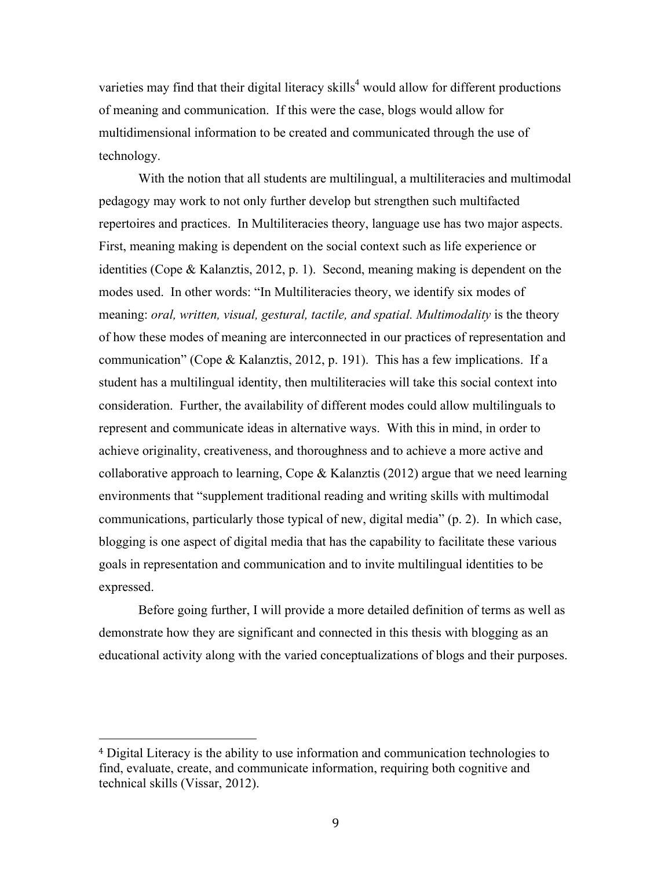varieties may find that their digital literacy skills<sup>4</sup> would allow for different productions of meaning and communication. If this were the case, blogs would allow for multidimensional information to be created and communicated through the use of technology.

With the notion that all students are multilingual, a multiliteracies and multimodal pedagogy may work to not only further develop but strengthen such multifacted repertoires and practices. In Multiliteracies theory, language use has two major aspects. First, meaning making is dependent on the social context such as life experience or identities (Cope & Kalanztis, 2012, p. 1). Second, meaning making is dependent on the modes used. In other words: "In Multiliteracies theory, we identify six modes of meaning: *oral, written, visual, gestural, tactile, and spatial. Multimodality* is the theory of how these modes of meaning are interconnected in our practices of representation and communication" (Cope & Kalanztis, 2012, p. 191). This has a few implications. If a student has a multilingual identity, then multiliteracies will take this social context into consideration. Further, the availability of different modes could allow multilinguals to represent and communicate ideas in alternative ways. With this in mind, in order to achieve originality, creativeness, and thoroughness and to achieve a more active and collaborative approach to learning, Cope & Kalanztis (2012) argue that we need learning environments that "supplement traditional reading and writing skills with multimodal communications, particularly those typical of new, digital media" (p. 2). In which case, blogging is one aspect of digital media that has the capability to facilitate these various goals in representation and communication and to invite multilingual identities to be expressed.

Before going further, I will provide a more detailed definition of terms as well as demonstrate how they are significant and connected in this thesis with blogging as an educational activity along with the varied conceptualizations of blogs and their purposes.

<sup>4</sup> Digital Literacy is the ability to use information and communication technologies to find, evaluate, create, and communicate information, requiring both cognitive and technical skills (Vissar, 2012).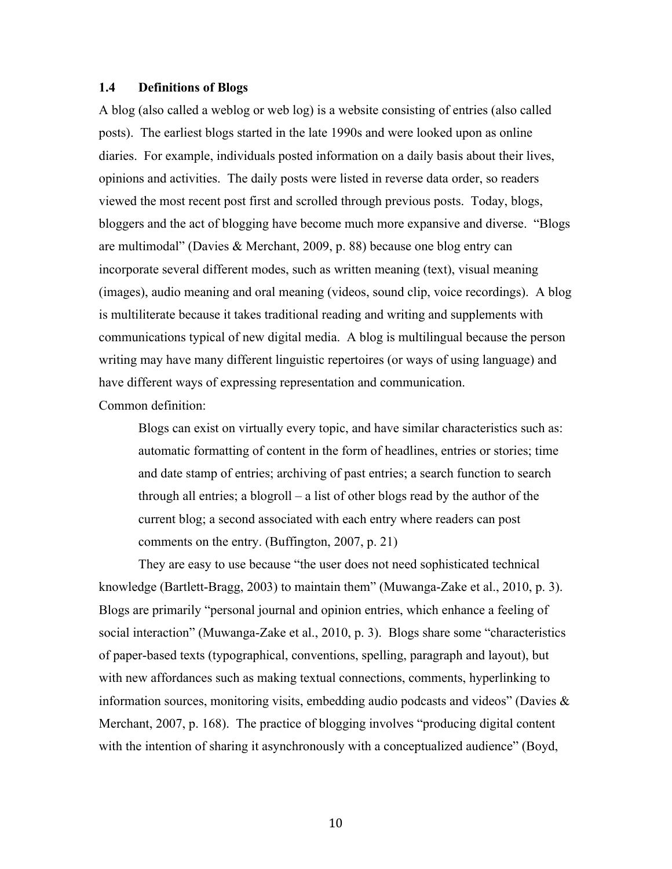#### **1.4 Definitions of Blogs**

A blog (also called a weblog or web log) is a website consisting of entries (also called posts). The earliest blogs started in the late 1990s and were looked upon as online diaries. For example, individuals posted information on a daily basis about their lives, opinions and activities. The daily posts were listed in reverse data order, so readers viewed the most recent post first and scrolled through previous posts. Today, blogs, bloggers and the act of blogging have become much more expansive and diverse. "Blogs are multimodal" (Davies & Merchant, 2009, p. 88) because one blog entry can incorporate several different modes, such as written meaning (text), visual meaning (images), audio meaning and oral meaning (videos, sound clip, voice recordings). A blog is multiliterate because it takes traditional reading and writing and supplements with communications typical of new digital media. A blog is multilingual because the person writing may have many different linguistic repertoires (or ways of using language) and have different ways of expressing representation and communication.

Common definition:

Blogs can exist on virtually every topic, and have similar characteristics such as: automatic formatting of content in the form of headlines, entries or stories; time and date stamp of entries; archiving of past entries; a search function to search through all entries; a blogroll – a list of other blogs read by the author of the current blog; a second associated with each entry where readers can post comments on the entry. (Buffington, 2007, p. 21)

They are easy to use because "the user does not need sophisticated technical knowledge (Bartlett-Bragg, 2003) to maintain them" (Muwanga-Zake et al., 2010, p. 3). Blogs are primarily "personal journal and opinion entries, which enhance a feeling of social interaction" (Muwanga-Zake et al., 2010, p. 3). Blogs share some "characteristics of paper-based texts (typographical, conventions, spelling, paragraph and layout), but with new affordances such as making textual connections, comments, hyperlinking to information sources, monitoring visits, embedding audio podcasts and videos" (Davies  $\&$ Merchant, 2007, p. 168). The practice of blogging involves "producing digital content with the intention of sharing it asynchronously with a conceptualized audience" (Boyd,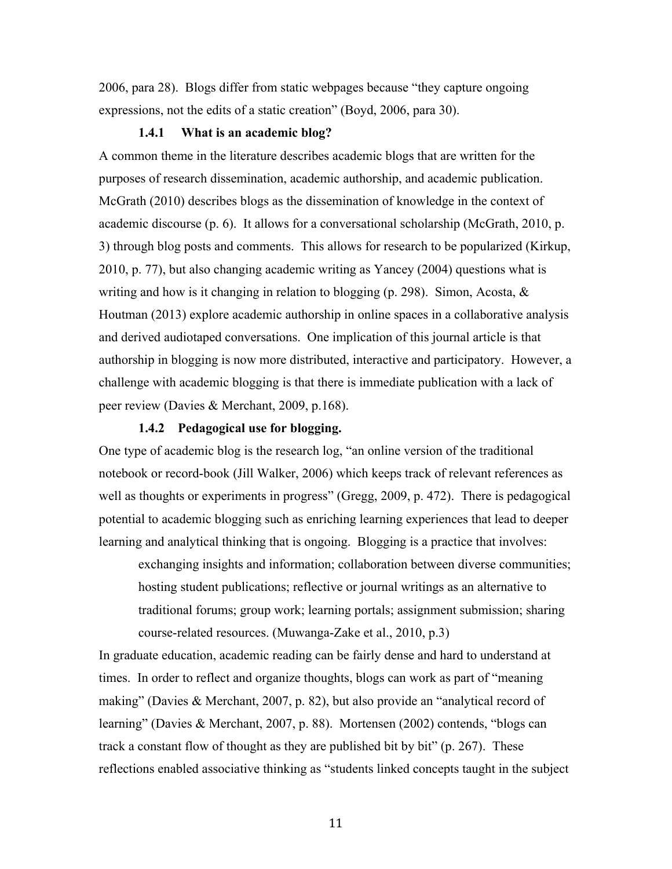2006, para 28). Blogs differ from static webpages because "they capture ongoing expressions, not the edits of a static creation" (Boyd, 2006, para 30).

#### **1.4.1 What is an academic blog?**

A common theme in the literature describes academic blogs that are written for the purposes of research dissemination, academic authorship, and academic publication. McGrath (2010) describes blogs as the dissemination of knowledge in the context of academic discourse (p. 6). It allows for a conversational scholarship (McGrath, 2010, p. 3) through blog posts and comments. This allows for research to be popularized (Kirkup, 2010, p. 77), but also changing academic writing as Yancey (2004) questions what is writing and how is it changing in relation to blogging (p. 298). Simon, Acosta, & Houtman (2013) explore academic authorship in online spaces in a collaborative analysis and derived audiotaped conversations. One implication of this journal article is that authorship in blogging is now more distributed, interactive and participatory. However, a challenge with academic blogging is that there is immediate publication with a lack of peer review (Davies & Merchant, 2009, p.168).

#### **1.4.2 Pedagogical use for blogging.**

One type of academic blog is the research log, "an online version of the traditional notebook or record-book (Jill Walker, 2006) which keeps track of relevant references as well as thoughts or experiments in progress" (Gregg, 2009, p. 472). There is pedagogical potential to academic blogging such as enriching learning experiences that lead to deeper learning and analytical thinking that is ongoing. Blogging is a practice that involves:

exchanging insights and information; collaboration between diverse communities; hosting student publications; reflective or journal writings as an alternative to traditional forums; group work; learning portals; assignment submission; sharing course-related resources. (Muwanga-Zake et al., 2010, p.3)

In graduate education, academic reading can be fairly dense and hard to understand at times. In order to reflect and organize thoughts, blogs can work as part of "meaning making" (Davies & Merchant, 2007, p. 82), but also provide an "analytical record of learning" (Davies & Merchant, 2007, p. 88). Mortensen (2002) contends, "blogs can track a constant flow of thought as they are published bit by bit" (p. 267). These reflections enabled associative thinking as "students linked concepts taught in the subject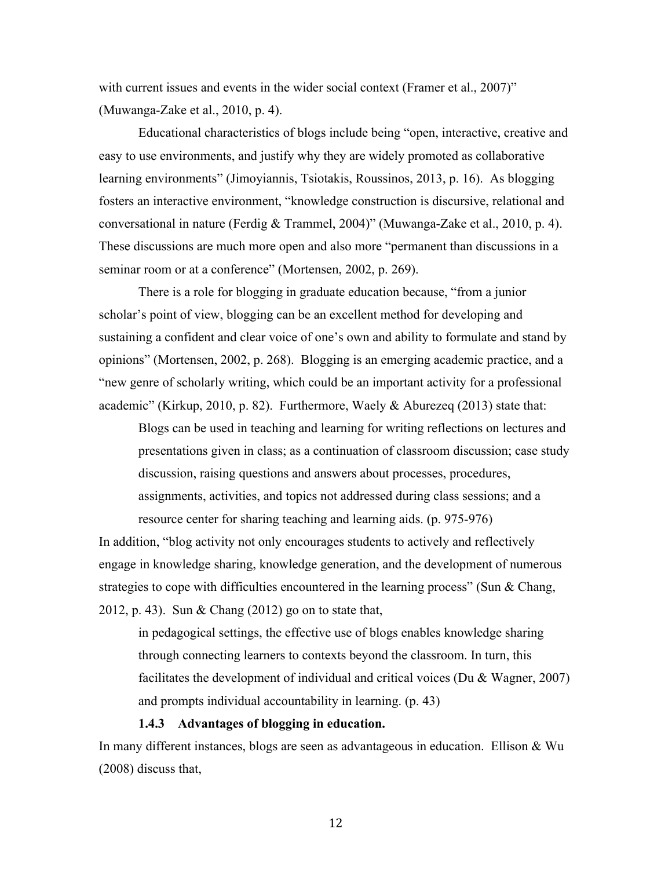with current issues and events in the wider social context (Framer et al., 2007)" (Muwanga-Zake et al., 2010, p. 4).

Educational characteristics of blogs include being "open, interactive, creative and easy to use environments, and justify why they are widely promoted as collaborative learning environments" (Jimoyiannis, Tsiotakis, Roussinos, 2013, p. 16). As blogging fosters an interactive environment, "knowledge construction is discursive, relational and conversational in nature (Ferdig & Trammel, 2004)" (Muwanga-Zake et al., 2010, p. 4). These discussions are much more open and also more "permanent than discussions in a seminar room or at a conference" (Mortensen, 2002, p. 269).

There is a role for blogging in graduate education because, "from a junior scholar's point of view, blogging can be an excellent method for developing and sustaining a confident and clear voice of one's own and ability to formulate and stand by opinions" (Mortensen, 2002, p. 268). Blogging is an emerging academic practice, and a "new genre of scholarly writing, which could be an important activity for a professional academic" (Kirkup, 2010, p. 82). Furthermore, Waely & Aburezeq (2013) state that:

Blogs can be used in teaching and learning for writing reflections on lectures and presentations given in class; as a continuation of classroom discussion; case study discussion, raising questions and answers about processes, procedures, assignments, activities, and topics not addressed during class sessions; and a resource center for sharing teaching and learning aids. (p. 975-976)

In addition, "blog activity not only encourages students to actively and reflectively engage in knowledge sharing, knowledge generation, and the development of numerous strategies to cope with difficulties encountered in the learning process" (Sun & Chang, 2012, p. 43). Sun & Chang (2012) go on to state that,

in pedagogical settings, the effective use of blogs enables knowledge sharing through connecting learners to contexts beyond the classroom. In turn, this facilitates the development of individual and critical voices (Du & Wagner, 2007) and prompts individual accountability in learning. (p. 43)

#### **1.4.3 Advantages of blogging in education.**

In many different instances, blogs are seen as advantageous in education. Ellison & Wu (2008) discuss that,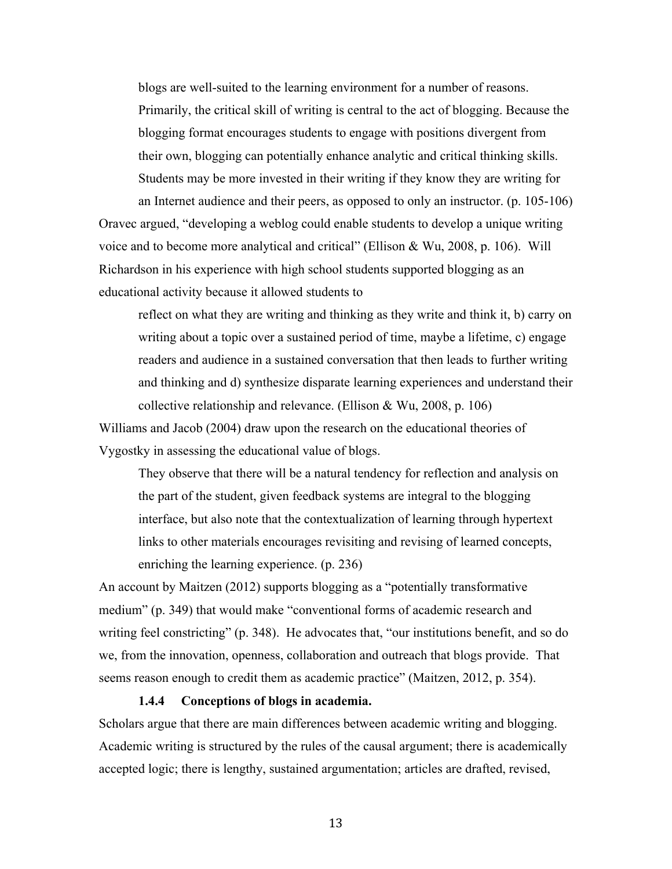blogs are well-suited to the learning environment for a number of reasons. Primarily, the critical skill of writing is central to the act of blogging. Because the blogging format encourages students to engage with positions divergent from their own, blogging can potentially enhance analytic and critical thinking skills. Students may be more invested in their writing if they know they are writing for an Internet audience and their peers, as opposed to only an instructor. (p. 105-106)

Oravec argued, "developing a weblog could enable students to develop a unique writing voice and to become more analytical and critical" (Ellison & Wu, 2008, p. 106). Will Richardson in his experience with high school students supported blogging as an educational activity because it allowed students to

reflect on what they are writing and thinking as they write and think it, b) carry on writing about a topic over a sustained period of time, maybe a lifetime, c) engage readers and audience in a sustained conversation that then leads to further writing and thinking and d) synthesize disparate learning experiences and understand their collective relationship and relevance. (Ellison & Wu, 2008, p. 106)

Williams and Jacob (2004) draw upon the research on the educational theories of Vygostky in assessing the educational value of blogs.

They observe that there will be a natural tendency for reflection and analysis on the part of the student, given feedback systems are integral to the blogging interface, but also note that the contextualization of learning through hypertext links to other materials encourages revisiting and revising of learned concepts, enriching the learning experience. (p. 236)

An account by Maitzen (2012) supports blogging as a "potentially transformative medium" (p. 349) that would make "conventional forms of academic research and writing feel constricting" (p. 348). He advocates that, "our institutions benefit, and so do we, from the innovation, openness, collaboration and outreach that blogs provide. That seems reason enough to credit them as academic practice" (Maitzen, 2012, p. 354).

#### **1.4.4 Conceptions of blogs in academia.**

Scholars argue that there are main differences between academic writing and blogging. Academic writing is structured by the rules of the causal argument; there is academically accepted logic; there is lengthy, sustained argumentation; articles are drafted, revised,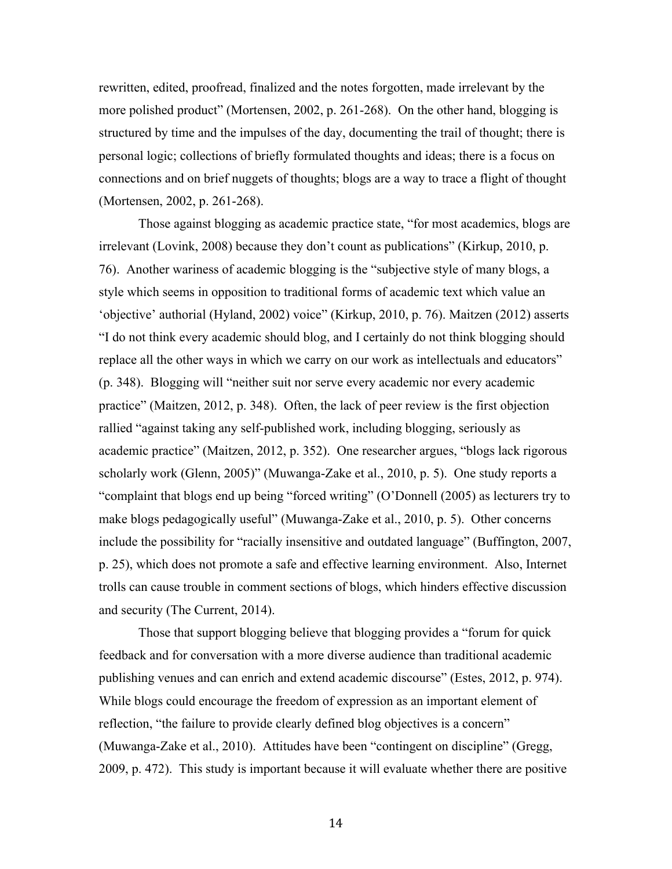rewritten, edited, proofread, finalized and the notes forgotten, made irrelevant by the more polished product" (Mortensen, 2002, p. 261-268). On the other hand, blogging is structured by time and the impulses of the day, documenting the trail of thought; there is personal logic; collections of briefly formulated thoughts and ideas; there is a focus on connections and on brief nuggets of thoughts; blogs are a way to trace a flight of thought (Mortensen, 2002, p. 261-268).

Those against blogging as academic practice state, "for most academics, blogs are irrelevant (Lovink, 2008) because they don't count as publications" (Kirkup, 2010, p. 76). Another wariness of academic blogging is the "subjective style of many blogs, a style which seems in opposition to traditional forms of academic text which value an 'objective' authorial (Hyland, 2002) voice" (Kirkup, 2010, p. 76). Maitzen (2012) asserts "I do not think every academic should blog, and I certainly do not think blogging should replace all the other ways in which we carry on our work as intellectuals and educators" (p. 348). Blogging will "neither suit nor serve every academic nor every academic practice" (Maitzen, 2012, p. 348). Often, the lack of peer review is the first objection rallied "against taking any self-published work, including blogging, seriously as academic practice" (Maitzen, 2012, p. 352). One researcher argues, "blogs lack rigorous scholarly work (Glenn, 2005)" (Muwanga-Zake et al., 2010, p. 5). One study reports a "complaint that blogs end up being "forced writing" (O'Donnell (2005) as lecturers try to make blogs pedagogically useful" (Muwanga-Zake et al., 2010, p. 5). Other concerns include the possibility for "racially insensitive and outdated language" (Buffington, 2007, p. 25), which does not promote a safe and effective learning environment. Also, Internet trolls can cause trouble in comment sections of blogs, which hinders effective discussion and security (The Current, 2014).

Those that support blogging believe that blogging provides a "forum for quick feedback and for conversation with a more diverse audience than traditional academic publishing venues and can enrich and extend academic discourse" (Estes, 2012, p. 974). While blogs could encourage the freedom of expression as an important element of reflection, "the failure to provide clearly defined blog objectives is a concern" (Muwanga-Zake et al., 2010). Attitudes have been "contingent on discipline" (Gregg, 2009, p. 472). This study is important because it will evaluate whether there are positive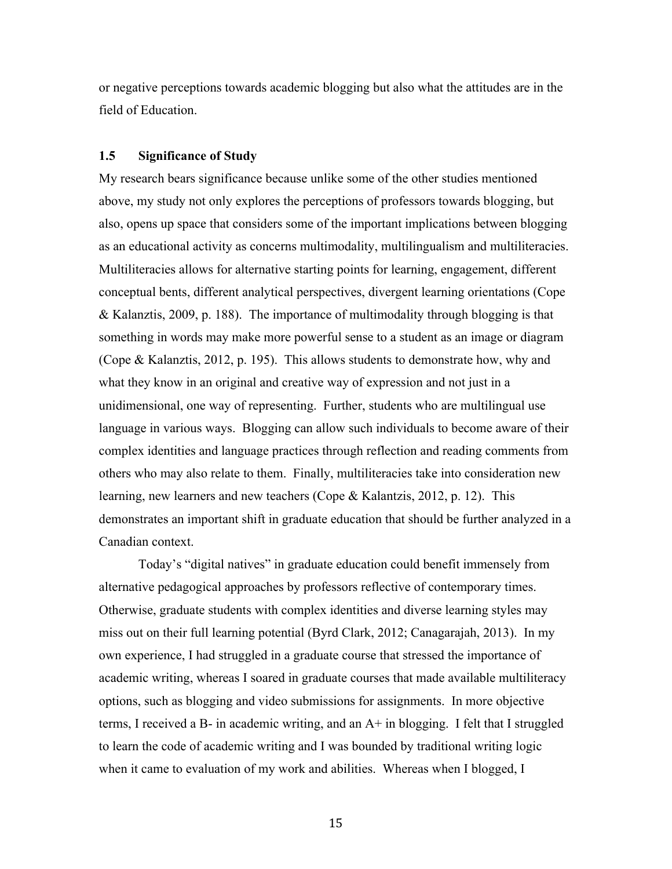or negative perceptions towards academic blogging but also what the attitudes are in the field of Education.

#### **1.5 Significance of Study**

My research bears significance because unlike some of the other studies mentioned above, my study not only explores the perceptions of professors towards blogging, but also, opens up space that considers some of the important implications between blogging as an educational activity as concerns multimodality, multilingualism and multiliteracies. Multiliteracies allows for alternative starting points for learning, engagement, different conceptual bents, different analytical perspectives, divergent learning orientations (Cope & Kalanztis, 2009, p. 188). The importance of multimodality through blogging is that something in words may make more powerful sense to a student as an image or diagram (Cope & Kalanztis, 2012, p. 195). This allows students to demonstrate how, why and what they know in an original and creative way of expression and not just in a unidimensional, one way of representing. Further, students who are multilingual use language in various ways. Blogging can allow such individuals to become aware of their complex identities and language practices through reflection and reading comments from others who may also relate to them. Finally, multiliteracies take into consideration new learning, new learners and new teachers (Cope & Kalantzis, 2012, p. 12). This demonstrates an important shift in graduate education that should be further analyzed in a Canadian context.

Today's "digital natives" in graduate education could benefit immensely from alternative pedagogical approaches by professors reflective of contemporary times. Otherwise, graduate students with complex identities and diverse learning styles may miss out on their full learning potential (Byrd Clark, 2012; Canagarajah, 2013). In my own experience, I had struggled in a graduate course that stressed the importance of academic writing, whereas I soared in graduate courses that made available multiliteracy options, such as blogging and video submissions for assignments. In more objective terms, I received a B- in academic writing, and an A+ in blogging. I felt that I struggled to learn the code of academic writing and I was bounded by traditional writing logic when it came to evaluation of my work and abilities. Whereas when I blogged, I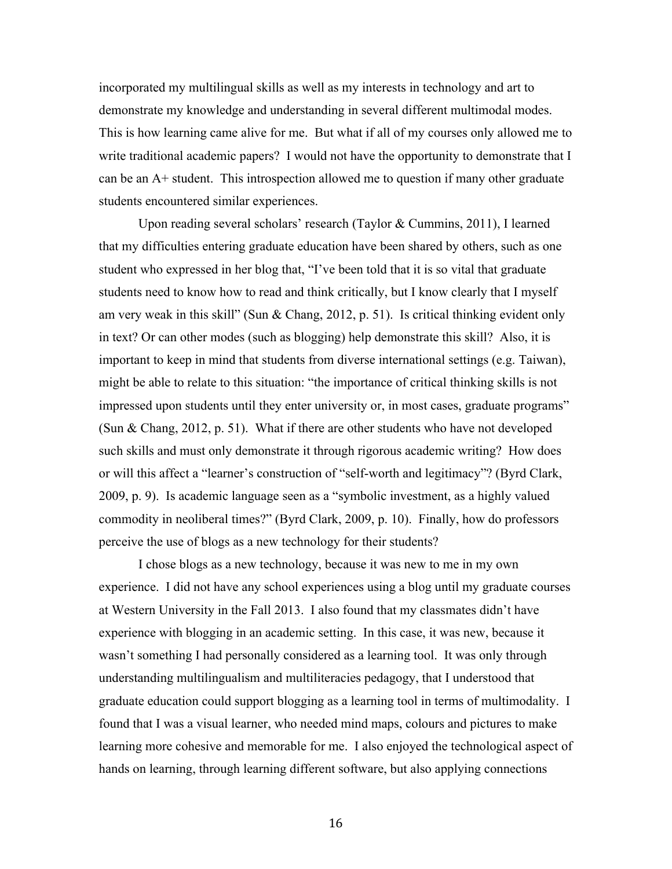incorporated my multilingual skills as well as my interests in technology and art to demonstrate my knowledge and understanding in several different multimodal modes. This is how learning came alive for me. But what if all of my courses only allowed me to write traditional academic papers? I would not have the opportunity to demonstrate that I can be an A+ student. This introspection allowed me to question if many other graduate students encountered similar experiences.

Upon reading several scholars' research (Taylor & Cummins, 2011), I learned that my difficulties entering graduate education have been shared by others, such as one student who expressed in her blog that, "I've been told that it is so vital that graduate students need to know how to read and think critically, but I know clearly that I myself am very weak in this skill" (Sun & Chang, 2012, p. 51). Is critical thinking evident only in text? Or can other modes (such as blogging) help demonstrate this skill? Also, it is important to keep in mind that students from diverse international settings (e.g. Taiwan), might be able to relate to this situation: "the importance of critical thinking skills is not impressed upon students until they enter university or, in most cases, graduate programs" (Sun & Chang, 2012, p. 51). What if there are other students who have not developed such skills and must only demonstrate it through rigorous academic writing? How does or will this affect a "learner's construction of "self-worth and legitimacy"? (Byrd Clark, 2009, p. 9). Is academic language seen as a "symbolic investment, as a highly valued commodity in neoliberal times?" (Byrd Clark, 2009, p. 10). Finally, how do professors perceive the use of blogs as a new technology for their students?

I chose blogs as a new technology, because it was new to me in my own experience. I did not have any school experiences using a blog until my graduate courses at Western University in the Fall 2013. I also found that my classmates didn't have experience with blogging in an academic setting. In this case, it was new, because it wasn't something I had personally considered as a learning tool. It was only through understanding multilingualism and multiliteracies pedagogy, that I understood that graduate education could support blogging as a learning tool in terms of multimodality. I found that I was a visual learner, who needed mind maps, colours and pictures to make learning more cohesive and memorable for me. I also enjoyed the technological aspect of hands on learning, through learning different software, but also applying connections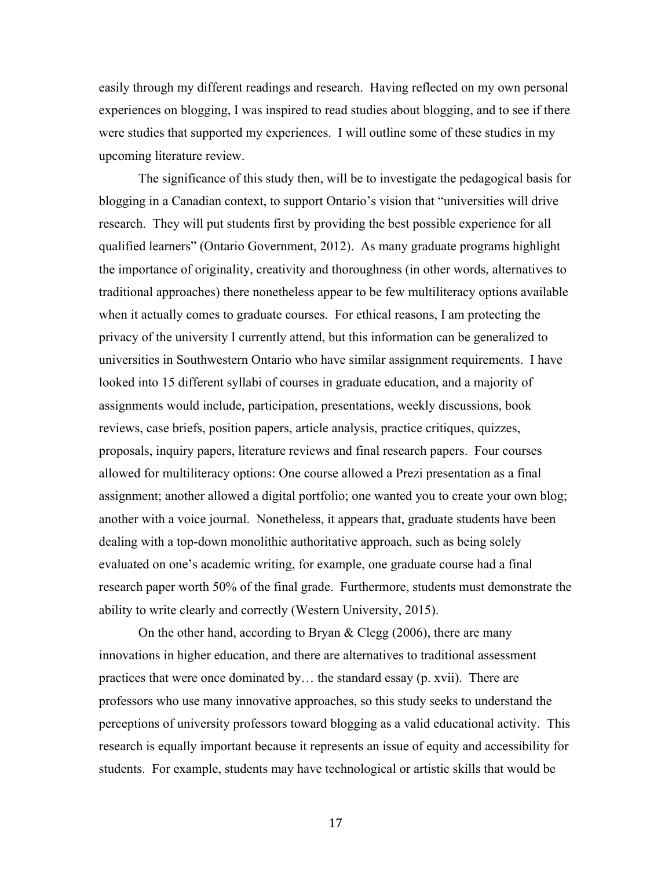easily through my different readings and research. Having reflected on my own personal experiences on blogging, I was inspired to read studies about blogging, and to see if there were studies that supported my experiences. I will outline some of these studies in my upcoming literature review.

The significance of this study then, will be to investigate the pedagogical basis for blogging in a Canadian context, to support Ontario's vision that "universities will drive research. They will put students first by providing the best possible experience for all qualified learners" (Ontario Government, 2012). As many graduate programs highlight the importance of originality, creativity and thoroughness (in other words, alternatives to traditional approaches) there nonetheless appear to be few multiliteracy options available when it actually comes to graduate courses. For ethical reasons, I am protecting the privacy of the university I currently attend, but this information can be generalized to universities in Southwestern Ontario who have similar assignment requirements. I have looked into 15 different syllabi of courses in graduate education, and a majority of assignments would include, participation, presentations, weekly discussions, book reviews, case briefs, position papers, article analysis, practice critiques, quizzes, proposals, inquiry papers, literature reviews and final research papers. Four courses allowed for multiliteracy options: One course allowed a Prezi presentation as a final assignment; another allowed a digital portfolio; one wanted you to create your own blog; another with a voice journal. Nonetheless, it appears that, graduate students have been dealing with a top-down monolithic authoritative approach, such as being solely evaluated on one's academic writing, for example, one graduate course had a final research paper worth 50% of the final grade. Furthermore, students must demonstrate the ability to write clearly and correctly (Western University, 2015).

On the other hand, according to Bryan  $\&$  Clegg (2006), there are many innovations in higher education, and there are alternatives to traditional assessment practices that were once dominated by… the standard essay (p. xvii). There are professors who use many innovative approaches, so this study seeks to understand the perceptions of university professors toward blogging as a valid educational activity. This research is equally important because it represents an issue of equity and accessibility for students. For example, students may have technological or artistic skills that would be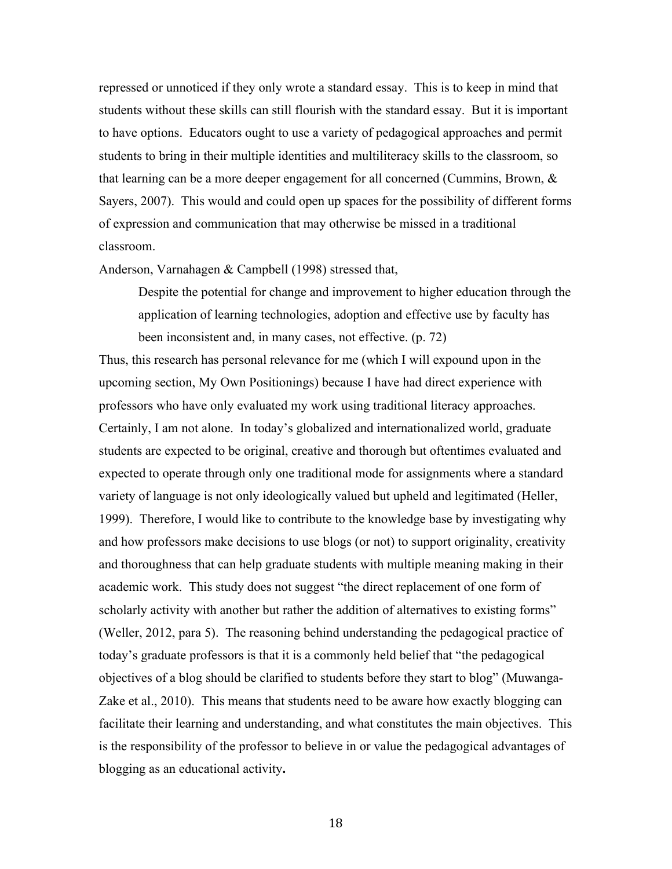repressed or unnoticed if they only wrote a standard essay. This is to keep in mind that students without these skills can still flourish with the standard essay. But it is important to have options. Educators ought to use a variety of pedagogical approaches and permit students to bring in their multiple identities and multiliteracy skills to the classroom, so that learning can be a more deeper engagement for all concerned (Cummins, Brown, & Sayers, 2007). This would and could open up spaces for the possibility of different forms of expression and communication that may otherwise be missed in a traditional classroom.

Anderson, Varnahagen & Campbell (1998) stressed that,

Despite the potential for change and improvement to higher education through the application of learning technologies, adoption and effective use by faculty has been inconsistent and, in many cases, not effective. (p. 72)

Thus, this research has personal relevance for me (which I will expound upon in the upcoming section, My Own Positionings) because I have had direct experience with professors who have only evaluated my work using traditional literacy approaches. Certainly, I am not alone. In today's globalized and internationalized world, graduate students are expected to be original, creative and thorough but oftentimes evaluated and expected to operate through only one traditional mode for assignments where a standard variety of language is not only ideologically valued but upheld and legitimated (Heller, 1999). Therefore, I would like to contribute to the knowledge base by investigating why and how professors make decisions to use blogs (or not) to support originality, creativity and thoroughness that can help graduate students with multiple meaning making in their academic work. This study does not suggest "the direct replacement of one form of scholarly activity with another but rather the addition of alternatives to existing forms" (Weller, 2012, para 5). The reasoning behind understanding the pedagogical practice of today's graduate professors is that it is a commonly held belief that "the pedagogical objectives of a blog should be clarified to students before they start to blog" (Muwanga-Zake et al., 2010). This means that students need to be aware how exactly blogging can facilitate their learning and understanding, and what constitutes the main objectives. This is the responsibility of the professor to believe in or value the pedagogical advantages of blogging as an educational activity**.**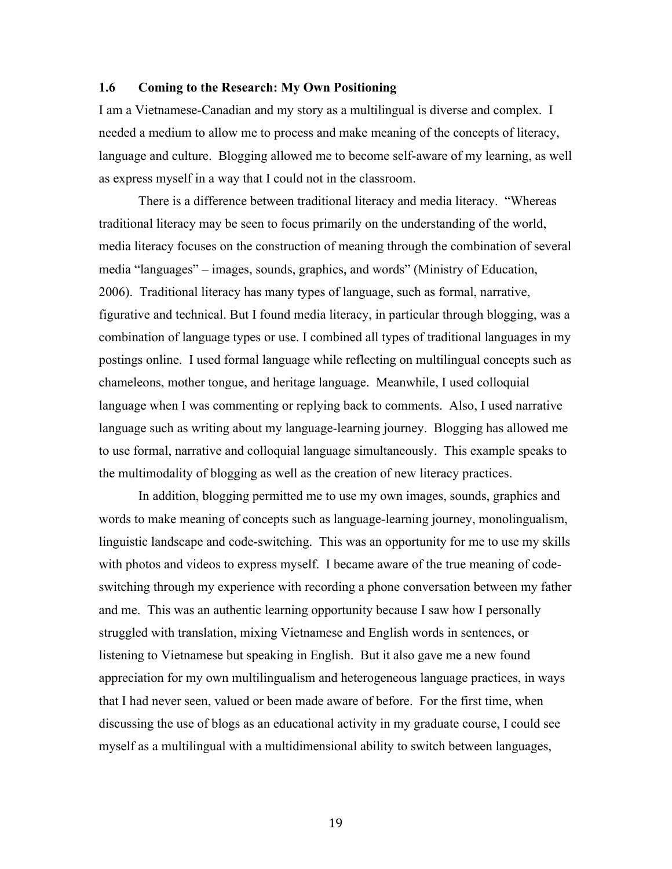#### **1.6 Coming to the Research: My Own Positioning**

I am a Vietnamese-Canadian and my story as a multilingual is diverse and complex. I needed a medium to allow me to process and make meaning of the concepts of literacy, language and culture. Blogging allowed me to become self-aware of my learning, as well as express myself in a way that I could not in the classroom.

There is a difference between traditional literacy and media literacy. "Whereas traditional literacy may be seen to focus primarily on the understanding of the world, media literacy focuses on the construction of meaning through the combination of several media "languages" – images, sounds, graphics, and words" (Ministry of Education, 2006). Traditional literacy has many types of language, such as formal, narrative, figurative and technical. But I found media literacy, in particular through blogging, was a combination of language types or use. I combined all types of traditional languages in my postings online. I used formal language while reflecting on multilingual concepts such as chameleons, mother tongue, and heritage language. Meanwhile, I used colloquial language when I was commenting or replying back to comments. Also, I used narrative language such as writing about my language-learning journey. Blogging has allowed me to use formal, narrative and colloquial language simultaneously. This example speaks to the multimodality of blogging as well as the creation of new literacy practices.

In addition, blogging permitted me to use my own images, sounds, graphics and words to make meaning of concepts such as language-learning journey, monolingualism, linguistic landscape and code-switching. This was an opportunity for me to use my skills with photos and videos to express myself. I became aware of the true meaning of codeswitching through my experience with recording a phone conversation between my father and me. This was an authentic learning opportunity because I saw how I personally struggled with translation, mixing Vietnamese and English words in sentences, or listening to Vietnamese but speaking in English. But it also gave me a new found appreciation for my own multilingualism and heterogeneous language practices, in ways that I had never seen, valued or been made aware of before. For the first time, when discussing the use of blogs as an educational activity in my graduate course, I could see myself as a multilingual with a multidimensional ability to switch between languages,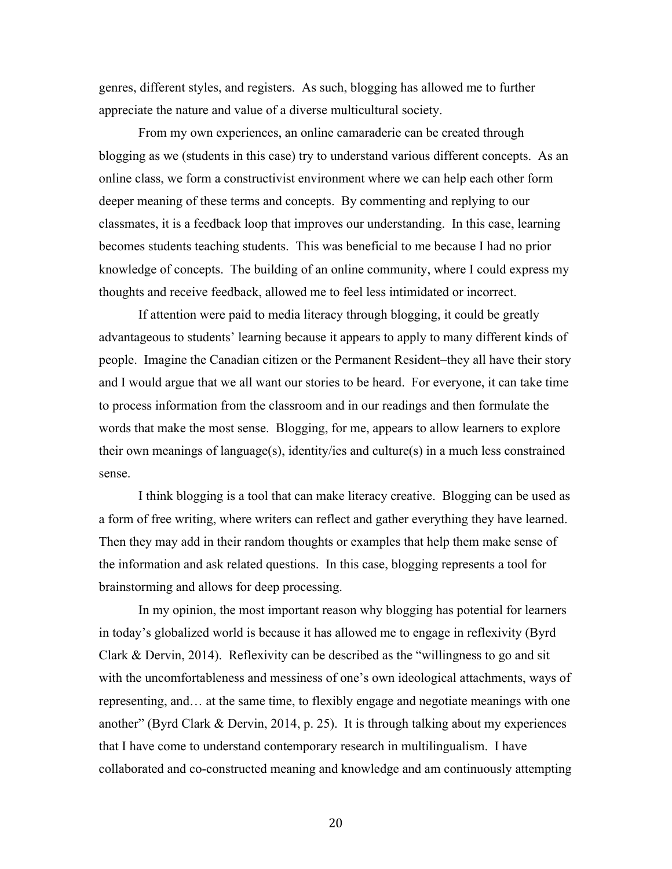genres, different styles, and registers. As such, blogging has allowed me to further appreciate the nature and value of a diverse multicultural society.

From my own experiences, an online camaraderie can be created through blogging as we (students in this case) try to understand various different concepts. As an online class, we form a constructivist environment where we can help each other form deeper meaning of these terms and concepts. By commenting and replying to our classmates, it is a feedback loop that improves our understanding. In this case, learning becomes students teaching students. This was beneficial to me because I had no prior knowledge of concepts. The building of an online community, where I could express my thoughts and receive feedback, allowed me to feel less intimidated or incorrect.

If attention were paid to media literacy through blogging, it could be greatly advantageous to students' learning because it appears to apply to many different kinds of people. Imagine the Canadian citizen or the Permanent Resident–they all have their story and I would argue that we all want our stories to be heard. For everyone, it can take time to process information from the classroom and in our readings and then formulate the words that make the most sense. Blogging, for me, appears to allow learners to explore their own meanings of language(s), identity/ies and culture(s) in a much less constrained sense.

I think blogging is a tool that can make literacy creative. Blogging can be used as a form of free writing, where writers can reflect and gather everything they have learned. Then they may add in their random thoughts or examples that help them make sense of the information and ask related questions. In this case, blogging represents a tool for brainstorming and allows for deep processing.

In my opinion, the most important reason why blogging has potential for learners in today's globalized world is because it has allowed me to engage in reflexivity (Byrd Clark & Dervin, 2014). Reflexivity can be described as the "willingness to go and sit with the uncomfortableness and messiness of one's own ideological attachments, ways of representing, and… at the same time, to flexibly engage and negotiate meanings with one another" (Byrd Clark & Dervin, 2014, p. 25). It is through talking about my experiences that I have come to understand contemporary research in multilingualism. I have collaborated and co-constructed meaning and knowledge and am continuously attempting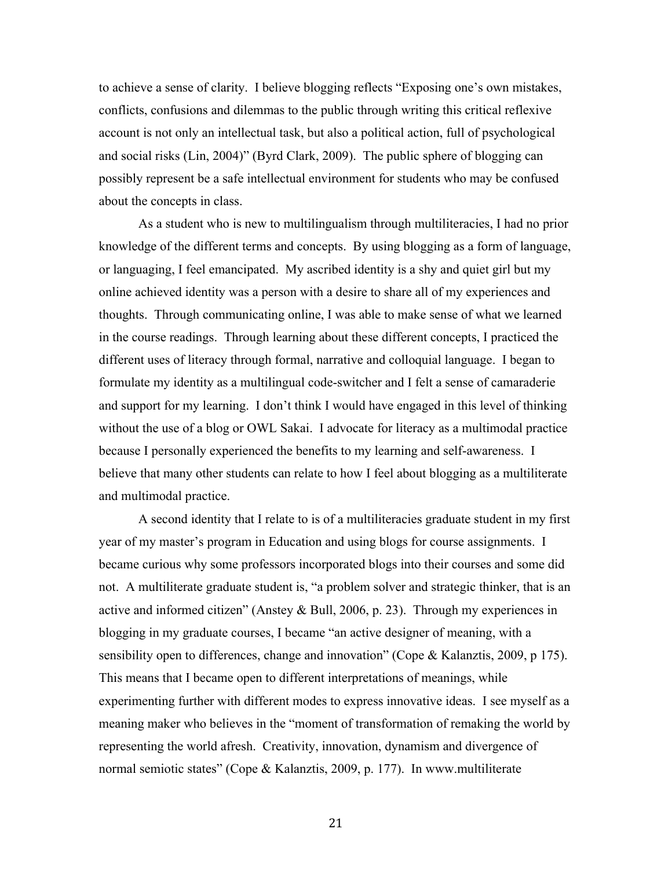to achieve a sense of clarity. I believe blogging reflects "Exposing one's own mistakes, conflicts, confusions and dilemmas to the public through writing this critical reflexive account is not only an intellectual task, but also a political action, full of psychological and social risks (Lin, 2004)" (Byrd Clark, 2009). The public sphere of blogging can possibly represent be a safe intellectual environment for students who may be confused about the concepts in class.

As a student who is new to multilingualism through multiliteracies, I had no prior knowledge of the different terms and concepts. By using blogging as a form of language, or languaging, I feel emancipated. My ascribed identity is a shy and quiet girl but my online achieved identity was a person with a desire to share all of my experiences and thoughts. Through communicating online, I was able to make sense of what we learned in the course readings. Through learning about these different concepts, I practiced the different uses of literacy through formal, narrative and colloquial language. I began to formulate my identity as a multilingual code-switcher and I felt a sense of camaraderie and support for my learning. I don't think I would have engaged in this level of thinking without the use of a blog or OWL Sakai. I advocate for literacy as a multimodal practice because I personally experienced the benefits to my learning and self-awareness. I believe that many other students can relate to how I feel about blogging as a multiliterate and multimodal practice.

A second identity that I relate to is of a multiliteracies graduate student in my first year of my master's program in Education and using blogs for course assignments. I became curious why some professors incorporated blogs into their courses and some did not. A multiliterate graduate student is, "a problem solver and strategic thinker, that is an active and informed citizen" (Anstey & Bull, 2006, p. 23). Through my experiences in blogging in my graduate courses, I became "an active designer of meaning, with a sensibility open to differences, change and innovation" (Cope & Kalanztis, 2009, p 175). This means that I became open to different interpretations of meanings, while experimenting further with different modes to express innovative ideas. I see myself as a meaning maker who believes in the "moment of transformation of remaking the world by representing the world afresh. Creativity, innovation, dynamism and divergence of normal semiotic states" (Cope & Kalanztis, 2009, p. 177). In www.multiliterate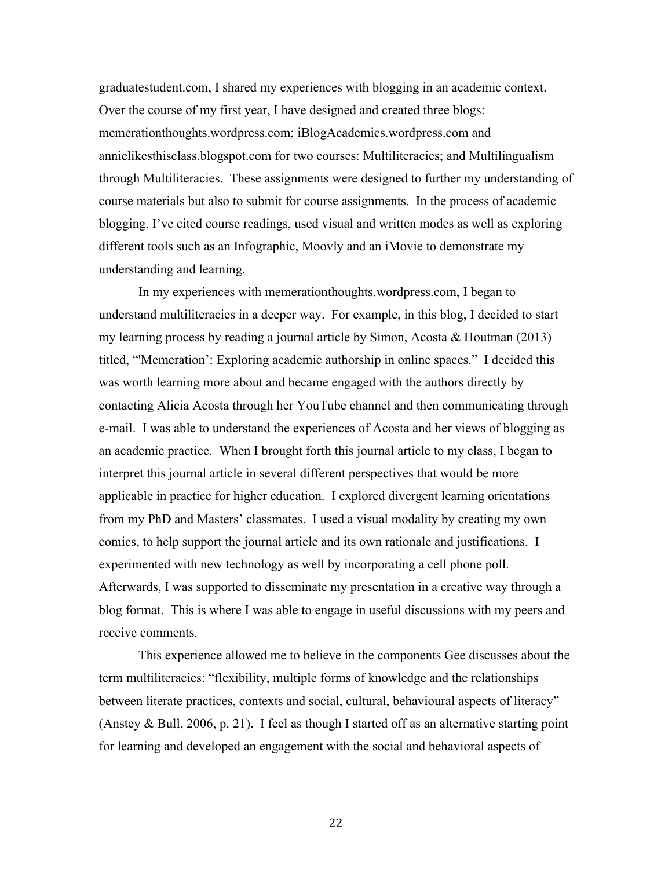graduatestudent.com, I shared my experiences with blogging in an academic context. Over the course of my first year, I have designed and created three blogs: memerationthoughts.wordpress.com; iBlogAcademics.wordpress.com and annielikesthisclass.blogspot.com for two courses: Multiliteracies; and Multilingualism through Multiliteracies. These assignments were designed to further my understanding of course materials but also to submit for course assignments. In the process of academic blogging, I've cited course readings, used visual and written modes as well as exploring different tools such as an Infographic, Moovly and an iMovie to demonstrate my understanding and learning.

In my experiences with memerationthoughts.wordpress.com, I began to understand multiliteracies in a deeper way. For example, in this blog, I decided to start my learning process by reading a journal article by Simon, Acosta & Houtman (2013) titled, "'Memeration': Exploring academic authorship in online spaces." I decided this was worth learning more about and became engaged with the authors directly by contacting Alicia Acosta through her YouTube channel and then communicating through e-mail. I was able to understand the experiences of Acosta and her views of blogging as an academic practice. When I brought forth this journal article to my class, I began to interpret this journal article in several different perspectives that would be more applicable in practice for higher education. I explored divergent learning orientations from my PhD and Masters' classmates. I used a visual modality by creating my own comics, to help support the journal article and its own rationale and justifications. I experimented with new technology as well by incorporating a cell phone poll. Afterwards, I was supported to disseminate my presentation in a creative way through a blog format. This is where I was able to engage in useful discussions with my peers and receive comments.

This experience allowed me to believe in the components Gee discusses about the term multiliteracies: "flexibility, multiple forms of knowledge and the relationships between literate practices, contexts and social, cultural, behavioural aspects of literacy" (Anstey & Bull, 2006, p. 21). I feel as though I started off as an alternative starting point for learning and developed an engagement with the social and behavioral aspects of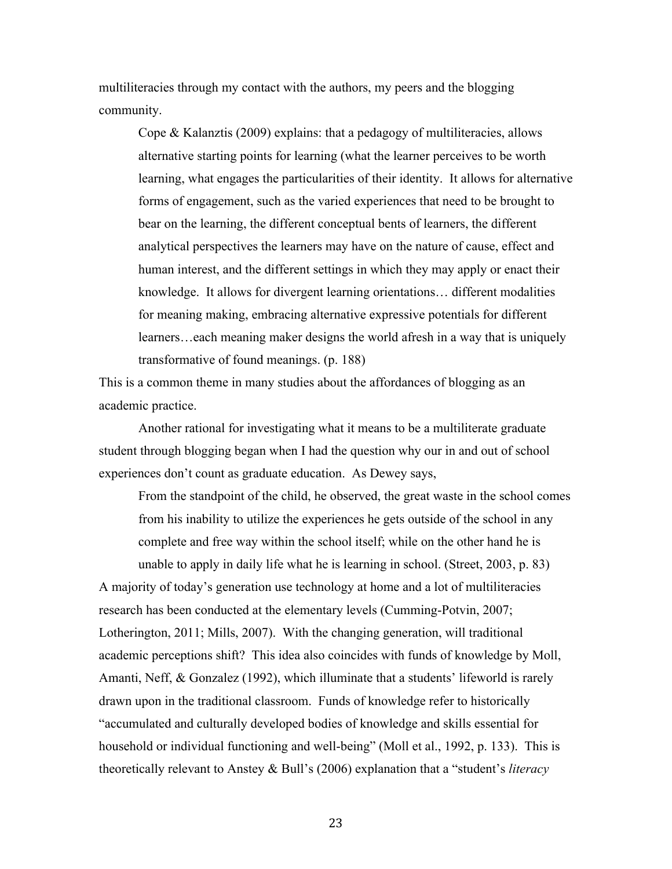multiliteracies through my contact with the authors, my peers and the blogging community.

Cope & Kalanztis (2009) explains: that a pedagogy of multiliteracies, allows alternative starting points for learning (what the learner perceives to be worth learning, what engages the particularities of their identity. It allows for alternative forms of engagement, such as the varied experiences that need to be brought to bear on the learning, the different conceptual bents of learners, the different analytical perspectives the learners may have on the nature of cause, effect and human interest, and the different settings in which they may apply or enact their knowledge. It allows for divergent learning orientations… different modalities for meaning making, embracing alternative expressive potentials for different learners…each meaning maker designs the world afresh in a way that is uniquely transformative of found meanings. (p. 188)

This is a common theme in many studies about the affordances of blogging as an academic practice.

Another rational for investigating what it means to be a multiliterate graduate student through blogging began when I had the question why our in and out of school experiences don't count as graduate education. As Dewey says,

From the standpoint of the child, he observed, the great waste in the school comes from his inability to utilize the experiences he gets outside of the school in any complete and free way within the school itself; while on the other hand he is unable to apply in daily life what he is learning in school. (Street, 2003, p. 83) A majority of today's generation use technology at home and a lot of multiliteracies research has been conducted at the elementary levels (Cumming-Potvin, 2007; Lotherington, 2011; Mills, 2007). With the changing generation, will traditional academic perceptions shift? This idea also coincides with funds of knowledge by Moll, Amanti, Neff, & Gonzalez (1992), which illuminate that a students' lifeworld is rarely drawn upon in the traditional classroom. Funds of knowledge refer to historically "accumulated and culturally developed bodies of knowledge and skills essential for household or individual functioning and well-being" (Moll et al., 1992, p. 133). This is theoretically relevant to Anstey & Bull's (2006) explanation that a "student's *literacy*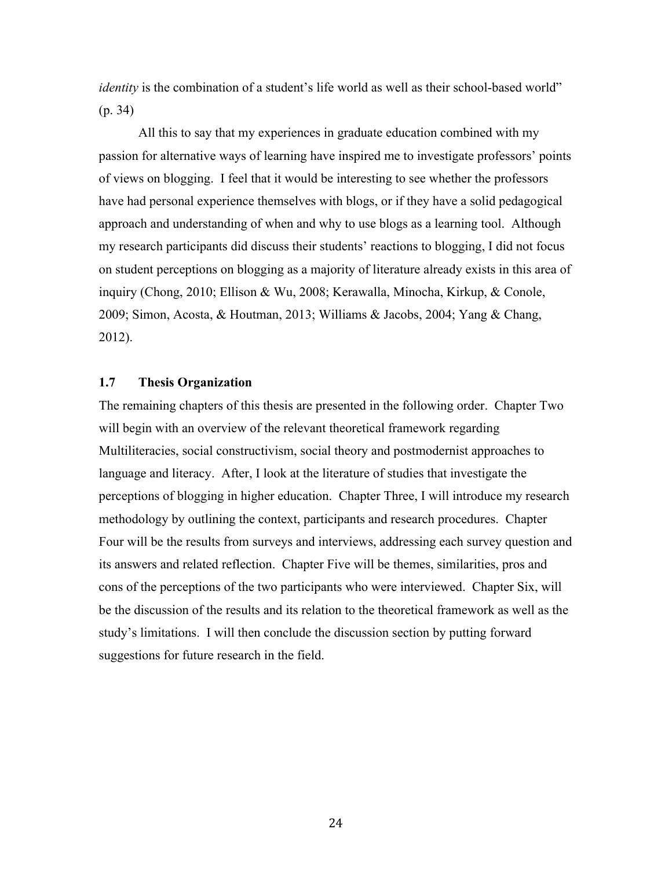*identity* is the combination of a student's life world as well as their school-based world" (p. 34)

All this to say that my experiences in graduate education combined with my passion for alternative ways of learning have inspired me to investigate professors' points of views on blogging. I feel that it would be interesting to see whether the professors have had personal experience themselves with blogs, or if they have a solid pedagogical approach and understanding of when and why to use blogs as a learning tool. Although my research participants did discuss their students' reactions to blogging, I did not focus on student perceptions on blogging as a majority of literature already exists in this area of inquiry (Chong, 2010; Ellison & Wu, 2008; Kerawalla, Minocha, Kirkup, & Conole, 2009; Simon, Acosta, & Houtman, 2013; Williams & Jacobs, 2004; Yang & Chang, 2012).

#### **1.7 Thesis Organization**

The remaining chapters of this thesis are presented in the following order. Chapter Two will begin with an overview of the relevant theoretical framework regarding Multiliteracies, social constructivism, social theory and postmodernist approaches to language and literacy. After, I look at the literature of studies that investigate the perceptions of blogging in higher education. Chapter Three, I will introduce my research methodology by outlining the context, participants and research procedures. Chapter Four will be the results from surveys and interviews, addressing each survey question and its answers and related reflection. Chapter Five will be themes, similarities, pros and cons of the perceptions of the two participants who were interviewed. Chapter Six, will be the discussion of the results and its relation to the theoretical framework as well as the study's limitations. I will then conclude the discussion section by putting forward suggestions for future research in the field.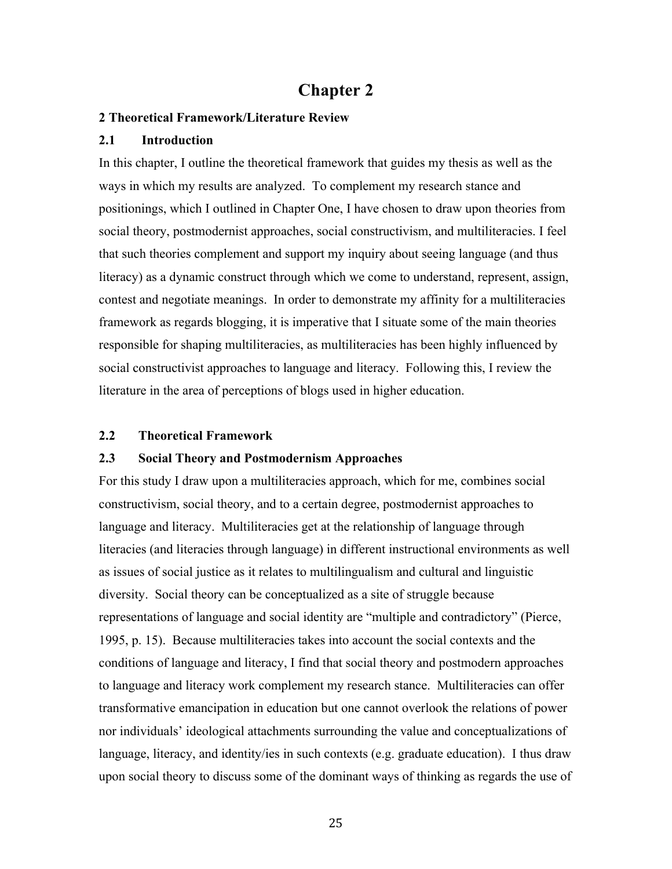## **Chapter 2**

#### **2 Theoretical Framework/Literature Review**

#### **2.1 Introduction**

In this chapter, I outline the theoretical framework that guides my thesis as well as the ways in which my results are analyzed. To complement my research stance and positionings, which I outlined in Chapter One, I have chosen to draw upon theories from social theory, postmodernist approaches, social constructivism, and multiliteracies. I feel that such theories complement and support my inquiry about seeing language (and thus literacy) as a dynamic construct through which we come to understand, represent, assign, contest and negotiate meanings. In order to demonstrate my affinity for a multiliteracies framework as regards blogging, it is imperative that I situate some of the main theories responsible for shaping multiliteracies, as multiliteracies has been highly influenced by social constructivist approaches to language and literacy. Following this, I review the literature in the area of perceptions of blogs used in higher education.

#### **2.2 Theoretical Framework**

### **2.3 Social Theory and Postmodernism Approaches**

For this study I draw upon a multiliteracies approach, which for me, combines social constructivism, social theory, and to a certain degree, postmodernist approaches to language and literacy. Multiliteracies get at the relationship of language through literacies (and literacies through language) in different instructional environments as well as issues of social justice as it relates to multilingualism and cultural and linguistic diversity. Social theory can be conceptualized as a site of struggle because representations of language and social identity are "multiple and contradictory" (Pierce, 1995, p. 15). Because multiliteracies takes into account the social contexts and the conditions of language and literacy, I find that social theory and postmodern approaches to language and literacy work complement my research stance. Multiliteracies can offer transformative emancipation in education but one cannot overlook the relations of power nor individuals' ideological attachments surrounding the value and conceptualizations of language, literacy, and identity/ies in such contexts (e.g. graduate education). I thus draw upon social theory to discuss some of the dominant ways of thinking as regards the use of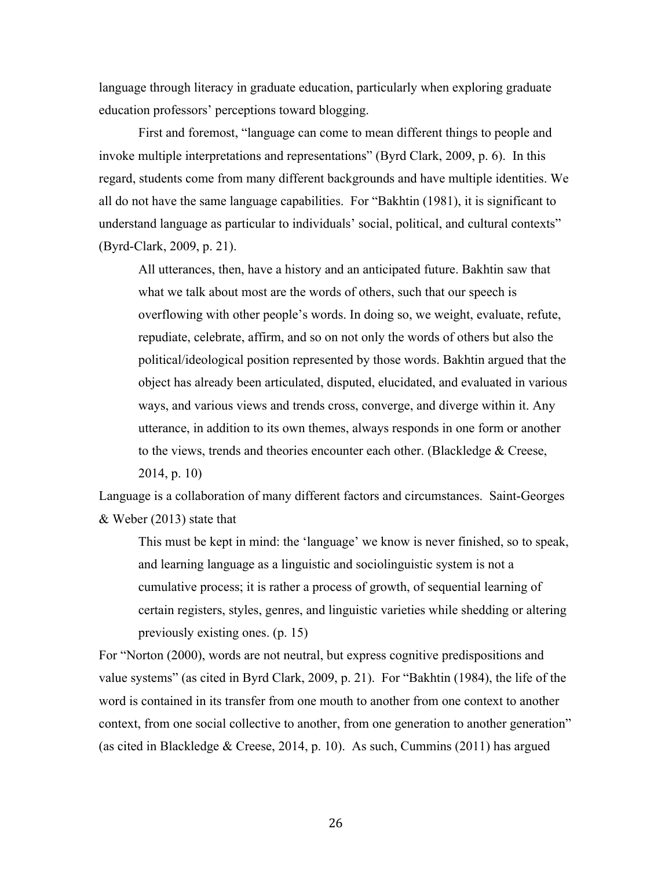language through literacy in graduate education, particularly when exploring graduate education professors' perceptions toward blogging.

First and foremost, "language can come to mean different things to people and invoke multiple interpretations and representations" (Byrd Clark, 2009, p. 6). In this regard, students come from many different backgrounds and have multiple identities. We all do not have the same language capabilities. For "Bakhtin (1981), it is significant to understand language as particular to individuals' social, political, and cultural contexts" (Byrd-Clark, 2009, p. 21).

All utterances, then, have a history and an anticipated future. Bakhtin saw that what we talk about most are the words of others, such that our speech is overflowing with other people's words. In doing so, we weight, evaluate, refute, repudiate, celebrate, affirm, and so on not only the words of others but also the political/ideological position represented by those words. Bakhtin argued that the object has already been articulated, disputed, elucidated, and evaluated in various ways, and various views and trends cross, converge, and diverge within it. Any utterance, in addition to its own themes, always responds in one form or another to the views, trends and theories encounter each other. (Blackledge & Creese, 2014, p. 10)

Language is a collaboration of many different factors and circumstances. Saint-Georges & Weber (2013) state that

This must be kept in mind: the 'language' we know is never finished, so to speak, and learning language as a linguistic and sociolinguistic system is not a cumulative process; it is rather a process of growth, of sequential learning of certain registers, styles, genres, and linguistic varieties while shedding or altering previously existing ones. (p. 15)

For "Norton (2000), words are not neutral, but express cognitive predispositions and value systems" (as cited in Byrd Clark, 2009, p. 21). For "Bakhtin (1984), the life of the word is contained in its transfer from one mouth to another from one context to another context, from one social collective to another, from one generation to another generation" (as cited in Blackledge & Creese, 2014, p. 10). As such, Cummins (2011) has argued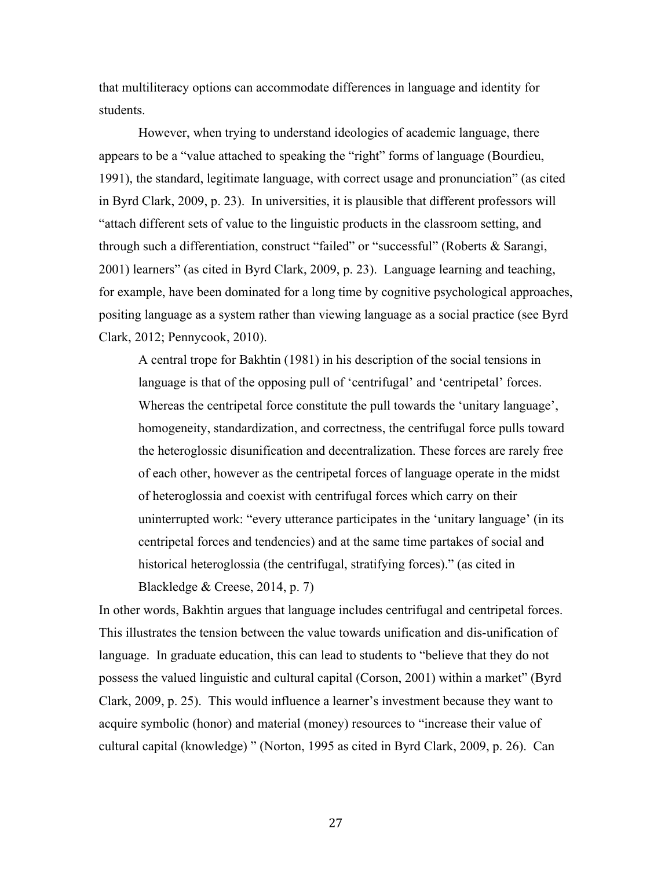that multiliteracy options can accommodate differences in language and identity for students.

However, when trying to understand ideologies of academic language, there appears to be a "value attached to speaking the "right" forms of language (Bourdieu, 1991), the standard, legitimate language, with correct usage and pronunciation" (as cited in Byrd Clark, 2009, p. 23). In universities, it is plausible that different professors will "attach different sets of value to the linguistic products in the classroom setting, and through such a differentiation, construct "failed" or "successful" (Roberts & Sarangi, 2001) learners" (as cited in Byrd Clark, 2009, p. 23). Language learning and teaching, for example, have been dominated for a long time by cognitive psychological approaches, positing language as a system rather than viewing language as a social practice (see Byrd Clark, 2012; Pennycook, 2010).

A central trope for Bakhtin (1981) in his description of the social tensions in language is that of the opposing pull of 'centrifugal' and 'centripetal' forces. Whereas the centripetal force constitute the pull towards the 'unitary language', homogeneity, standardization, and correctness, the centrifugal force pulls toward the heteroglossic disunification and decentralization. These forces are rarely free of each other, however as the centripetal forces of language operate in the midst of heteroglossia and coexist with centrifugal forces which carry on their uninterrupted work: "every utterance participates in the 'unitary language' (in its centripetal forces and tendencies) and at the same time partakes of social and historical heteroglossia (the centrifugal, stratifying forces)." (as cited in

Blackledge & Creese, 2014, p. 7)

In other words, Bakhtin argues that language includes centrifugal and centripetal forces. This illustrates the tension between the value towards unification and dis-unification of language. In graduate education, this can lead to students to "believe that they do not possess the valued linguistic and cultural capital (Corson, 2001) within a market" (Byrd Clark, 2009, p. 25). This would influence a learner's investment because they want to acquire symbolic (honor) and material (money) resources to "increase their value of cultural capital (knowledge) " (Norton, 1995 as cited in Byrd Clark, 2009, p. 26). Can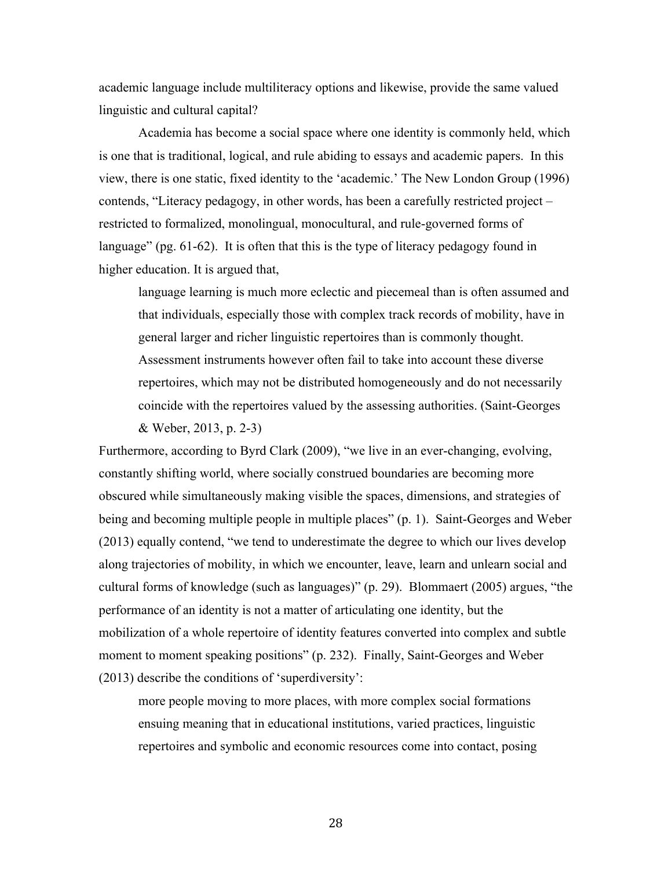academic language include multiliteracy options and likewise, provide the same valued linguistic and cultural capital?

Academia has become a social space where one identity is commonly held, which is one that is traditional, logical, and rule abiding to essays and academic papers. In this view, there is one static, fixed identity to the 'academic.' The New London Group (1996) contends, "Literacy pedagogy, in other words, has been a carefully restricted project – restricted to formalized, monolingual, monocultural, and rule-governed forms of language" (pg. 61-62). It is often that this is the type of literacy pedagogy found in higher education. It is argued that,

language learning is much more eclectic and piecemeal than is often assumed and that individuals, especially those with complex track records of mobility, have in general larger and richer linguistic repertoires than is commonly thought. Assessment instruments however often fail to take into account these diverse repertoires, which may not be distributed homogeneously and do not necessarily coincide with the repertoires valued by the assessing authorities. (Saint-Georges & Weber, 2013, p. 2-3)

Furthermore, according to Byrd Clark (2009), "we live in an ever-changing, evolving, constantly shifting world, where socially construed boundaries are becoming more obscured while simultaneously making visible the spaces, dimensions, and strategies of being and becoming multiple people in multiple places" (p. 1). Saint-Georges and Weber (2013) equally contend, "we tend to underestimate the degree to which our lives develop along trajectories of mobility, in which we encounter, leave, learn and unlearn social and cultural forms of knowledge (such as languages)" (p. 29). Blommaert (2005) argues, "the performance of an identity is not a matter of articulating one identity, but the mobilization of a whole repertoire of identity features converted into complex and subtle moment to moment speaking positions" (p. 232). Finally, Saint-Georges and Weber (2013) describe the conditions of 'superdiversity':

more people moving to more places, with more complex social formations ensuing meaning that in educational institutions, varied practices, linguistic repertoires and symbolic and economic resources come into contact, posing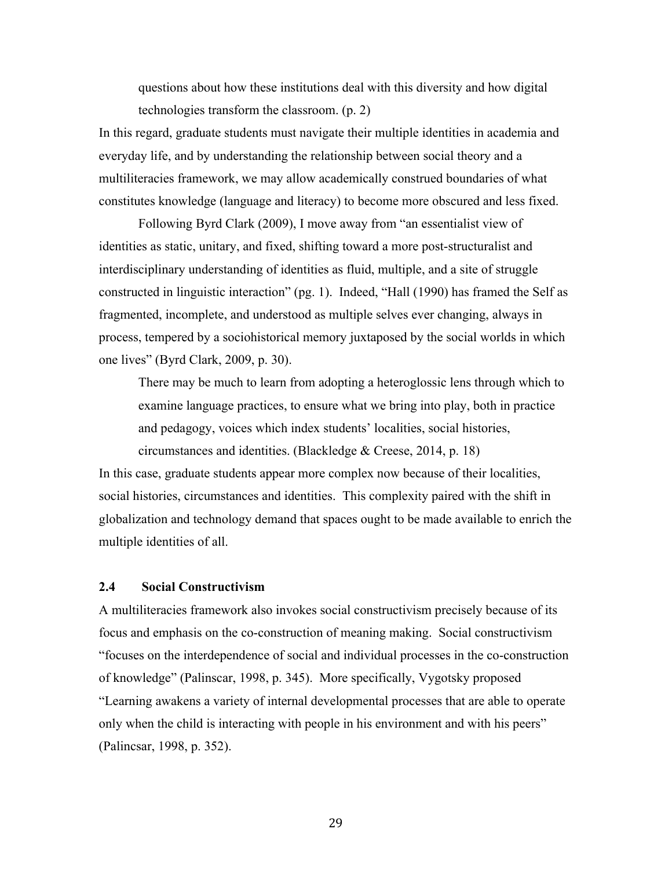questions about how these institutions deal with this diversity and how digital technologies transform the classroom. (p. 2)

In this regard, graduate students must navigate their multiple identities in academia and everyday life, and by understanding the relationship between social theory and a multiliteracies framework, we may allow academically construed boundaries of what constitutes knowledge (language and literacy) to become more obscured and less fixed.

Following Byrd Clark (2009), I move away from "an essentialist view of identities as static, unitary, and fixed, shifting toward a more post-structuralist and interdisciplinary understanding of identities as fluid, multiple, and a site of struggle constructed in linguistic interaction" (pg. 1). Indeed, "Hall (1990) has framed the Self as fragmented, incomplete, and understood as multiple selves ever changing, always in process, tempered by a sociohistorical memory juxtaposed by the social worlds in which one lives" (Byrd Clark, 2009, p. 30).

There may be much to learn from adopting a heteroglossic lens through which to examine language practices, to ensure what we bring into play, both in practice and pedagogy, voices which index students' localities, social histories, circumstances and identities. (Blackledge & Creese, 2014, p. 18)

In this case, graduate students appear more complex now because of their localities, social histories, circumstances and identities. This complexity paired with the shift in globalization and technology demand that spaces ought to be made available to enrich the multiple identities of all.

## **2.4 Social Constructivism**

A multiliteracies framework also invokes social constructivism precisely because of its focus and emphasis on the co-construction of meaning making. Social constructivism "focuses on the interdependence of social and individual processes in the co-construction of knowledge" (Palinscar, 1998, p. 345). More specifically, Vygotsky proposed "Learning awakens a variety of internal developmental processes that are able to operate only when the child is interacting with people in his environment and with his peers" (Palincsar, 1998, p. 352).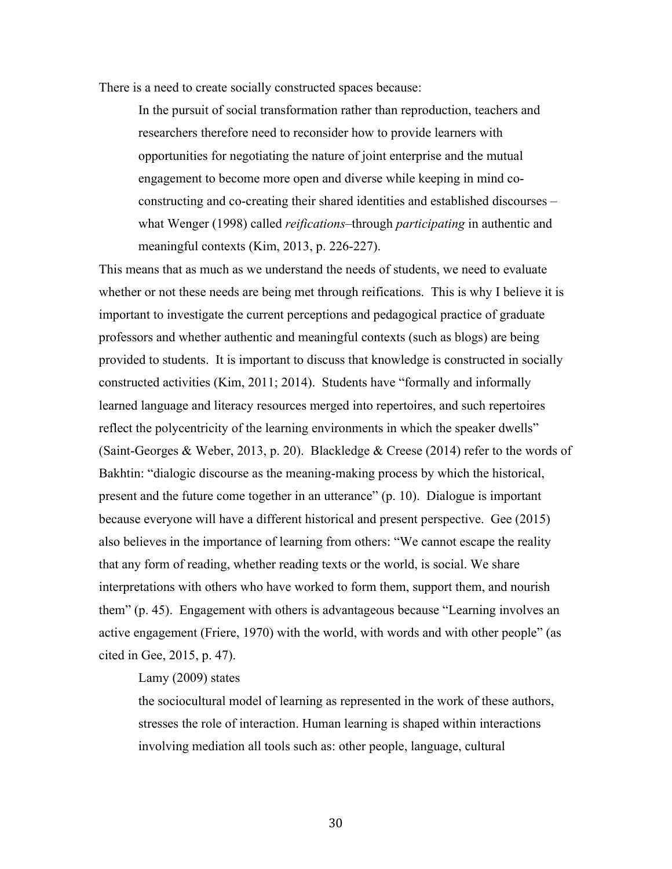There is a need to create socially constructed spaces because:

In the pursuit of social transformation rather than reproduction, teachers and researchers therefore need to reconsider how to provide learners with opportunities for negotiating the nature of joint enterprise and the mutual engagement to become more open and diverse while keeping in mind coconstructing and co-creating their shared identities and established discourses – what Wenger (1998) called *reifications*–through *participating* in authentic and meaningful contexts (Kim, 2013, p. 226-227).

This means that as much as we understand the needs of students, we need to evaluate whether or not these needs are being met through reifications. This is why I believe it is important to investigate the current perceptions and pedagogical practice of graduate professors and whether authentic and meaningful contexts (such as blogs) are being provided to students. It is important to discuss that knowledge is constructed in socially constructed activities (Kim, 2011; 2014). Students have "formally and informally learned language and literacy resources merged into repertoires, and such repertoires reflect the polycentricity of the learning environments in which the speaker dwells" (Saint-Georges & Weber, 2013, p. 20). Blackledge & Creese (2014) refer to the words of Bakhtin: "dialogic discourse as the meaning-making process by which the historical, present and the future come together in an utterance" (p. 10). Dialogue is important because everyone will have a different historical and present perspective. Gee (2015) also believes in the importance of learning from others: "We cannot escape the reality that any form of reading, whether reading texts or the world, is social. We share interpretations with others who have worked to form them, support them, and nourish them" (p. 45). Engagement with others is advantageous because "Learning involves an active engagement (Friere, 1970) with the world, with words and with other people" (as cited in Gee, 2015, p. 47).

## Lamy (2009) states

the sociocultural model of learning as represented in the work of these authors, stresses the role of interaction. Human learning is shaped within interactions involving mediation all tools such as: other people, language, cultural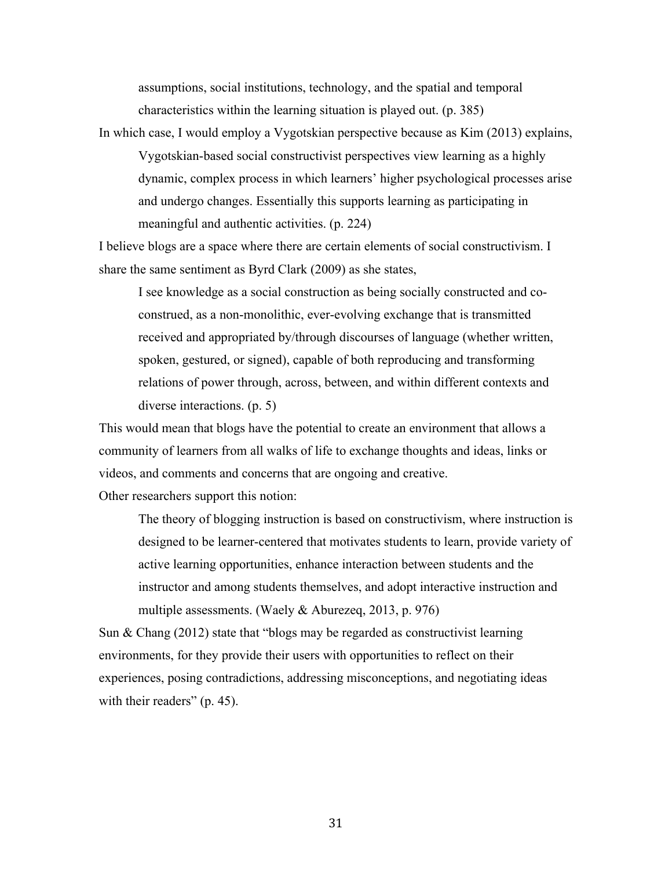assumptions, social institutions, technology, and the spatial and temporal characteristics within the learning situation is played out. (p. 385)

In which case, I would employ a Vygotskian perspective because as Kim (2013) explains, Vygotskian-based social constructivist perspectives view learning as a highly dynamic, complex process in which learners' higher psychological processes arise and undergo changes. Essentially this supports learning as participating in meaningful and authentic activities. (p. 224)

I believe blogs are a space where there are certain elements of social constructivism. I share the same sentiment as Byrd Clark (2009) as she states,

I see knowledge as a social construction as being socially constructed and coconstrued, as a non-monolithic, ever-evolving exchange that is transmitted received and appropriated by/through discourses of language (whether written, spoken, gestured, or signed), capable of both reproducing and transforming relations of power through, across, between, and within different contexts and diverse interactions. (p. 5)

This would mean that blogs have the potential to create an environment that allows a community of learners from all walks of life to exchange thoughts and ideas, links or videos, and comments and concerns that are ongoing and creative.

Other researchers support this notion:

The theory of blogging instruction is based on constructivism, where instruction is designed to be learner-centered that motivates students to learn, provide variety of active learning opportunities, enhance interaction between students and the instructor and among students themselves, and adopt interactive instruction and multiple assessments. (Waely & Aburezeq, 2013, p. 976)

Sun & Chang (2012) state that "blogs may be regarded as constructivist learning environments, for they provide their users with opportunities to reflect on their experiences, posing contradictions, addressing misconceptions, and negotiating ideas with their readers" (p. 45).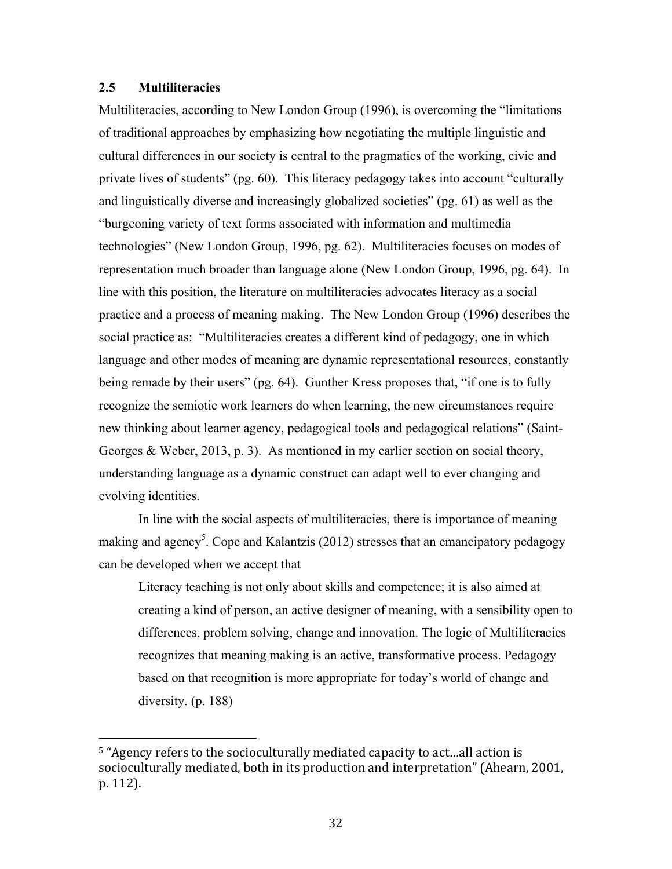## **2.5 Multiliteracies**

 

Multiliteracies, according to New London Group (1996), is overcoming the "limitations of traditional approaches by emphasizing how negotiating the multiple linguistic and cultural differences in our society is central to the pragmatics of the working, civic and private lives of students" (pg. 60). This literacy pedagogy takes into account "culturally and linguistically diverse and increasingly globalized societies" (pg. 61) as well as the "burgeoning variety of text forms associated with information and multimedia technologies" (New London Group, 1996, pg. 62). Multiliteracies focuses on modes of representation much broader than language alone (New London Group, 1996, pg. 64). In line with this position, the literature on multiliteracies advocates literacy as a social practice and a process of meaning making. The New London Group (1996) describes the social practice as: "Multiliteracies creates a different kind of pedagogy, one in which language and other modes of meaning are dynamic representational resources, constantly being remade by their users" (pg. 64). Gunther Kress proposes that, "if one is to fully recognize the semiotic work learners do when learning, the new circumstances require new thinking about learner agency, pedagogical tools and pedagogical relations" (Saint-Georges & Weber, 2013, p. 3). As mentioned in my earlier section on social theory, understanding language as a dynamic construct can adapt well to ever changing and evolving identities.

In line with the social aspects of multiliteracies, there is importance of meaning making and agency<sup>5</sup>. Cope and Kalantzis (2012) stresses that an emancipatory pedagogy can be developed when we accept that

Literacy teaching is not only about skills and competence; it is also aimed at creating a kind of person, an active designer of meaning, with a sensibility open to differences, problem solving, change and innovation. The logic of Multiliteracies recognizes that meaning making is an active, transformative process. Pedagogy based on that recognition is more appropriate for today's world of change and diversity. (p. 188)

<sup>&</sup>lt;sup>5</sup> "Agency refers to the socioculturally mediated capacity to act...all action is socioculturally mediated, both in its production and interpretation" (Ahearn, 2001, p. 112).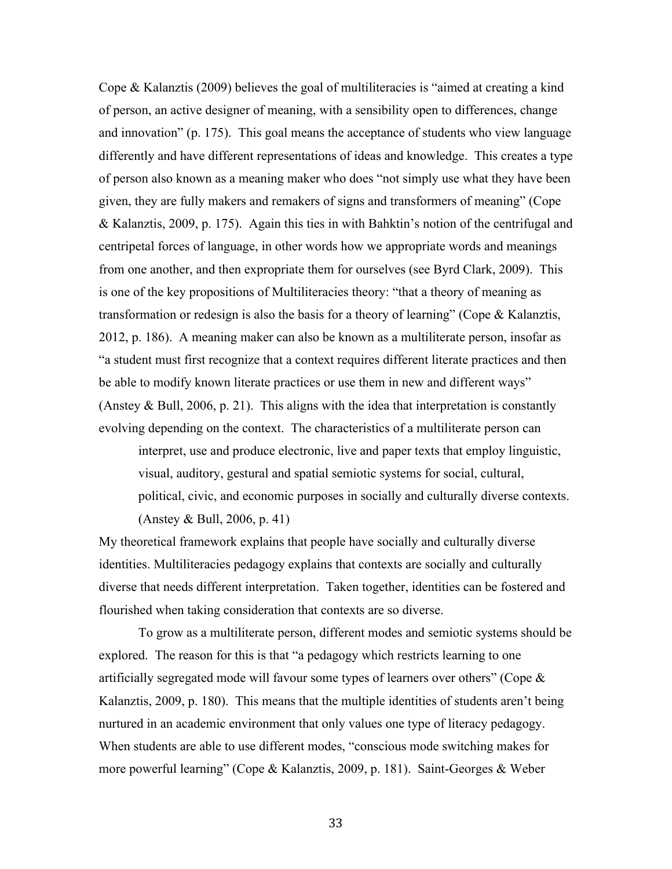Cope & Kalanztis (2009) believes the goal of multiliteracies is "aimed at creating a kind of person, an active designer of meaning, with a sensibility open to differences, change and innovation" (p. 175). This goal means the acceptance of students who view language differently and have different representations of ideas and knowledge. This creates a type of person also known as a meaning maker who does "not simply use what they have been given, they are fully makers and remakers of signs and transformers of meaning" (Cope & Kalanztis, 2009, p. 175). Again this ties in with Bahktin's notion of the centrifugal and centripetal forces of language, in other words how we appropriate words and meanings from one another, and then expropriate them for ourselves (see Byrd Clark, 2009). This is one of the key propositions of Multiliteracies theory: "that a theory of meaning as transformation or redesign is also the basis for a theory of learning" (Cope & Kalanztis, 2012, p. 186). A meaning maker can also be known as a multiliterate person, insofar as "a student must first recognize that a context requires different literate practices and then be able to modify known literate practices or use them in new and different ways" (Anstey & Bull, 2006, p. 21). This aligns with the idea that interpretation is constantly evolving depending on the context. The characteristics of a multiliterate person can

interpret, use and produce electronic, live and paper texts that employ linguistic, visual, auditory, gestural and spatial semiotic systems for social, cultural, political, civic, and economic purposes in socially and culturally diverse contexts. (Anstey & Bull, 2006, p. 41)

My theoretical framework explains that people have socially and culturally diverse identities. Multiliteracies pedagogy explains that contexts are socially and culturally diverse that needs different interpretation. Taken together, identities can be fostered and flourished when taking consideration that contexts are so diverse.

To grow as a multiliterate person, different modes and semiotic systems should be explored. The reason for this is that "a pedagogy which restricts learning to one artificially segregated mode will favour some types of learners over others" (Cope  $\&$ Kalanztis, 2009, p. 180). This means that the multiple identities of students aren't being nurtured in an academic environment that only values one type of literacy pedagogy. When students are able to use different modes, "conscious mode switching makes for more powerful learning" (Cope & Kalanztis, 2009, p. 181). Saint-Georges & Weber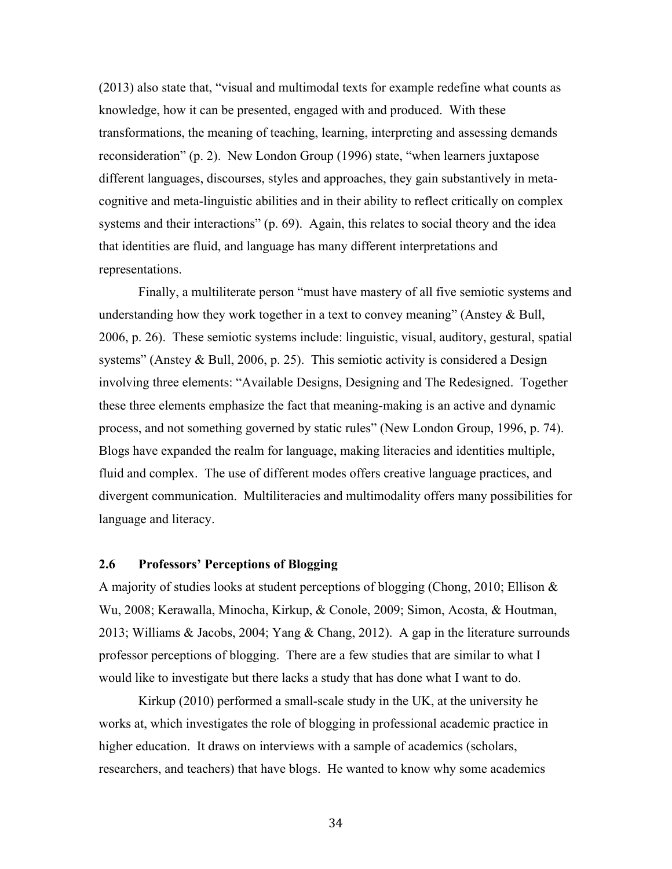(2013) also state that, "visual and multimodal texts for example redefine what counts as knowledge, how it can be presented, engaged with and produced. With these transformations, the meaning of teaching, learning, interpreting and assessing demands reconsideration" (p. 2). New London Group (1996) state, "when learners juxtapose different languages, discourses, styles and approaches, they gain substantively in metacognitive and meta-linguistic abilities and in their ability to reflect critically on complex systems and their interactions"  $(p. 69)$ . Again, this relates to social theory and the idea that identities are fluid, and language has many different interpretations and representations.

Finally, a multiliterate person "must have mastery of all five semiotic systems and understanding how they work together in a text to convey meaning" (Anstey  $\&$  Bull, 2006, p. 26). These semiotic systems include: linguistic, visual, auditory, gestural, spatial systems" (Anstey & Bull, 2006, p. 25). This semiotic activity is considered a Design involving three elements: "Available Designs, Designing and The Redesigned. Together these three elements emphasize the fact that meaning-making is an active and dynamic process, and not something governed by static rules" (New London Group, 1996, p. 74). Blogs have expanded the realm for language, making literacies and identities multiple, fluid and complex. The use of different modes offers creative language practices, and divergent communication. Multiliteracies and multimodality offers many possibilities for language and literacy.

## **2.6 Professors' Perceptions of Blogging**

A majority of studies looks at student perceptions of blogging (Chong, 2010; Ellison & Wu, 2008; Kerawalla, Minocha, Kirkup, & Conole, 2009; Simon, Acosta, & Houtman, 2013; Williams & Jacobs, 2004; Yang & Chang, 2012). A gap in the literature surrounds professor perceptions of blogging. There are a few studies that are similar to what I would like to investigate but there lacks a study that has done what I want to do.

Kirkup (2010) performed a small-scale study in the UK, at the university he works at, which investigates the role of blogging in professional academic practice in higher education. It draws on interviews with a sample of academics (scholars, researchers, and teachers) that have blogs. He wanted to know why some academics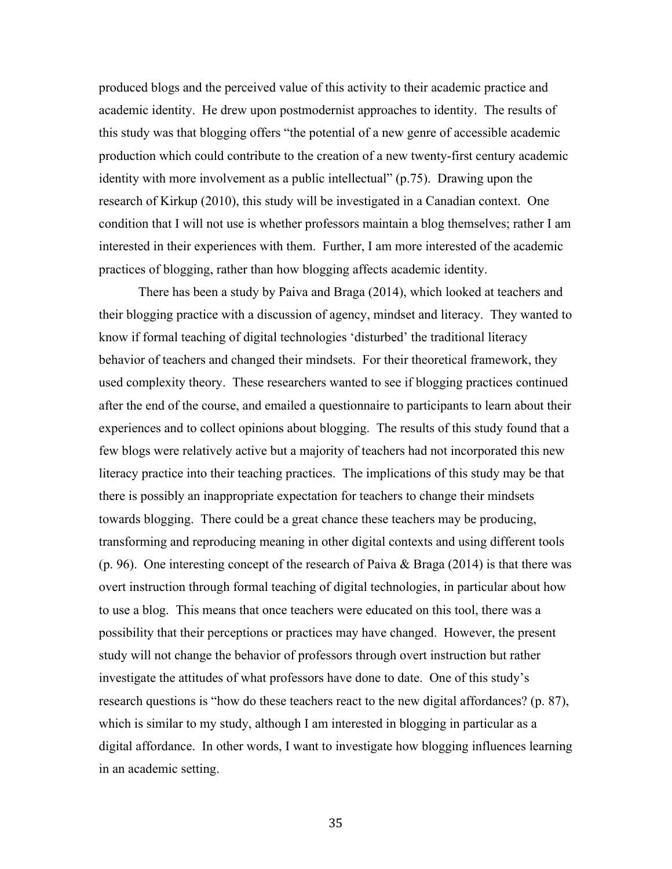produced blogs and the perceived value of this activity to their academic practice and academic identity. He drew upon postmodernist approaches to identity. The results of this study was that blogging offers "the potential of a new genre of accessible academic production which could contribute to the creation of a new twenty-first century academic identity with more involvement as a public intellectual" (p.75). Drawing upon the research of Kirkup (2010), this study will be investigated in a Canadian context. One condition that I will not use is whether professors maintain a blog themselves; rather I am interested in their experiences with them. Further, I am more interested of the academic practices of blogging, rather than how blogging affects academic identity.

There has been a study by Paiva and Braga (2014), which looked at teachers and their blogging practice with a discussion of agency, mindset and literacy. They wanted to know if formal teaching of digital technologies 'disturbed' the traditional literacy behavior of teachers and changed their mindsets. For their theoretical framework, they used complexity theory. These researchers wanted to see if blogging practices continued after the end of the course, and emailed a questionnaire to participants to learn about their experiences and to collect opinions about blogging. The results of this study found that a few blogs were relatively active but a majority of teachers had not incorporated this new literacy practice into their teaching practices. The implications of this study may be that there is possibly an inappropriate expectation for teachers to change their mindsets towards blogging. There could be a great chance these teachers may be producing, transforming and reproducing meaning in other digital contexts and using different tools (p. 96). One interesting concept of the research of Paiva & Braga (2014) is that there was overt instruction through formal teaching of digital technologies, in particular about how to use a blog. This means that once teachers were educated on this tool, there was a possibility that their perceptions or practices may have changed. However, the present study will not change the behavior of professors through overt instruction but rather investigate the attitudes of what professors have done to date. One of this study's research questions is "how do these teachers react to the new digital affordances? (p. 87), which is similar to my study, although I am interested in blogging in particular as a digital affordance. In other words, I want to investigate how blogging influences learning in an academic setting.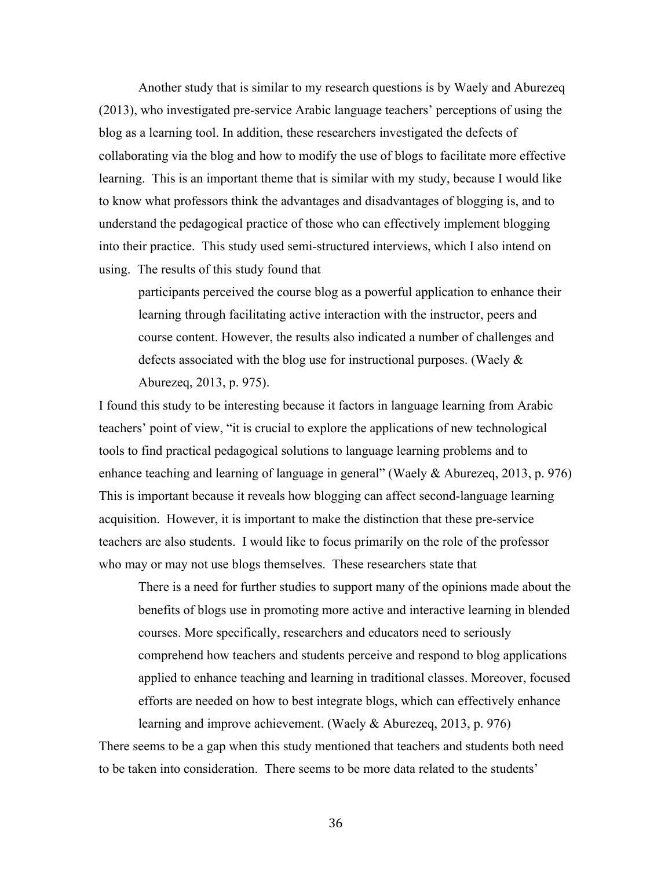Another study that is similar to my research questions is by Waely and Aburezeq (2013), who investigated pre-service Arabic language teachers' perceptions of using the blog as a learning tool. In addition, these researchers investigated the defects of collaborating via the blog and how to modify the use of blogs to facilitate more effective learning. This is an important theme that is similar with my study, because I would like to know what professors think the advantages and disadvantages of blogging is, and to understand the pedagogical practice of those who can effectively implement blogging into their practice. This study used semi-structured interviews, which I also intend on using. The results of this study found that

participants perceived the course blog as a powerful application to enhance their learning through facilitating active interaction with the instructor, peers and course content. However, the results also indicated a number of challenges and defects associated with the blog use for instructional purposes. (Waely & Aburezeq, 2013, p. 975).

I found this study to be interesting because it factors in language learning from Arabic teachers' point of view, "it is crucial to explore the applications of new technological tools to find practical pedagogical solutions to language learning problems and to enhance teaching and learning of language in general" (Waely & Aburezeq, 2013, p. 976) This is important because it reveals how blogging can affect second-language learning acquisition. However, it is important to make the distinction that these pre-service teachers are also students. I would like to focus primarily on the role of the professor who may or may not use blogs themselves. These researchers state that

There is a need for further studies to support many of the opinions made about the benefits of blogs use in promoting more active and interactive learning in blended courses. More specifically, researchers and educators need to seriously comprehend how teachers and students perceive and respond to blog applications applied to enhance teaching and learning in traditional classes. Moreover, focused efforts are needed on how to best integrate blogs, which can effectively enhance learning and improve achievement. (Waely & Aburezeq, 2013, p. 976)

There seems to be a gap when this study mentioned that teachers and students both need to be taken into consideration. There seems to be more data related to the students'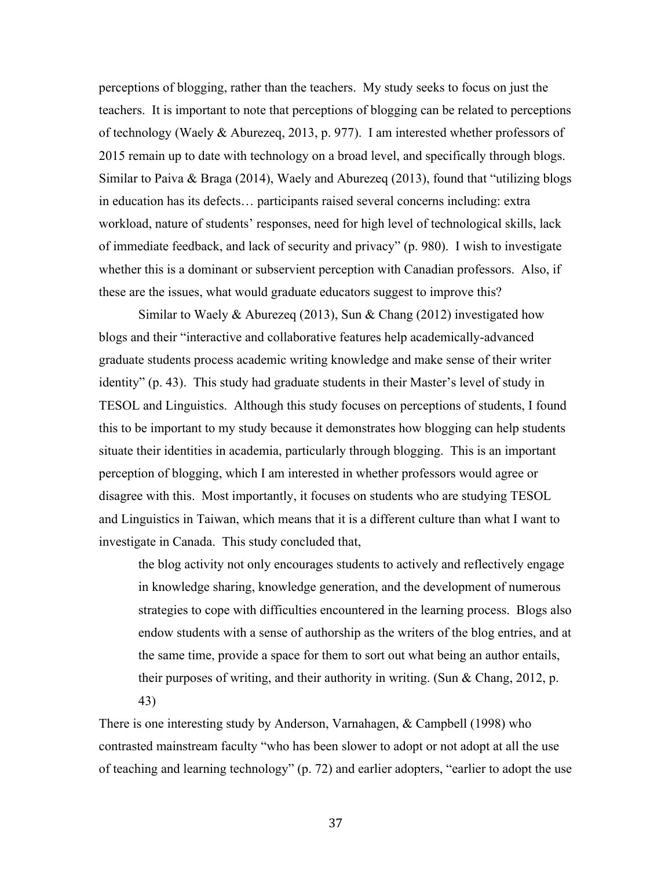perceptions of blogging, rather than the teachers. My study seeks to focus on just the teachers. It is important to note that perceptions of blogging can be related to perceptions of technology (Waely & Aburezeq, 2013, p. 977). I am interested whether professors of 2015 remain up to date with technology on a broad level, and specifically through blogs. Similar to Paiva & Braga (2014), Waely and Aburezeq (2013), found that "utilizing blogs in education has its defects… participants raised several concerns including: extra workload, nature of students' responses, need for high level of technological skills, lack of immediate feedback, and lack of security and privacy" (p. 980). I wish to investigate whether this is a dominant or subservient perception with Canadian professors. Also, if these are the issues, what would graduate educators suggest to improve this?

Similar to Waely & Aburezeq (2013), Sun & Chang (2012) investigated how blogs and their "interactive and collaborative features help academically-advanced graduate students process academic writing knowledge and make sense of their writer identity" (p. 43). This study had graduate students in their Master's level of study in TESOL and Linguistics. Although this study focuses on perceptions of students, I found this to be important to my study because it demonstrates how blogging can help students situate their identities in academia, particularly through blogging. This is an important perception of blogging, which I am interested in whether professors would agree or disagree with this. Most importantly, it focuses on students who are studying TESOL and Linguistics in Taiwan, which means that it is a different culture than what I want to investigate in Canada. This study concluded that,

the blog activity not only encourages students to actively and reflectively engage in knowledge sharing, knowledge generation, and the development of numerous strategies to cope with difficulties encountered in the learning process. Blogs also endow students with a sense of authorship as the writers of the blog entries, and at the same time, provide a space for them to sort out what being an author entails, their purposes of writing, and their authority in writing. (Sun  $\&$  Chang, 2012, p. 43)

There is one interesting study by Anderson, Varnahagen, & Campbell (1998) who contrasted mainstream faculty "who has been slower to adopt or not adopt at all the use of teaching and learning technology" (p. 72) and earlier adopters, "earlier to adopt the use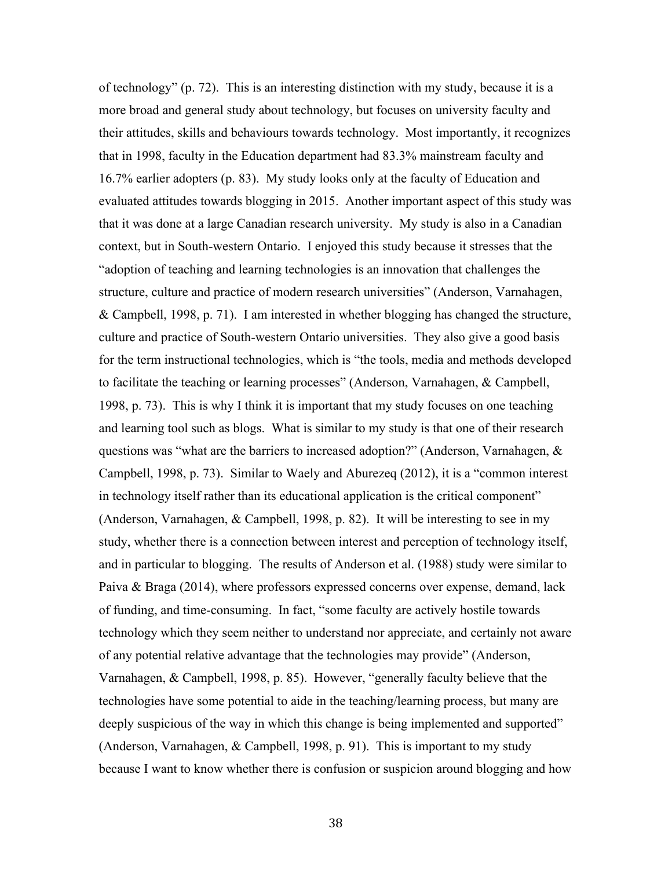of technology" (p. 72). This is an interesting distinction with my study, because it is a more broad and general study about technology, but focuses on university faculty and their attitudes, skills and behaviours towards technology. Most importantly, it recognizes that in 1998, faculty in the Education department had 83.3% mainstream faculty and 16.7% earlier adopters (p. 83). My study looks only at the faculty of Education and evaluated attitudes towards blogging in 2015. Another important aspect of this study was that it was done at a large Canadian research university. My study is also in a Canadian context, but in South-western Ontario. I enjoyed this study because it stresses that the "adoption of teaching and learning technologies is an innovation that challenges the structure, culture and practice of modern research universities" (Anderson, Varnahagen, & Campbell, 1998, p. 71). I am interested in whether blogging has changed the structure, culture and practice of South-western Ontario universities. They also give a good basis for the term instructional technologies, which is "the tools, media and methods developed to facilitate the teaching or learning processes" (Anderson, Varnahagen, & Campbell, 1998, p. 73). This is why I think it is important that my study focuses on one teaching and learning tool such as blogs. What is similar to my study is that one of their research questions was "what are the barriers to increased adoption?" (Anderson, Varnahagen, & Campbell, 1998, p. 73). Similar to Waely and Aburezeq (2012), it is a "common interest in technology itself rather than its educational application is the critical component" (Anderson, Varnahagen, & Campbell, 1998, p. 82). It will be interesting to see in my study, whether there is a connection between interest and perception of technology itself, and in particular to blogging. The results of Anderson et al. (1988) study were similar to Paiva & Braga (2014), where professors expressed concerns over expense, demand, lack of funding, and time-consuming. In fact, "some faculty are actively hostile towards technology which they seem neither to understand nor appreciate, and certainly not aware of any potential relative advantage that the technologies may provide" (Anderson, Varnahagen, & Campbell, 1998, p. 85). However, "generally faculty believe that the technologies have some potential to aide in the teaching/learning process, but many are deeply suspicious of the way in which this change is being implemented and supported" (Anderson, Varnahagen, & Campbell, 1998, p. 91). This is important to my study because I want to know whether there is confusion or suspicion around blogging and how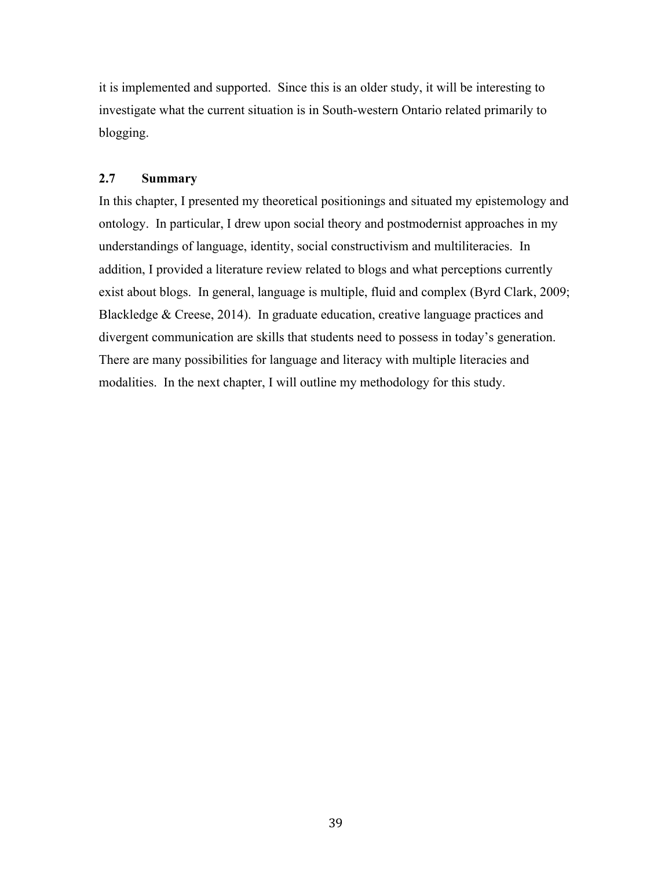it is implemented and supported. Since this is an older study, it will be interesting to investigate what the current situation is in South-western Ontario related primarily to blogging.

## **2.7 Summary**

In this chapter, I presented my theoretical positionings and situated my epistemology and ontology. In particular, I drew upon social theory and postmodernist approaches in my understandings of language, identity, social constructivism and multiliteracies. In addition, I provided a literature review related to blogs and what perceptions currently exist about blogs. In general, language is multiple, fluid and complex (Byrd Clark, 2009; Blackledge & Creese, 2014). In graduate education, creative language practices and divergent communication are skills that students need to possess in today's generation. There are many possibilities for language and literacy with multiple literacies and modalities. In the next chapter, I will outline my methodology for this study.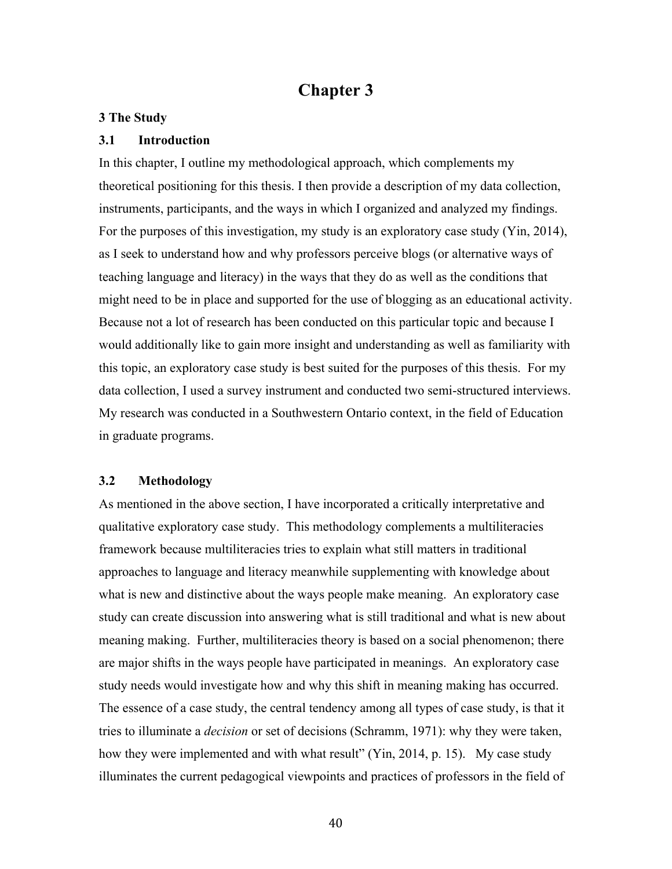# **Chapter 3**

### **3 The Study**

#### **3.1 Introduction**

In this chapter, I outline my methodological approach, which complements my theoretical positioning for this thesis. I then provide a description of my data collection, instruments, participants, and the ways in which I organized and analyzed my findings. For the purposes of this investigation, my study is an exploratory case study (Yin, 2014), as I seek to understand how and why professors perceive blogs (or alternative ways of teaching language and literacy) in the ways that they do as well as the conditions that might need to be in place and supported for the use of blogging as an educational activity. Because not a lot of research has been conducted on this particular topic and because I would additionally like to gain more insight and understanding as well as familiarity with this topic, an exploratory case study is best suited for the purposes of this thesis. For my data collection, I used a survey instrument and conducted two semi-structured interviews. My research was conducted in a Southwestern Ontario context, in the field of Education in graduate programs.

## **3.2 Methodology**

As mentioned in the above section, I have incorporated a critically interpretative and qualitative exploratory case study. This methodology complements a multiliteracies framework because multiliteracies tries to explain what still matters in traditional approaches to language and literacy meanwhile supplementing with knowledge about what is new and distinctive about the ways people make meaning. An exploratory case study can create discussion into answering what is still traditional and what is new about meaning making. Further, multiliteracies theory is based on a social phenomenon; there are major shifts in the ways people have participated in meanings. An exploratory case study needs would investigate how and why this shift in meaning making has occurred. The essence of a case study, the central tendency among all types of case study, is that it tries to illuminate a *decision* or set of decisions (Schramm, 1971): why they were taken, how they were implemented and with what result" (Yin, 2014, p. 15). My case study illuminates the current pedagogical viewpoints and practices of professors in the field of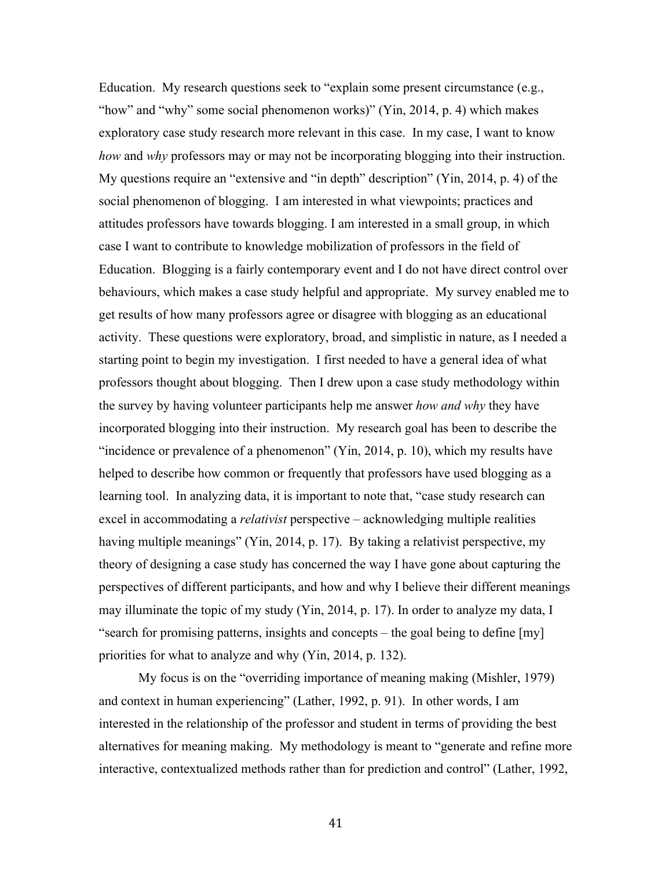Education. My research questions seek to "explain some present circumstance (e.g., "how" and "why" some social phenomenon works)" (Yin, 2014, p. 4) which makes exploratory case study research more relevant in this case. In my case, I want to know *how* and *why* professors may or may not be incorporating blogging into their instruction. My questions require an "extensive and "in depth" description" (Yin, 2014, p. 4) of the social phenomenon of blogging. I am interested in what viewpoints; practices and attitudes professors have towards blogging. I am interested in a small group, in which case I want to contribute to knowledge mobilization of professors in the field of Education. Blogging is a fairly contemporary event and I do not have direct control over behaviours, which makes a case study helpful and appropriate. My survey enabled me to get results of how many professors agree or disagree with blogging as an educational activity. These questions were exploratory, broad, and simplistic in nature, as I needed a starting point to begin my investigation. I first needed to have a general idea of what professors thought about blogging. Then I drew upon a case study methodology within the survey by having volunteer participants help me answer *how and why* they have incorporated blogging into their instruction. My research goal has been to describe the "incidence or prevalence of a phenomenon" (Yin, 2014, p. 10), which my results have helped to describe how common or frequently that professors have used blogging as a learning tool. In analyzing data, it is important to note that, "case study research can excel in accommodating a *relativist* perspective – acknowledging multiple realities having multiple meanings" (Yin, 2014, p. 17). By taking a relativist perspective, my theory of designing a case study has concerned the way I have gone about capturing the perspectives of different participants, and how and why I believe their different meanings may illuminate the topic of my study (Yin, 2014, p. 17). In order to analyze my data, I "search for promising patterns, insights and concepts – the goal being to define [my] priorities for what to analyze and why (Yin, 2014, p. 132).

My focus is on the "overriding importance of meaning making (Mishler, 1979) and context in human experiencing" (Lather, 1992, p. 91). In other words, I am interested in the relationship of the professor and student in terms of providing the best alternatives for meaning making. My methodology is meant to "generate and refine more interactive, contextualized methods rather than for prediction and control" (Lather, 1992,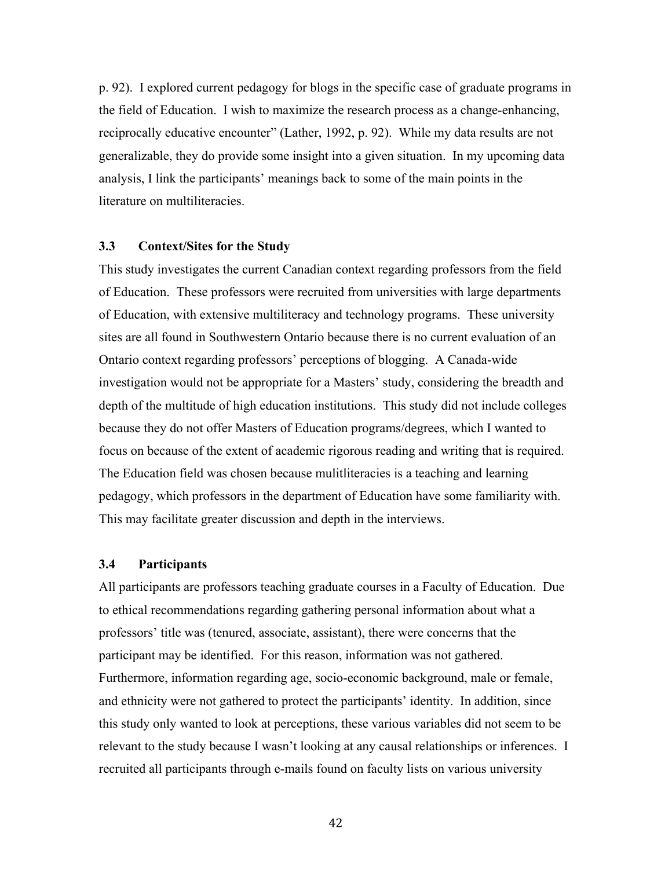p. 92). I explored current pedagogy for blogs in the specific case of graduate programs in the field of Education. I wish to maximize the research process as a change-enhancing, reciprocally educative encounter" (Lather, 1992, p. 92). While my data results are not generalizable, they do provide some insight into a given situation. In my upcoming data analysis, I link the participants' meanings back to some of the main points in the literature on multiliteracies.

#### **3.3 Context/Sites for the Study**

This study investigates the current Canadian context regarding professors from the field of Education. These professors were recruited from universities with large departments of Education, with extensive multiliteracy and technology programs. These university sites are all found in Southwestern Ontario because there is no current evaluation of an Ontario context regarding professors' perceptions of blogging. A Canada-wide investigation would not be appropriate for a Masters' study, considering the breadth and depth of the multitude of high education institutions. This study did not include colleges because they do not offer Masters of Education programs/degrees, which I wanted to focus on because of the extent of academic rigorous reading and writing that is required. The Education field was chosen because mulitliteracies is a teaching and learning pedagogy, which professors in the department of Education have some familiarity with. This may facilitate greater discussion and depth in the interviews.

## **3.4 Participants**

All participants are professors teaching graduate courses in a Faculty of Education. Due to ethical recommendations regarding gathering personal information about what a professors' title was (tenured, associate, assistant), there were concerns that the participant may be identified. For this reason, information was not gathered. Furthermore, information regarding age, socio-economic background, male or female, and ethnicity were not gathered to protect the participants' identity. In addition, since this study only wanted to look at perceptions, these various variables did not seem to be relevant to the study because I wasn't looking at any causal relationships or inferences. I recruited all participants through e-mails found on faculty lists on various university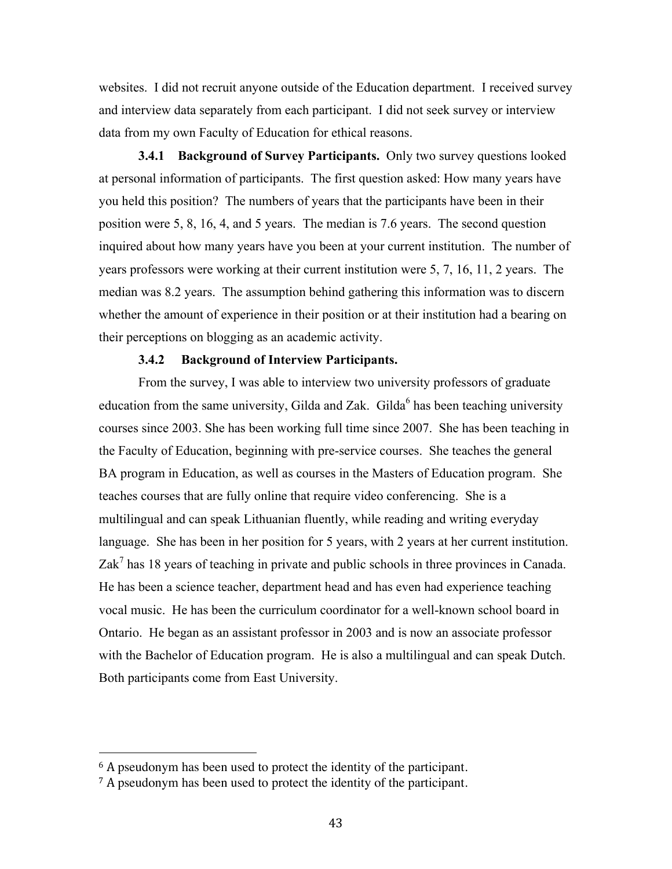websites. I did not recruit anyone outside of the Education department. I received survey and interview data separately from each participant. I did not seek survey or interview data from my own Faculty of Education for ethical reasons.

**3.4.1 Background of Survey Participants.** Only two survey questions looked at personal information of participants. The first question asked: How many years have you held this position? The numbers of years that the participants have been in their position were 5, 8, 16, 4, and 5 years. The median is 7.6 years. The second question inquired about how many years have you been at your current institution. The number of years professors were working at their current institution were 5, 7, 16, 11, 2 years. The median was 8.2 years. The assumption behind gathering this information was to discern whether the amount of experience in their position or at their institution had a bearing on their perceptions on blogging as an academic activity.

### **3.4.2 Background of Interview Participants.**

From the survey, I was able to interview two university professors of graduate education from the same university, Gilda and Zak. Gilda<sup>6</sup> has been teaching university courses since 2003. She has been working full time since 2007. She has been teaching in the Faculty of Education, beginning with pre-service courses. She teaches the general BA program in Education, as well as courses in the Masters of Education program. She teaches courses that are fully online that require video conferencing. She is a multilingual and can speak Lithuanian fluently, while reading and writing everyday language. She has been in her position for 5 years, with 2 years at her current institution.  $Zak<sup>7</sup>$  has 18 years of teaching in private and public schools in three provinces in Canada. He has been a science teacher, department head and has even had experience teaching vocal music. He has been the curriculum coordinator for a well-known school board in Ontario. He began as an assistant professor in 2003 and is now an associate professor with the Bachelor of Education program. He is also a multilingual and can speak Dutch. Both participants come from East University.

<sup>&</sup>lt;sup>6</sup> A pseudonym has been used to protect the identity of the participant.

<sup>&</sup>lt;sup>7</sup> A pseudonym has been used to protect the identity of the participant.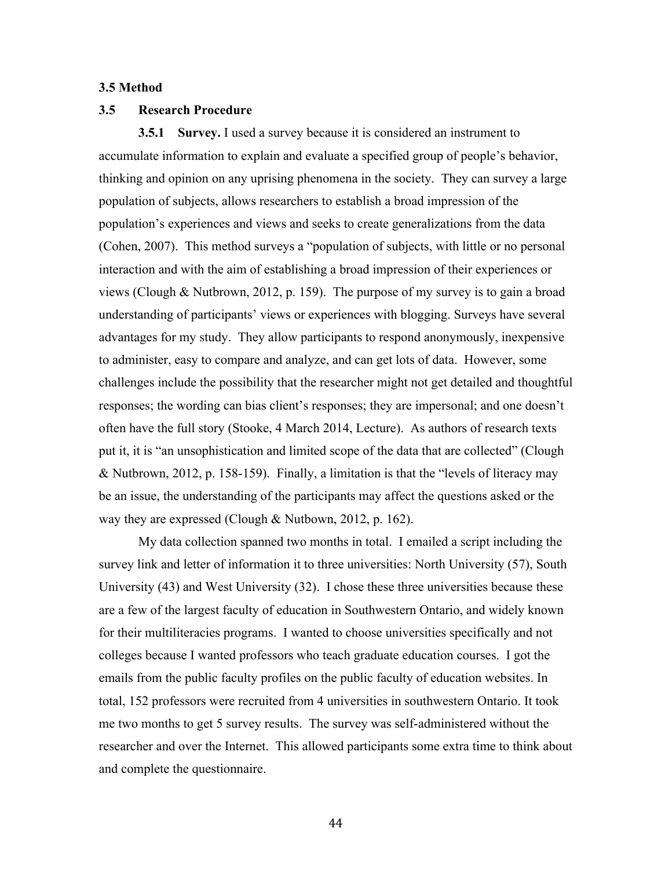### **3.5 Method**

#### **3.5 Research Procedure**

**3.5.1 Survey.** I used a survey because it is considered an instrument to accumulate information to explain and evaluate a specified group of people's behavior, thinking and opinion on any uprising phenomena in the society. They can survey a large population of subjects, allows researchers to establish a broad impression of the population's experiences and views and seeks to create generalizations from the data (Cohen, 2007). This method surveys a "population of subjects, with little or no personal interaction and with the aim of establishing a broad impression of their experiences or views (Clough & Nutbrown, 2012, p. 159). The purpose of my survey is to gain a broad understanding of participants' views or experiences with blogging. Surveys have several advantages for my study. They allow participants to respond anonymously, inexpensive to administer, easy to compare and analyze, and can get lots of data. However, some challenges include the possibility that the researcher might not get detailed and thoughtful responses; the wording can bias client's responses; they are impersonal; and one doesn't often have the full story (Stooke, 4 March 2014, Lecture). As authors of research texts put it, it is "an unsophistication and limited scope of the data that are collected" (Clough & Nutbrown, 2012, p. 158-159). Finally, a limitation is that the "levels of literacy may be an issue, the understanding of the participants may affect the questions asked or the way they are expressed (Clough & Nutbown, 2012, p. 162).

My data collection spanned two months in total. I emailed a script including the survey link and letter of information it to three universities: North University (57), South University (43) and West University (32). I chose these three universities because these are a few of the largest faculty of education in Southwestern Ontario, and widely known for their multiliteracies programs. I wanted to choose universities specifically and not colleges because I wanted professors who teach graduate education courses. I got the emails from the public faculty profiles on the public faculty of education websites. In total, 152 professors were recruited from 4 universities in southwestern Ontario. It took me two months to get 5 survey results. The survey was self-administered without the researcher and over the Internet. This allowed participants some extra time to think about and complete the questionnaire.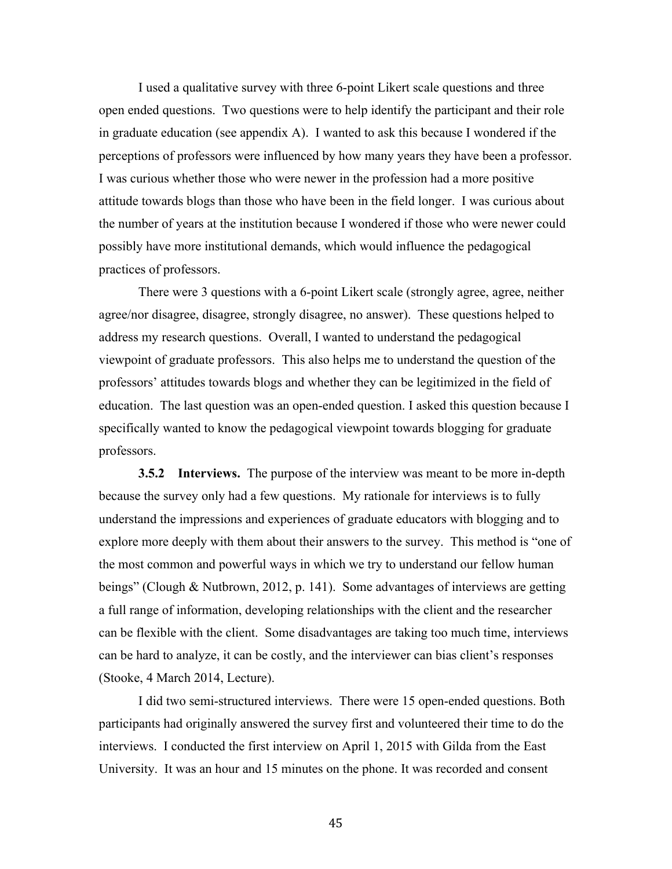I used a qualitative survey with three 6-point Likert scale questions and three open ended questions. Two questions were to help identify the participant and their role in graduate education (see appendix A). I wanted to ask this because I wondered if the perceptions of professors were influenced by how many years they have been a professor. I was curious whether those who were newer in the profession had a more positive attitude towards blogs than those who have been in the field longer. I was curious about the number of years at the institution because I wondered if those who were newer could possibly have more institutional demands, which would influence the pedagogical practices of professors.

There were 3 questions with a 6-point Likert scale (strongly agree, agree, neither agree/nor disagree, disagree, strongly disagree, no answer). These questions helped to address my research questions. Overall, I wanted to understand the pedagogical viewpoint of graduate professors. This also helps me to understand the question of the professors' attitudes towards blogs and whether they can be legitimized in the field of education. The last question was an open-ended question. I asked this question because I specifically wanted to know the pedagogical viewpoint towards blogging for graduate professors.

**3.5.2 Interviews.** The purpose of the interview was meant to be more in-depth because the survey only had a few questions. My rationale for interviews is to fully understand the impressions and experiences of graduate educators with blogging and to explore more deeply with them about their answers to the survey. This method is "one of the most common and powerful ways in which we try to understand our fellow human beings" (Clough & Nutbrown, 2012, p. 141). Some advantages of interviews are getting a full range of information, developing relationships with the client and the researcher can be flexible with the client. Some disadvantages are taking too much time, interviews can be hard to analyze, it can be costly, and the interviewer can bias client's responses (Stooke, 4 March 2014, Lecture).

I did two semi-structured interviews. There were 15 open-ended questions. Both participants had originally answered the survey first and volunteered their time to do the interviews. I conducted the first interview on April 1, 2015 with Gilda from the East University. It was an hour and 15 minutes on the phone. It was recorded and consent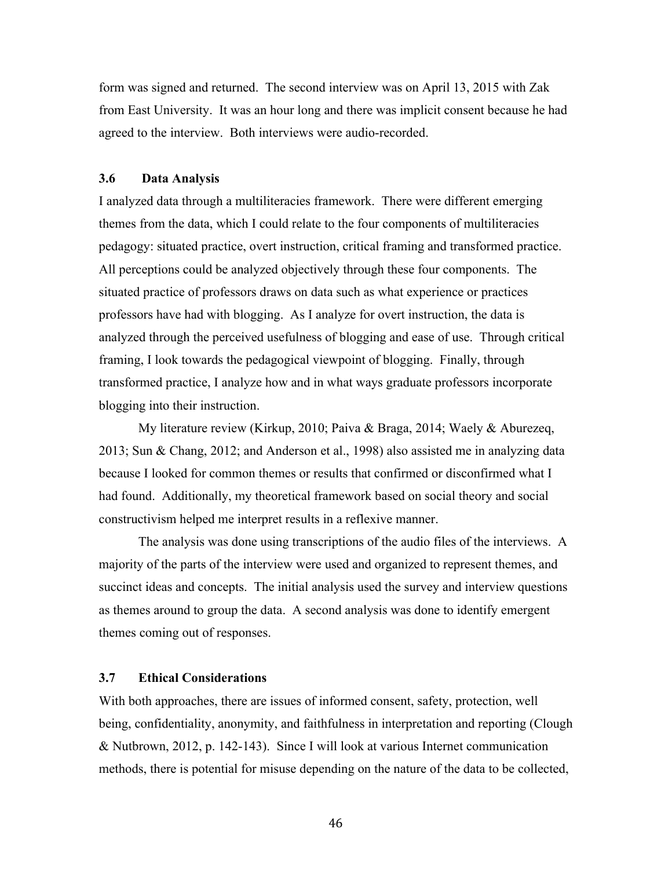form was signed and returned. The second interview was on April 13, 2015 with Zak from East University. It was an hour long and there was implicit consent because he had agreed to the interview. Both interviews were audio-recorded.

## **3.6 Data Analysis**

I analyzed data through a multiliteracies framework. There were different emerging themes from the data, which I could relate to the four components of multiliteracies pedagogy: situated practice, overt instruction, critical framing and transformed practice. All perceptions could be analyzed objectively through these four components. The situated practice of professors draws on data such as what experience or practices professors have had with blogging. As I analyze for overt instruction, the data is analyzed through the perceived usefulness of blogging and ease of use. Through critical framing, I look towards the pedagogical viewpoint of blogging. Finally, through transformed practice, I analyze how and in what ways graduate professors incorporate blogging into their instruction.

My literature review (Kirkup, 2010; Paiva & Braga, 2014; Waely & Aburezeq, 2013; Sun & Chang, 2012; and Anderson et al., 1998) also assisted me in analyzing data because I looked for common themes or results that confirmed or disconfirmed what I had found. Additionally, my theoretical framework based on social theory and social constructivism helped me interpret results in a reflexive manner.

The analysis was done using transcriptions of the audio files of the interviews. A majority of the parts of the interview were used and organized to represent themes, and succinct ideas and concepts. The initial analysis used the survey and interview questions as themes around to group the data. A second analysis was done to identify emergent themes coming out of responses.

## **3.7 Ethical Considerations**

With both approaches, there are issues of informed consent, safety, protection, well being, confidentiality, anonymity, and faithfulness in interpretation and reporting (Clough & Nutbrown, 2012, p. 142-143). Since I will look at various Internet communication methods, there is potential for misuse depending on the nature of the data to be collected,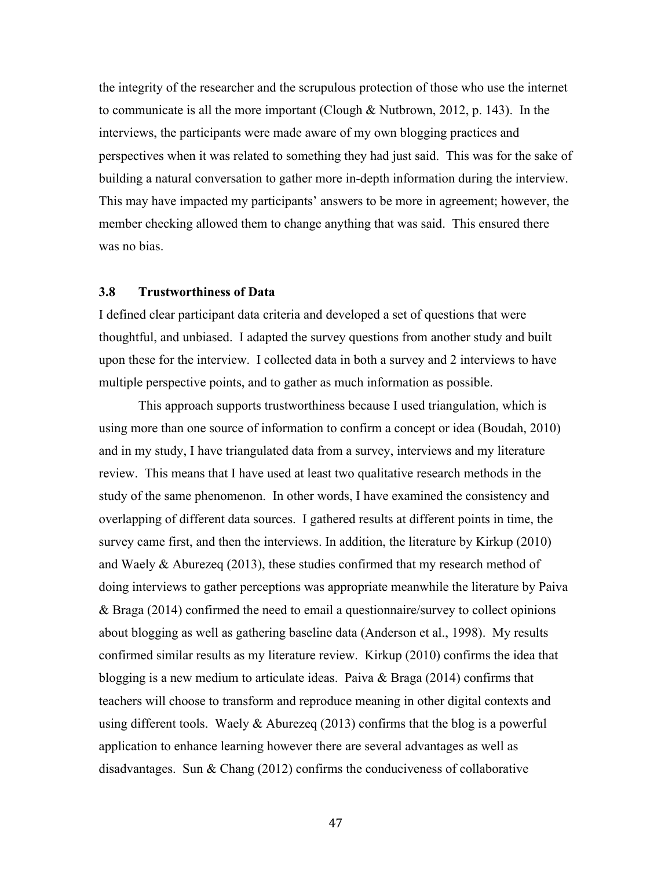the integrity of the researcher and the scrupulous protection of those who use the internet to communicate is all the more important (Clough & Nutbrown, 2012, p. 143). In the interviews, the participants were made aware of my own blogging practices and perspectives when it was related to something they had just said. This was for the sake of building a natural conversation to gather more in-depth information during the interview. This may have impacted my participants' answers to be more in agreement; however, the member checking allowed them to change anything that was said. This ensured there was no bias.

## **3.8 Trustworthiness of Data**

I defined clear participant data criteria and developed a set of questions that were thoughtful, and unbiased. I adapted the survey questions from another study and built upon these for the interview. I collected data in both a survey and 2 interviews to have multiple perspective points, and to gather as much information as possible.

This approach supports trustworthiness because I used triangulation, which is using more than one source of information to confirm a concept or idea (Boudah, 2010) and in my study, I have triangulated data from a survey, interviews and my literature review. This means that I have used at least two qualitative research methods in the study of the same phenomenon. In other words, I have examined the consistency and overlapping of different data sources. I gathered results at different points in time, the survey came first, and then the interviews. In addition, the literature by Kirkup (2010) and Waely & Aburezeq (2013), these studies confirmed that my research method of doing interviews to gather perceptions was appropriate meanwhile the literature by Paiva & Braga (2014) confirmed the need to email a questionnaire/survey to collect opinions about blogging as well as gathering baseline data (Anderson et al., 1998). My results confirmed similar results as my literature review. Kirkup (2010) confirms the idea that blogging is a new medium to articulate ideas. Paiva & Braga (2014) confirms that teachers will choose to transform and reproduce meaning in other digital contexts and using different tools. Waely  $\&$  Aburezeq (2013) confirms that the blog is a powerful application to enhance learning however there are several advantages as well as disadvantages. Sun & Chang (2012) confirms the conduciveness of collaborative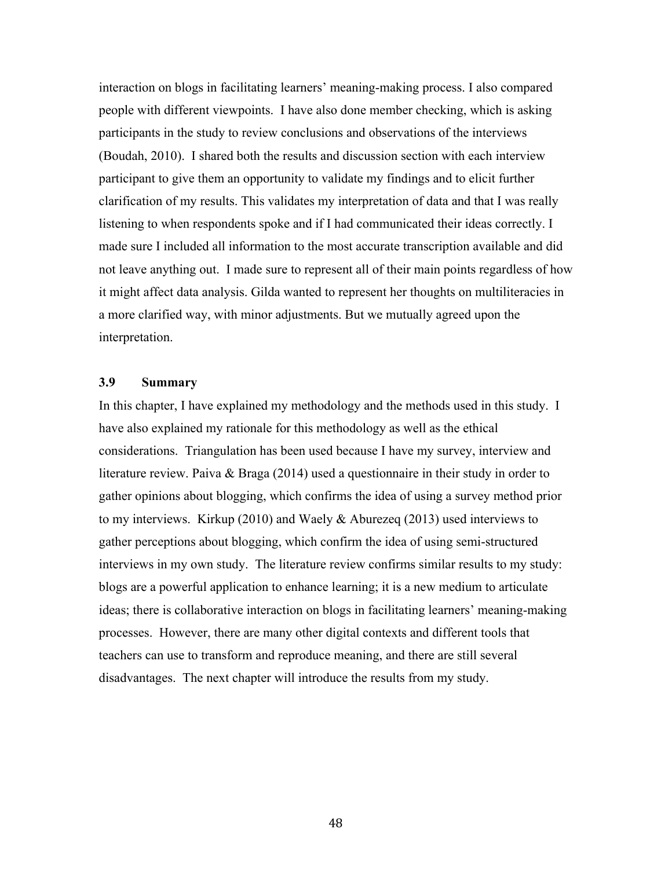interaction on blogs in facilitating learners' meaning-making process. I also compared people with different viewpoints. I have also done member checking, which is asking participants in the study to review conclusions and observations of the interviews (Boudah, 2010). I shared both the results and discussion section with each interview participant to give them an opportunity to validate my findings and to elicit further clarification of my results. This validates my interpretation of data and that I was really listening to when respondents spoke and if I had communicated their ideas correctly. I made sure I included all information to the most accurate transcription available and did not leave anything out. I made sure to represent all of their main points regardless of how it might affect data analysis. Gilda wanted to represent her thoughts on multiliteracies in a more clarified way, with minor adjustments. But we mutually agreed upon the interpretation.

## **3.9 Summary**

In this chapter, I have explained my methodology and the methods used in this study. I have also explained my rationale for this methodology as well as the ethical considerations. Triangulation has been used because I have my survey, interview and literature review. Paiva & Braga (2014) used a questionnaire in their study in order to gather opinions about blogging, which confirms the idea of using a survey method prior to my interviews. Kirkup (2010) and Waely & Aburezeq (2013) used interviews to gather perceptions about blogging, which confirm the idea of using semi-structured interviews in my own study. The literature review confirms similar results to my study: blogs are a powerful application to enhance learning; it is a new medium to articulate ideas; there is collaborative interaction on blogs in facilitating learners' meaning-making processes. However, there are many other digital contexts and different tools that teachers can use to transform and reproduce meaning, and there are still several disadvantages. The next chapter will introduce the results from my study.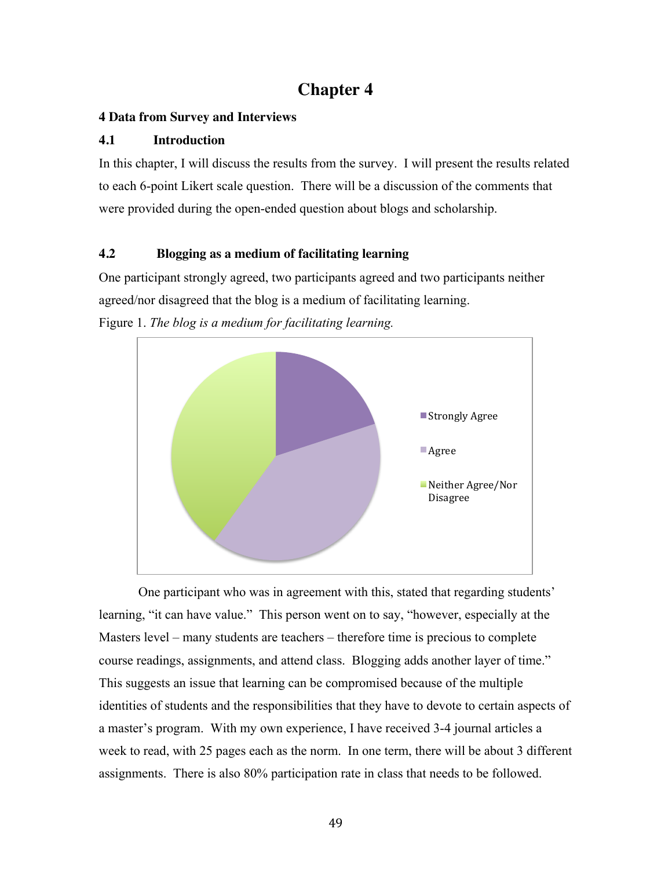# **Chapter 4**

## **4 Data from Survey and Interviews**

## **4.1 Introduction**

In this chapter, I will discuss the results from the survey. I will present the results related to each 6-point Likert scale question. There will be a discussion of the comments that were provided during the open-ended question about blogs and scholarship.

## **4.2 Blogging as a medium of facilitating learning**

One participant strongly agreed, two participants agreed and two participants neither agreed/nor disagreed that the blog is a medium of facilitating learning.



Figure 1. *The blog is a medium for facilitating learning.*

One participant who was in agreement with this, stated that regarding students' learning, "it can have value." This person went on to say, "however, especially at the Masters level – many students are teachers – therefore time is precious to complete course readings, assignments, and attend class. Blogging adds another layer of time." This suggests an issue that learning can be compromised because of the multiple identities of students and the responsibilities that they have to devote to certain aspects of a master's program. With my own experience, I have received 3-4 journal articles a week to read, with 25 pages each as the norm. In one term, there will be about 3 different assignments. There is also 80% participation rate in class that needs to be followed.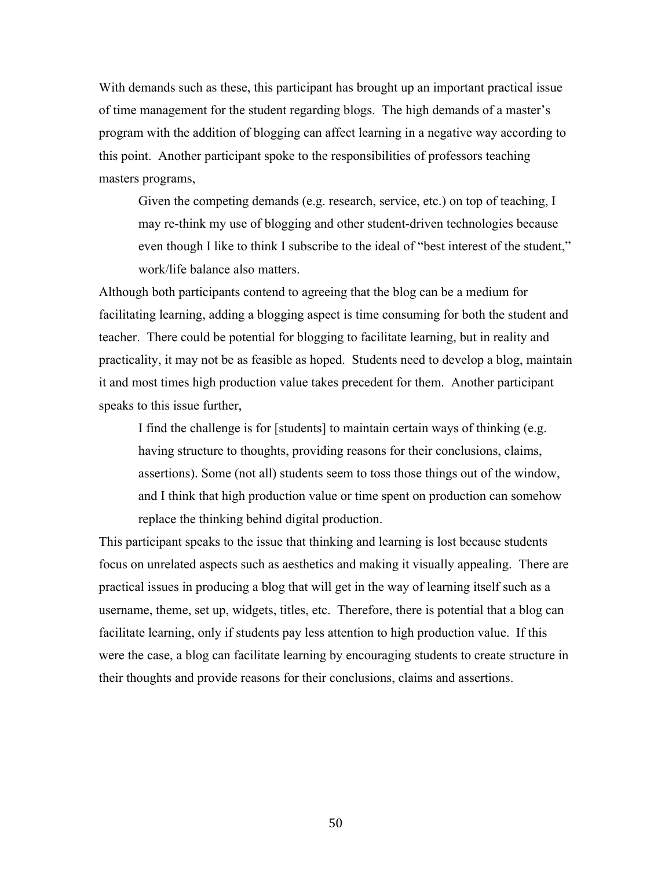With demands such as these, this participant has brought up an important practical issue of time management for the student regarding blogs. The high demands of a master's program with the addition of blogging can affect learning in a negative way according to this point. Another participant spoke to the responsibilities of professors teaching masters programs,

Given the competing demands (e.g. research, service, etc.) on top of teaching, I may re-think my use of blogging and other student-driven technologies because even though I like to think I subscribe to the ideal of "best interest of the student," work/life balance also matters.

Although both participants contend to agreeing that the blog can be a medium for facilitating learning, adding a blogging aspect is time consuming for both the student and teacher. There could be potential for blogging to facilitate learning, but in reality and practicality, it may not be as feasible as hoped. Students need to develop a blog, maintain it and most times high production value takes precedent for them. Another participant speaks to this issue further,

I find the challenge is for [students] to maintain certain ways of thinking (e.g. having structure to thoughts, providing reasons for their conclusions, claims, assertions). Some (not all) students seem to toss those things out of the window, and I think that high production value or time spent on production can somehow replace the thinking behind digital production.

This participant speaks to the issue that thinking and learning is lost because students focus on unrelated aspects such as aesthetics and making it visually appealing. There are practical issues in producing a blog that will get in the way of learning itself such as a username, theme, set up, widgets, titles, etc. Therefore, there is potential that a blog can facilitate learning, only if students pay less attention to high production value. If this were the case, a blog can facilitate learning by encouraging students to create structure in their thoughts and provide reasons for their conclusions, claims and assertions.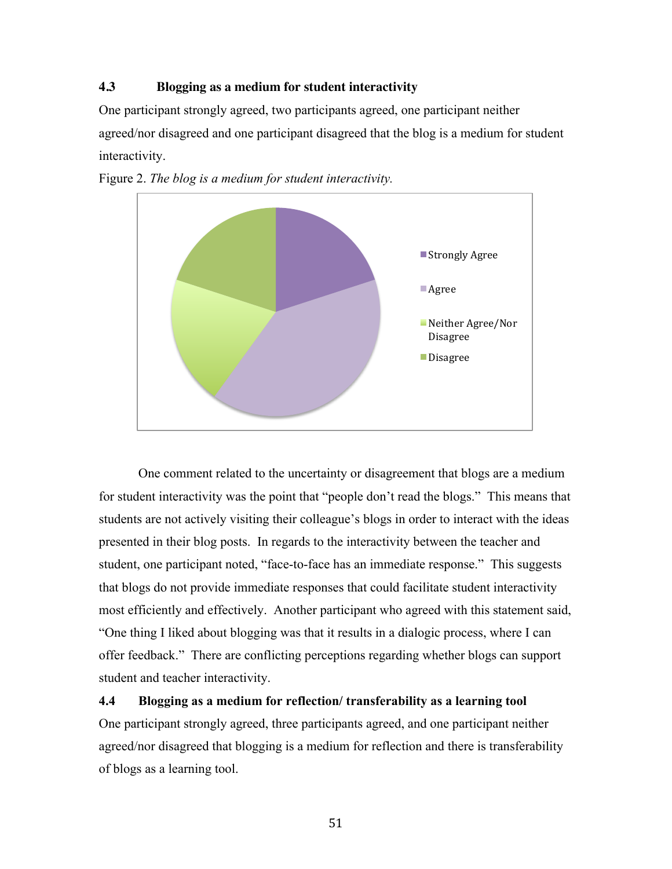## **4.3 Blogging as a medium for student interactivity**

One participant strongly agreed, two participants agreed, one participant neither agreed/nor disagreed and one participant disagreed that the blog is a medium for student interactivity.



Figure 2. *The blog is a medium for student interactivity.*

One comment related to the uncertainty or disagreement that blogs are a medium for student interactivity was the point that "people don't read the blogs." This means that students are not actively visiting their colleague's blogs in order to interact with the ideas presented in their blog posts. In regards to the interactivity between the teacher and student, one participant noted, "face-to-face has an immediate response." This suggests that blogs do not provide immediate responses that could facilitate student interactivity most efficiently and effectively. Another participant who agreed with this statement said, "One thing I liked about blogging was that it results in a dialogic process, where I can offer feedback." There are conflicting perceptions regarding whether blogs can support student and teacher interactivity.

## **4.4 Blogging as a medium for reflection/ transferability as a learning tool**

One participant strongly agreed, three participants agreed, and one participant neither agreed/nor disagreed that blogging is a medium for reflection and there is transferability of blogs as a learning tool.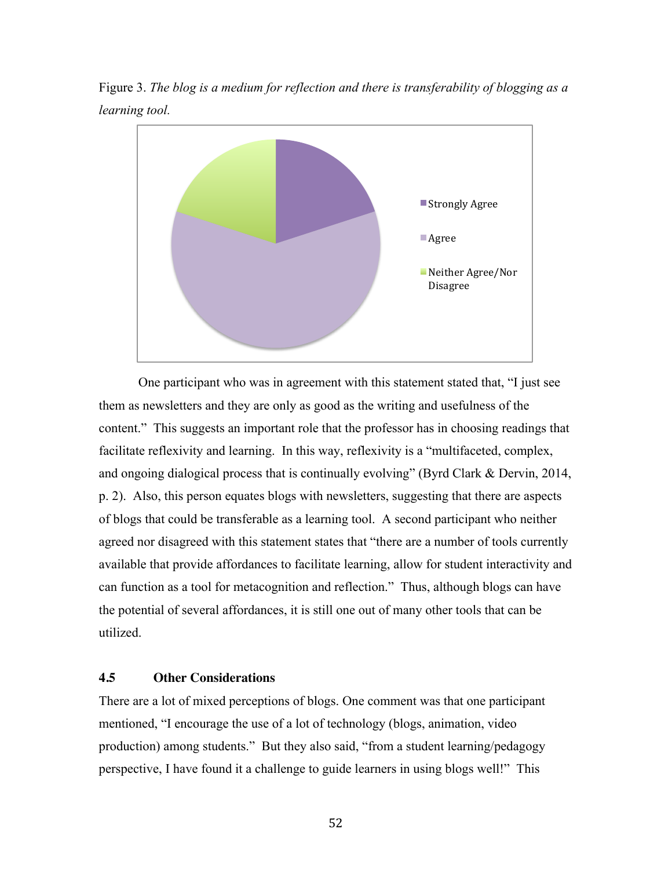Figure 3. *The blog is a medium for reflection and there is transferability of blogging as a learning tool.*



One participant who was in agreement with this statement stated that, "I just see them as newsletters and they are only as good as the writing and usefulness of the content." This suggests an important role that the professor has in choosing readings that facilitate reflexivity and learning. In this way, reflexivity is a "multifaceted, complex, and ongoing dialogical process that is continually evolving" (Byrd Clark & Dervin, 2014, p. 2). Also, this person equates blogs with newsletters, suggesting that there are aspects of blogs that could be transferable as a learning tool. A second participant who neither agreed nor disagreed with this statement states that "there are a number of tools currently available that provide affordances to facilitate learning, allow for student interactivity and can function as a tool for metacognition and reflection." Thus, although blogs can have the potential of several affordances, it is still one out of many other tools that can be utilized.

## **4.5 Other Considerations**

There are a lot of mixed perceptions of blogs. One comment was that one participant mentioned, "I encourage the use of a lot of technology (blogs, animation, video production) among students." But they also said, "from a student learning/pedagogy perspective, I have found it a challenge to guide learners in using blogs well!" This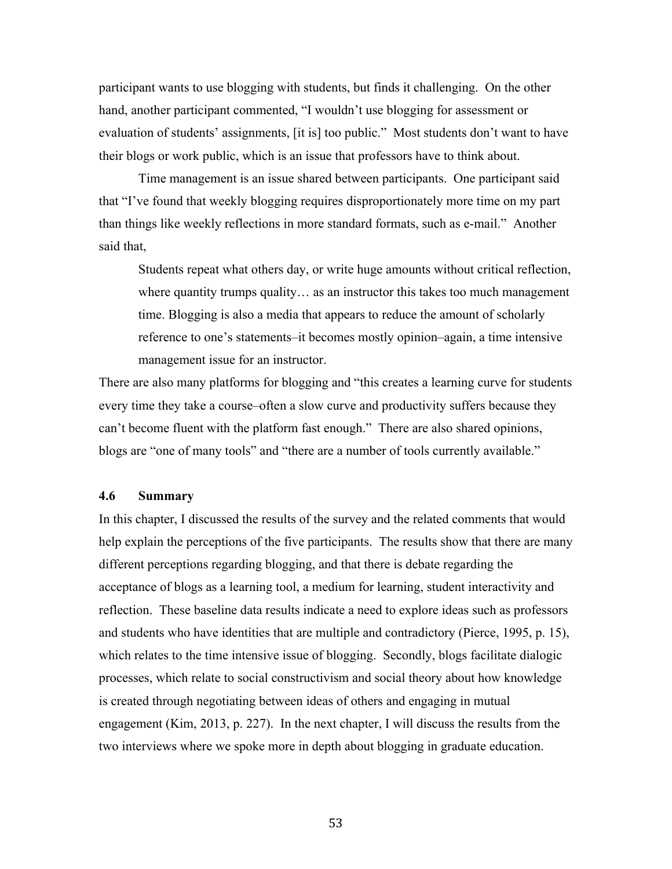participant wants to use blogging with students, but finds it challenging. On the other hand, another participant commented, "I wouldn't use blogging for assessment or evaluation of students' assignments, [it is] too public." Most students don't want to have their blogs or work public, which is an issue that professors have to think about.

Time management is an issue shared between participants. One participant said that "I've found that weekly blogging requires disproportionately more time on my part than things like weekly reflections in more standard formats, such as e-mail." Another said that,

Students repeat what others day, or write huge amounts without critical reflection, where quantity trumps quality... as an instructor this takes too much management time. Blogging is also a media that appears to reduce the amount of scholarly reference to one's statements–it becomes mostly opinion–again, a time intensive management issue for an instructor.

There are also many platforms for blogging and "this creates a learning curve for students every time they take a course–often a slow curve and productivity suffers because they can't become fluent with the platform fast enough." There are also shared opinions, blogs are "one of many tools" and "there are a number of tools currently available."

## **4.6 Summary**

In this chapter, I discussed the results of the survey and the related comments that would help explain the perceptions of the five participants. The results show that there are many different perceptions regarding blogging, and that there is debate regarding the acceptance of blogs as a learning tool, a medium for learning, student interactivity and reflection. These baseline data results indicate a need to explore ideas such as professors and students who have identities that are multiple and contradictory (Pierce, 1995, p. 15), which relates to the time intensive issue of blogging. Secondly, blogs facilitate dialogic processes, which relate to social constructivism and social theory about how knowledge is created through negotiating between ideas of others and engaging in mutual engagement (Kim, 2013, p. 227). In the next chapter, I will discuss the results from the two interviews where we spoke more in depth about blogging in graduate education.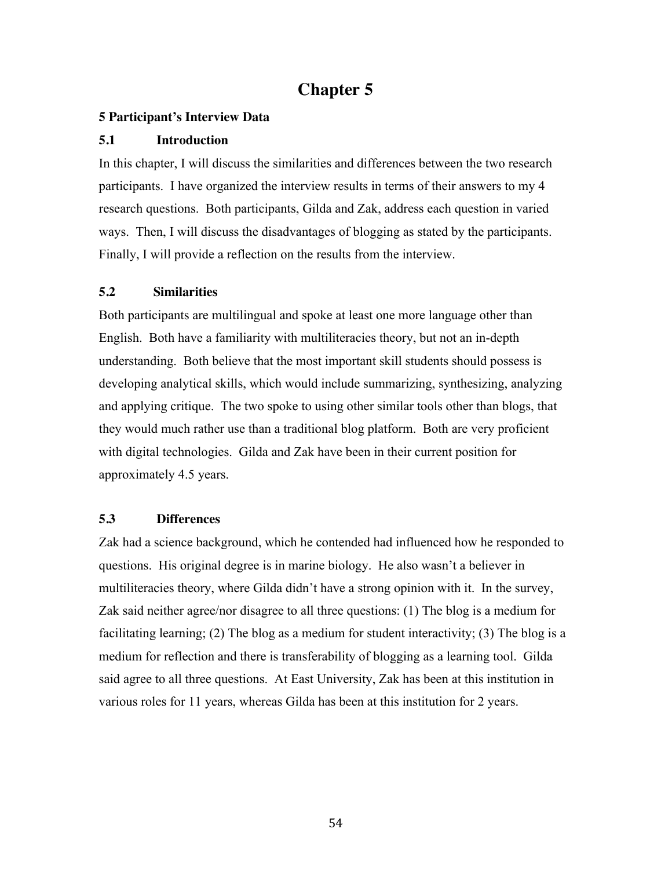## **Chapter 5**

## **5 Participant's Interview Data**

## **5.1 Introduction**

In this chapter, I will discuss the similarities and differences between the two research participants. I have organized the interview results in terms of their answers to my 4 research questions. Both participants, Gilda and Zak, address each question in varied ways. Then, I will discuss the disadvantages of blogging as stated by the participants. Finally, I will provide a reflection on the results from the interview.

## **5.2 Similarities**

Both participants are multilingual and spoke at least one more language other than English. Both have a familiarity with multiliteracies theory, but not an in-depth understanding. Both believe that the most important skill students should possess is developing analytical skills, which would include summarizing, synthesizing, analyzing and applying critique. The two spoke to using other similar tools other than blogs, that they would much rather use than a traditional blog platform. Both are very proficient with digital technologies. Gilda and Zak have been in their current position for approximately 4.5 years.

## **5.3 Differences**

Zak had a science background, which he contended had influenced how he responded to questions. His original degree is in marine biology. He also wasn't a believer in multiliteracies theory, where Gilda didn't have a strong opinion with it. In the survey, Zak said neither agree/nor disagree to all three questions: (1) The blog is a medium for facilitating learning; (2) The blog as a medium for student interactivity; (3) The blog is a medium for reflection and there is transferability of blogging as a learning tool. Gilda said agree to all three questions. At East University, Zak has been at this institution in various roles for 11 years, whereas Gilda has been at this institution for 2 years.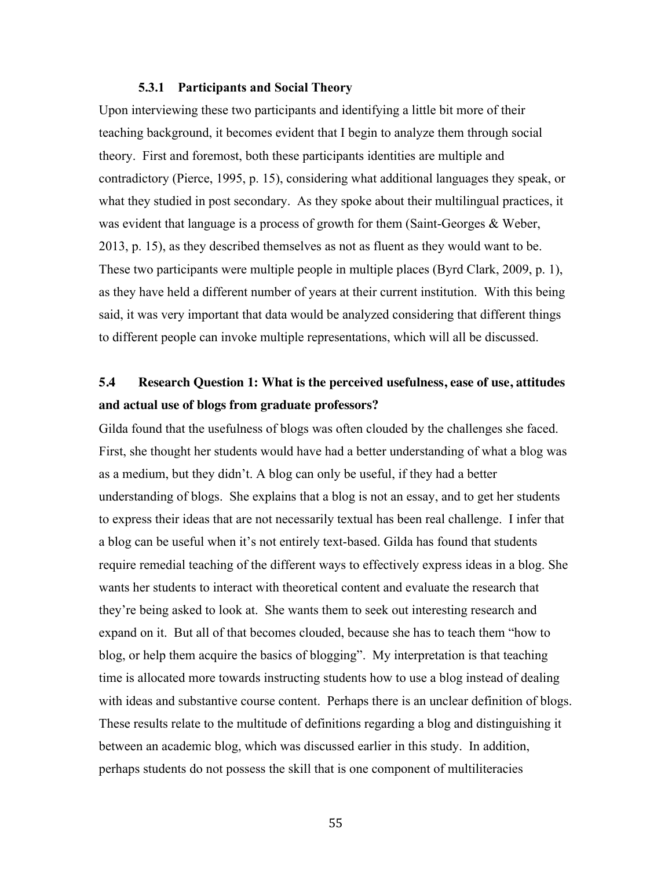#### **5.3.1 Participants and Social Theory**

Upon interviewing these two participants and identifying a little bit more of their teaching background, it becomes evident that I begin to analyze them through social theory. First and foremost, both these participants identities are multiple and contradictory (Pierce, 1995, p. 15), considering what additional languages they speak, or what they studied in post secondary. As they spoke about their multilingual practices, it was evident that language is a process of growth for them (Saint-Georges & Weber, 2013, p. 15), as they described themselves as not as fluent as they would want to be. These two participants were multiple people in multiple places (Byrd Clark, 2009, p. 1), as they have held a different number of years at their current institution. With this being said, it was very important that data would be analyzed considering that different things to different people can invoke multiple representations, which will all be discussed.

## **5.4 Research Question 1: What is the perceived usefulness, ease of use, attitudes and actual use of blogs from graduate professors?**

Gilda found that the usefulness of blogs was often clouded by the challenges she faced. First, she thought her students would have had a better understanding of what a blog was as a medium, but they didn't. A blog can only be useful, if they had a better understanding of blogs. She explains that a blog is not an essay, and to get her students to express their ideas that are not necessarily textual has been real challenge. I infer that a blog can be useful when it's not entirely text-based. Gilda has found that students require remedial teaching of the different ways to effectively express ideas in a blog. She wants her students to interact with theoretical content and evaluate the research that they're being asked to look at. She wants them to seek out interesting research and expand on it. But all of that becomes clouded, because she has to teach them "how to blog, or help them acquire the basics of blogging". My interpretation is that teaching time is allocated more towards instructing students how to use a blog instead of dealing with ideas and substantive course content. Perhaps there is an unclear definition of blogs. These results relate to the multitude of definitions regarding a blog and distinguishing it between an academic blog, which was discussed earlier in this study. In addition, perhaps students do not possess the skill that is one component of multiliteracies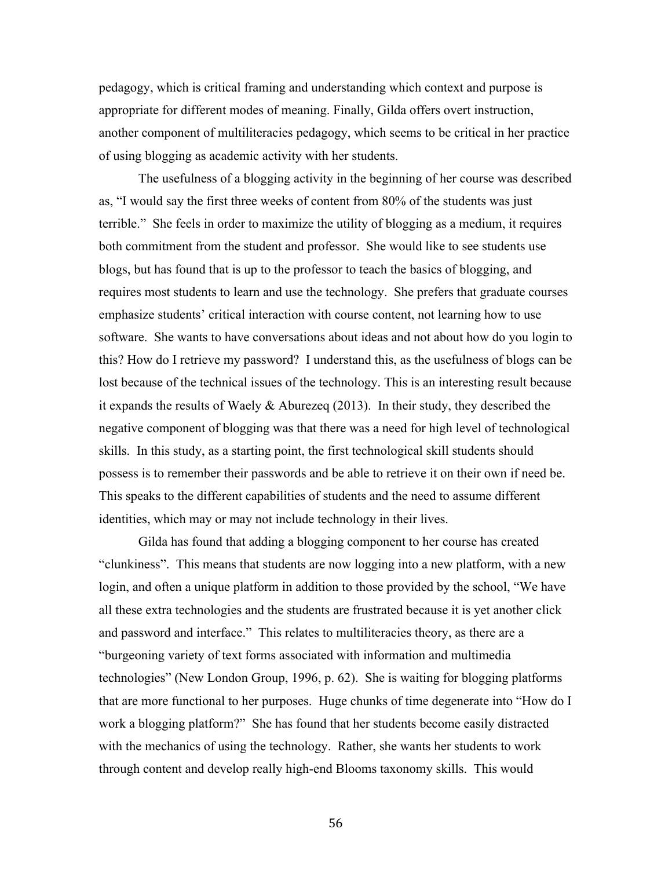pedagogy, which is critical framing and understanding which context and purpose is appropriate for different modes of meaning. Finally, Gilda offers overt instruction, another component of multiliteracies pedagogy, which seems to be critical in her practice of using blogging as academic activity with her students.

The usefulness of a blogging activity in the beginning of her course was described as, "I would say the first three weeks of content from 80% of the students was just terrible." She feels in order to maximize the utility of blogging as a medium, it requires both commitment from the student and professor. She would like to see students use blogs, but has found that is up to the professor to teach the basics of blogging, and requires most students to learn and use the technology. She prefers that graduate courses emphasize students' critical interaction with course content, not learning how to use software. She wants to have conversations about ideas and not about how do you login to this? How do I retrieve my password? I understand this, as the usefulness of blogs can be lost because of the technical issues of the technology. This is an interesting result because it expands the results of Waely & Aburezeq (2013). In their study, they described the negative component of blogging was that there was a need for high level of technological skills. In this study, as a starting point, the first technological skill students should possess is to remember their passwords and be able to retrieve it on their own if need be. This speaks to the different capabilities of students and the need to assume different identities, which may or may not include technology in their lives.

Gilda has found that adding a blogging component to her course has created "clunkiness". This means that students are now logging into a new platform, with a new login, and often a unique platform in addition to those provided by the school, "We have all these extra technologies and the students are frustrated because it is yet another click and password and interface." This relates to multiliteracies theory, as there are a "burgeoning variety of text forms associated with information and multimedia technologies" (New London Group, 1996, p. 62). She is waiting for blogging platforms that are more functional to her purposes. Huge chunks of time degenerate into "How do I work a blogging platform?" She has found that her students become easily distracted with the mechanics of using the technology. Rather, she wants her students to work through content and develop really high-end Blooms taxonomy skills. This would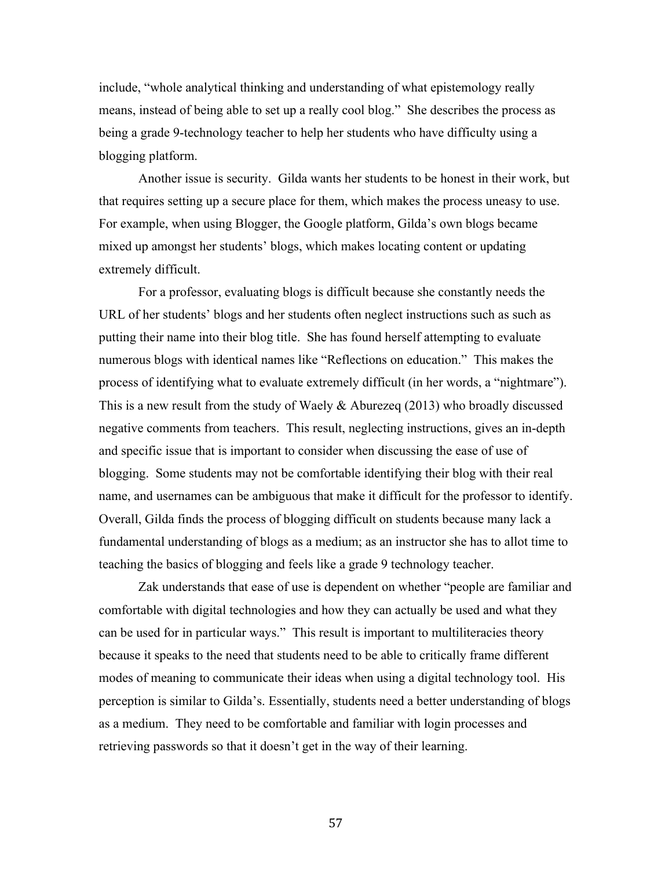include, "whole analytical thinking and understanding of what epistemology really means, instead of being able to set up a really cool blog." She describes the process as being a grade 9-technology teacher to help her students who have difficulty using a blogging platform.

Another issue is security. Gilda wants her students to be honest in their work, but that requires setting up a secure place for them, which makes the process uneasy to use. For example, when using Blogger, the Google platform, Gilda's own blogs became mixed up amongst her students' blogs, which makes locating content or updating extremely difficult.

For a professor, evaluating blogs is difficult because she constantly needs the URL of her students' blogs and her students often neglect instructions such as such as putting their name into their blog title. She has found herself attempting to evaluate numerous blogs with identical names like "Reflections on education." This makes the process of identifying what to evaluate extremely difficult (in her words, a "nightmare"). This is a new result from the study of Waely & Aburezeq (2013) who broadly discussed negative comments from teachers. This result, neglecting instructions, gives an in-depth and specific issue that is important to consider when discussing the ease of use of blogging. Some students may not be comfortable identifying their blog with their real name, and usernames can be ambiguous that make it difficult for the professor to identify. Overall, Gilda finds the process of blogging difficult on students because many lack a fundamental understanding of blogs as a medium; as an instructor she has to allot time to teaching the basics of blogging and feels like a grade 9 technology teacher.

Zak understands that ease of use is dependent on whether "people are familiar and comfortable with digital technologies and how they can actually be used and what they can be used for in particular ways." This result is important to multiliteracies theory because it speaks to the need that students need to be able to critically frame different modes of meaning to communicate their ideas when using a digital technology tool. His perception is similar to Gilda's. Essentially, students need a better understanding of blogs as a medium. They need to be comfortable and familiar with login processes and retrieving passwords so that it doesn't get in the way of their learning.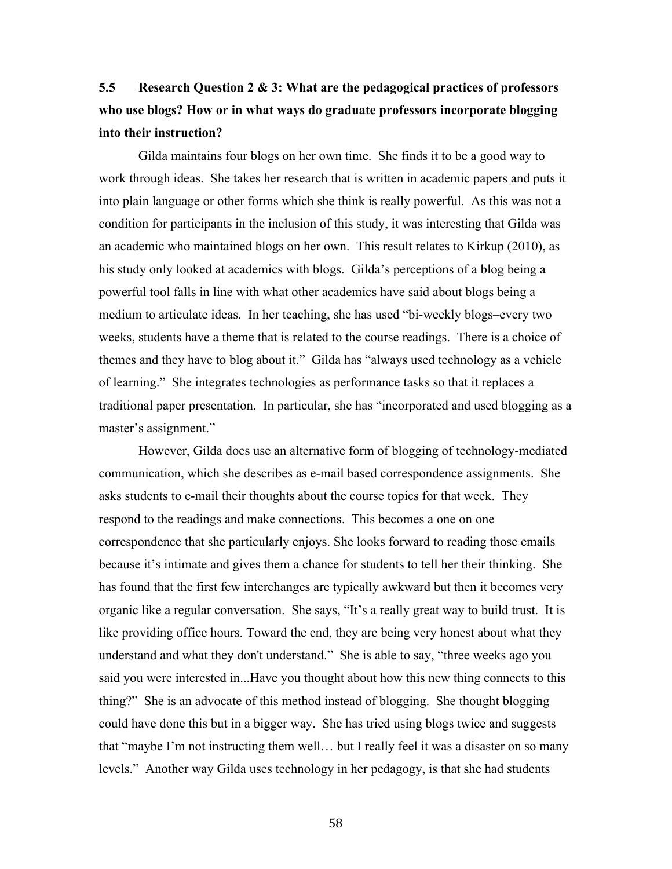## **5.5 Research Question 2 & 3: What are the pedagogical practices of professors who use blogs? How or in what ways do graduate professors incorporate blogging into their instruction?**

Gilda maintains four blogs on her own time. She finds it to be a good way to work through ideas. She takes her research that is written in academic papers and puts it into plain language or other forms which she think is really powerful. As this was not a condition for participants in the inclusion of this study, it was interesting that Gilda was an academic who maintained blogs on her own. This result relates to Kirkup (2010), as his study only looked at academics with blogs. Gilda's perceptions of a blog being a powerful tool falls in line with what other academics have said about blogs being a medium to articulate ideas. In her teaching, she has used "bi-weekly blogs–every two weeks, students have a theme that is related to the course readings. There is a choice of themes and they have to blog about it." Gilda has "always used technology as a vehicle of learning." She integrates technologies as performance tasks so that it replaces a traditional paper presentation. In particular, she has "incorporated and used blogging as a master's assignment."

However, Gilda does use an alternative form of blogging of technology-mediated communication, which she describes as e-mail based correspondence assignments. She asks students to e-mail their thoughts about the course topics for that week. They respond to the readings and make connections. This becomes a one on one correspondence that she particularly enjoys. She looks forward to reading those emails because it's intimate and gives them a chance for students to tell her their thinking. She has found that the first few interchanges are typically awkward but then it becomes very organic like a regular conversation. She says, "It's a really great way to build trust. It is like providing office hours. Toward the end, they are being very honest about what they understand and what they don't understand." She is able to say, "three weeks ago you said you were interested in...Have you thought about how this new thing connects to this thing?" She is an advocate of this method instead of blogging. She thought blogging could have done this but in a bigger way. She has tried using blogs twice and suggests that "maybe I'm not instructing them well… but I really feel it was a disaster on so many levels." Another way Gilda uses technology in her pedagogy, is that she had students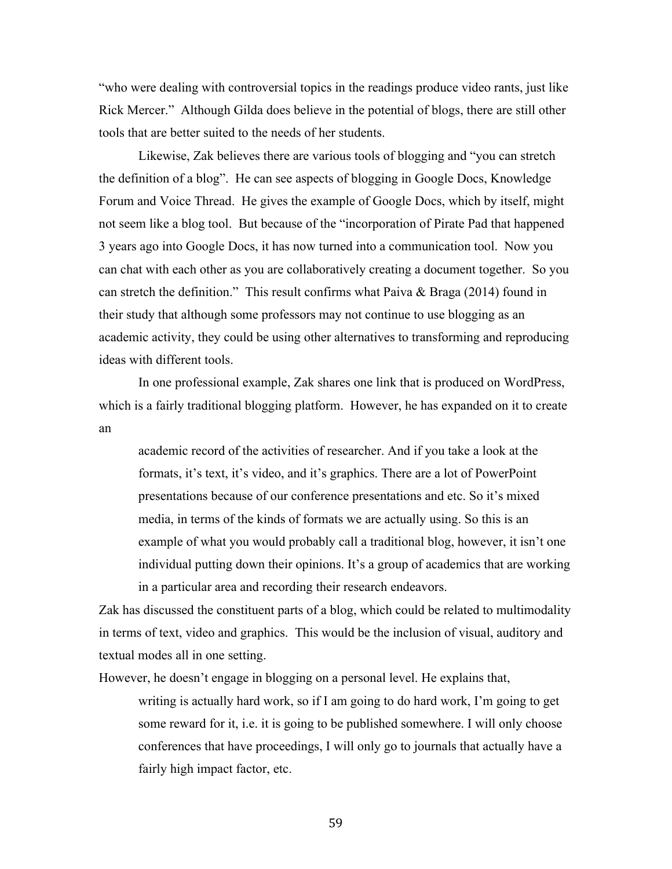"who were dealing with controversial topics in the readings produce video rants, just like Rick Mercer." Although Gilda does believe in the potential of blogs, there are still other tools that are better suited to the needs of her students.

Likewise, Zak believes there are various tools of blogging and "you can stretch the definition of a blog". He can see aspects of blogging in Google Docs, Knowledge Forum and Voice Thread. He gives the example of Google Docs, which by itself, might not seem like a blog tool. But because of the "incorporation of Pirate Pad that happened 3 years ago into Google Docs, it has now turned into a communication tool. Now you can chat with each other as you are collaboratively creating a document together. So you can stretch the definition." This result confirms what Paiva & Braga (2014) found in their study that although some professors may not continue to use blogging as an academic activity, they could be using other alternatives to transforming and reproducing ideas with different tools.

In one professional example, Zak shares one link that is produced on WordPress, which is a fairly traditional blogging platform. However, he has expanded on it to create an

academic record of the activities of researcher. And if you take a look at the formats, it's text, it's video, and it's graphics. There are a lot of PowerPoint presentations because of our conference presentations and etc. So it's mixed media, in terms of the kinds of formats we are actually using. So this is an example of what you would probably call a traditional blog, however, it isn't one individual putting down their opinions. It's a group of academics that are working in a particular area and recording their research endeavors.

Zak has discussed the constituent parts of a blog, which could be related to multimodality in terms of text, video and graphics. This would be the inclusion of visual, auditory and textual modes all in one setting.

However, he doesn't engage in blogging on a personal level. He explains that,

writing is actually hard work, so if I am going to do hard work, I'm going to get some reward for it, i.e. it is going to be published somewhere. I will only choose conferences that have proceedings, I will only go to journals that actually have a fairly high impact factor, etc.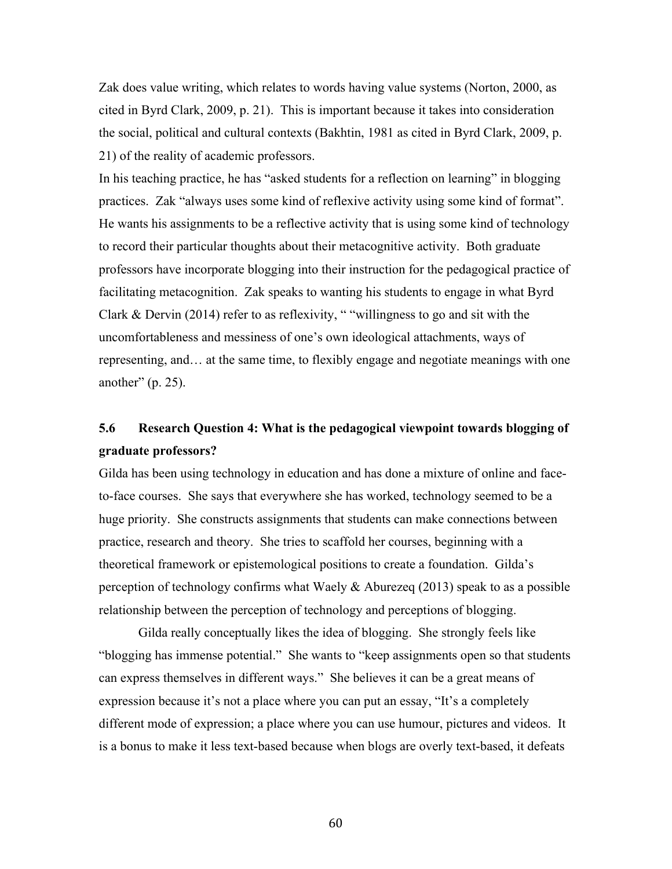Zak does value writing, which relates to words having value systems (Norton, 2000, as cited in Byrd Clark, 2009, p. 21). This is important because it takes into consideration the social, political and cultural contexts (Bakhtin, 1981 as cited in Byrd Clark, 2009, p. 21) of the reality of academic professors.

In his teaching practice, he has "asked students for a reflection on learning" in blogging practices. Zak "always uses some kind of reflexive activity using some kind of format". He wants his assignments to be a reflective activity that is using some kind of technology to record their particular thoughts about their metacognitive activity. Both graduate professors have incorporate blogging into their instruction for the pedagogical practice of facilitating metacognition. Zak speaks to wanting his students to engage in what Byrd Clark & Dervin (2014) refer to as reflexivity, " "willingness to go and sit with the uncomfortableness and messiness of one's own ideological attachments, ways of representing, and… at the same time, to flexibly engage and negotiate meanings with one another"  $(p. 25)$ .

## **5.6 Research Question 4: What is the pedagogical viewpoint towards blogging of graduate professors?**

Gilda has been using technology in education and has done a mixture of online and faceto-face courses. She says that everywhere she has worked, technology seemed to be a huge priority. She constructs assignments that students can make connections between practice, research and theory. She tries to scaffold her courses, beginning with a theoretical framework or epistemological positions to create a foundation. Gilda's perception of technology confirms what Waely & Aburezeq (2013) speak to as a possible relationship between the perception of technology and perceptions of blogging.

Gilda really conceptually likes the idea of blogging. She strongly feels like "blogging has immense potential." She wants to "keep assignments open so that students can express themselves in different ways." She believes it can be a great means of expression because it's not a place where you can put an essay, "It's a completely different mode of expression; a place where you can use humour, pictures and videos. It is a bonus to make it less text-based because when blogs are overly text-based, it defeats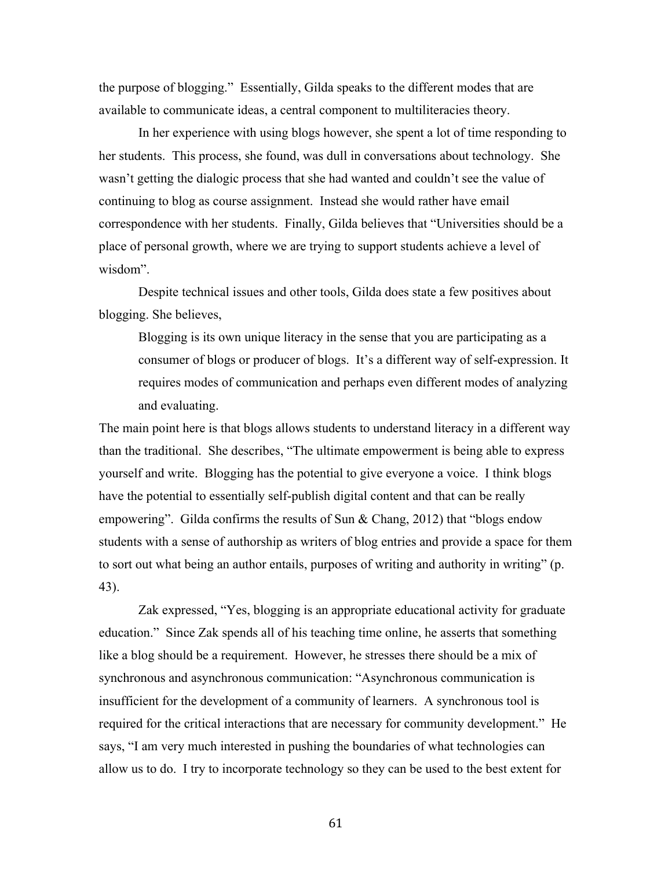the purpose of blogging." Essentially, Gilda speaks to the different modes that are available to communicate ideas, a central component to multiliteracies theory.

In her experience with using blogs however, she spent a lot of time responding to her students. This process, she found, was dull in conversations about technology. She wasn't getting the dialogic process that she had wanted and couldn't see the value of continuing to blog as course assignment. Instead she would rather have email correspondence with her students. Finally, Gilda believes that "Universities should be a place of personal growth, where we are trying to support students achieve a level of wisdom".

Despite technical issues and other tools, Gilda does state a few positives about blogging. She believes,

Blogging is its own unique literacy in the sense that you are participating as a consumer of blogs or producer of blogs. It's a different way of self-expression. It requires modes of communication and perhaps even different modes of analyzing and evaluating.

The main point here is that blogs allows students to understand literacy in a different way than the traditional. She describes, "The ultimate empowerment is being able to express yourself and write. Blogging has the potential to give everyone a voice. I think blogs have the potential to essentially self-publish digital content and that can be really empowering". Gilda confirms the results of Sun  $\&$  Chang, 2012) that "blogs endow students with a sense of authorship as writers of blog entries and provide a space for them to sort out what being an author entails, purposes of writing and authority in writing" (p. 43).

Zak expressed, "Yes, blogging is an appropriate educational activity for graduate education." Since Zak spends all of his teaching time online, he asserts that something like a blog should be a requirement. However, he stresses there should be a mix of synchronous and asynchronous communication: "Asynchronous communication is insufficient for the development of a community of learners. A synchronous tool is required for the critical interactions that are necessary for community development." He says, "I am very much interested in pushing the boundaries of what technologies can allow us to do. I try to incorporate technology so they can be used to the best extent for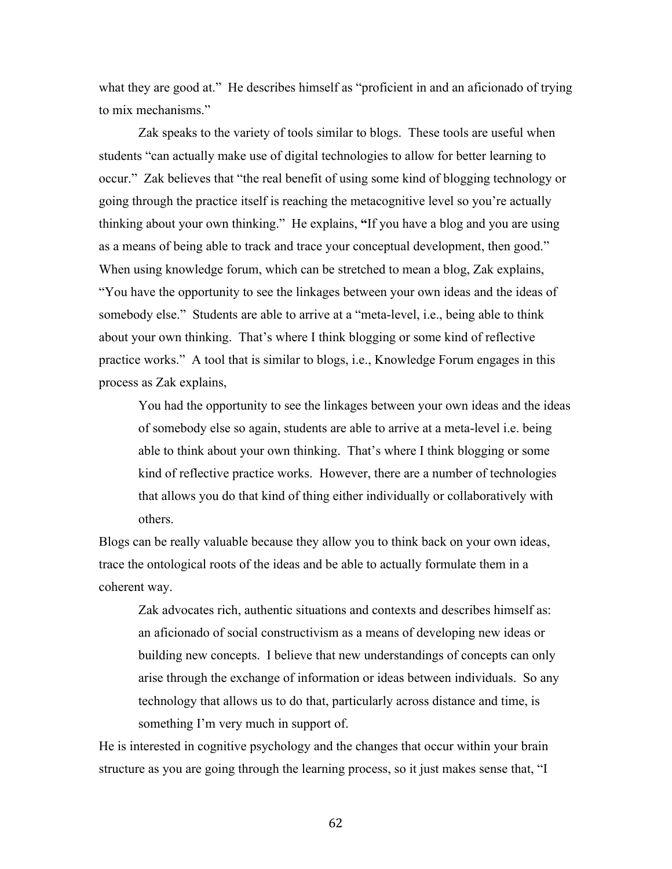what they are good at." He describes himself as "proficient in and an aficionado of trying to mix mechanisms."

Zak speaks to the variety of tools similar to blogs. These tools are useful when students "can actually make use of digital technologies to allow for better learning to occur." Zak believes that "the real benefit of using some kind of blogging technology or going through the practice itself is reaching the metacognitive level so you're actually thinking about your own thinking." He explains, **"**If you have a blog and you are using as a means of being able to track and trace your conceptual development, then good." When using knowledge forum, which can be stretched to mean a blog, Zak explains, "You have the opportunity to see the linkages between your own ideas and the ideas of somebody else." Students are able to arrive at a "meta-level, i.e., being able to think about your own thinking. That's where I think blogging or some kind of reflective practice works." A tool that is similar to blogs, i.e., Knowledge Forum engages in this process as Zak explains,

You had the opportunity to see the linkages between your own ideas and the ideas of somebody else so again, students are able to arrive at a meta-level i.e. being able to think about your own thinking. That's where I think blogging or some kind of reflective practice works. However, there are a number of technologies that allows you do that kind of thing either individually or collaboratively with others.

Blogs can be really valuable because they allow you to think back on your own ideas, trace the ontological roots of the ideas and be able to actually formulate them in a coherent way.

Zak advocates rich, authentic situations and contexts and describes himself as: an aficionado of social constructivism as a means of developing new ideas or building new concepts. I believe that new understandings of concepts can only arise through the exchange of information or ideas between individuals. So any technology that allows us to do that, particularly across distance and time, is something I'm very much in support of.

He is interested in cognitive psychology and the changes that occur within your brain structure as you are going through the learning process, so it just makes sense that, "I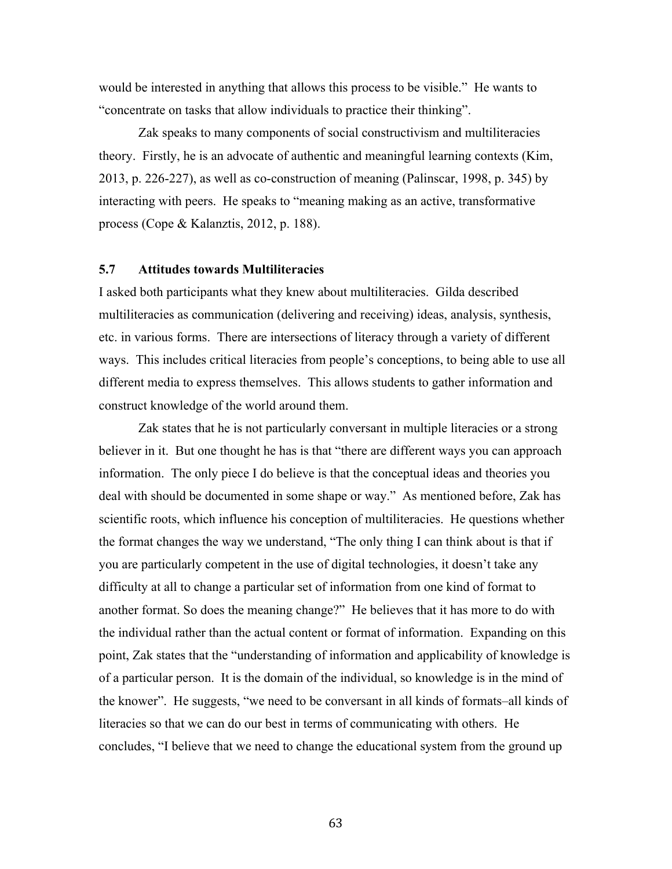would be interested in anything that allows this process to be visible." He wants to "concentrate on tasks that allow individuals to practice their thinking".

Zak speaks to many components of social constructivism and multiliteracies theory. Firstly, he is an advocate of authentic and meaningful learning contexts (Kim, 2013, p. 226-227), as well as co-construction of meaning (Palinscar, 1998, p. 345) by interacting with peers. He speaks to "meaning making as an active, transformative process (Cope & Kalanztis, 2012, p. 188).

### **5.7 Attitudes towards Multiliteracies**

I asked both participants what they knew about multiliteracies. Gilda described multiliteracies as communication (delivering and receiving) ideas, analysis, synthesis, etc. in various forms. There are intersections of literacy through a variety of different ways. This includes critical literacies from people's conceptions, to being able to use all different media to express themselves. This allows students to gather information and construct knowledge of the world around them.

Zak states that he is not particularly conversant in multiple literacies or a strong believer in it. But one thought he has is that "there are different ways you can approach information. The only piece I do believe is that the conceptual ideas and theories you deal with should be documented in some shape or way." As mentioned before, Zak has scientific roots, which influence his conception of multiliteracies. He questions whether the format changes the way we understand, "The only thing I can think about is that if you are particularly competent in the use of digital technologies, it doesn't take any difficulty at all to change a particular set of information from one kind of format to another format. So does the meaning change?" He believes that it has more to do with the individual rather than the actual content or format of information. Expanding on this point, Zak states that the "understanding of information and applicability of knowledge is of a particular person. It is the domain of the individual, so knowledge is in the mind of the knower". He suggests, "we need to be conversant in all kinds of formats–all kinds of literacies so that we can do our best in terms of communicating with others. He concludes, "I believe that we need to change the educational system from the ground up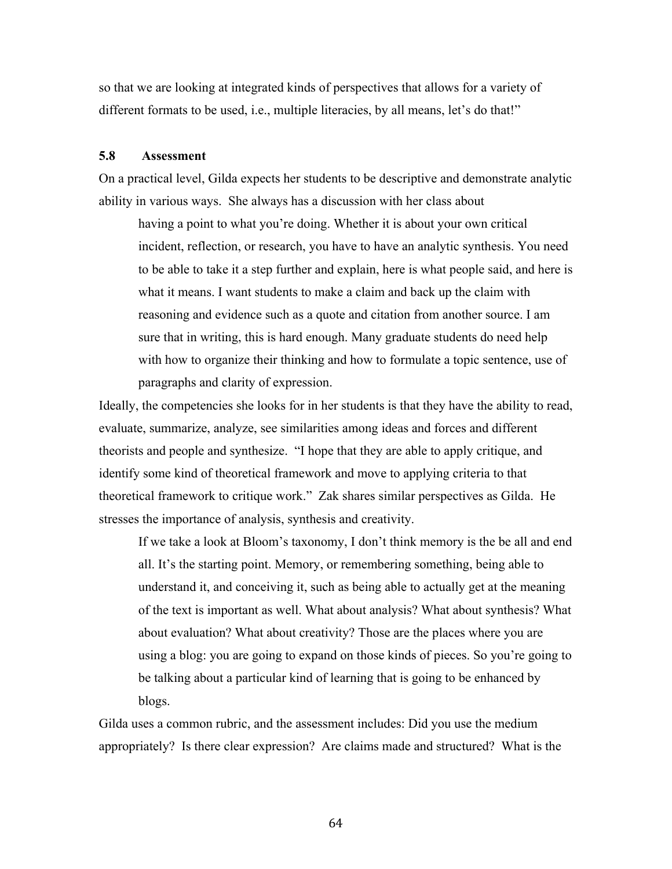so that we are looking at integrated kinds of perspectives that allows for a variety of different formats to be used, i.e., multiple literacies, by all means, let's do that!"

#### **5.8 Assessment**

On a practical level, Gilda expects her students to be descriptive and demonstrate analytic ability in various ways. She always has a discussion with her class about

having a point to what you're doing. Whether it is about your own critical incident, reflection, or research, you have to have an analytic synthesis. You need to be able to take it a step further and explain, here is what people said, and here is what it means. I want students to make a claim and back up the claim with reasoning and evidence such as a quote and citation from another source. I am sure that in writing, this is hard enough. Many graduate students do need help with how to organize their thinking and how to formulate a topic sentence, use of paragraphs and clarity of expression.

Ideally, the competencies she looks for in her students is that they have the ability to read, evaluate, summarize, analyze, see similarities among ideas and forces and different theorists and people and synthesize. "I hope that they are able to apply critique, and identify some kind of theoretical framework and move to applying criteria to that theoretical framework to critique work." Zak shares similar perspectives as Gilda. He stresses the importance of analysis, synthesis and creativity.

If we take a look at Bloom's taxonomy, I don't think memory is the be all and end all. It's the starting point. Memory, or remembering something, being able to understand it, and conceiving it, such as being able to actually get at the meaning of the text is important as well. What about analysis? What about synthesis? What about evaluation? What about creativity? Those are the places where you are using a blog: you are going to expand on those kinds of pieces. So you're going to be talking about a particular kind of learning that is going to be enhanced by blogs.

Gilda uses a common rubric, and the assessment includes: Did you use the medium appropriately? Is there clear expression? Are claims made and structured? What is the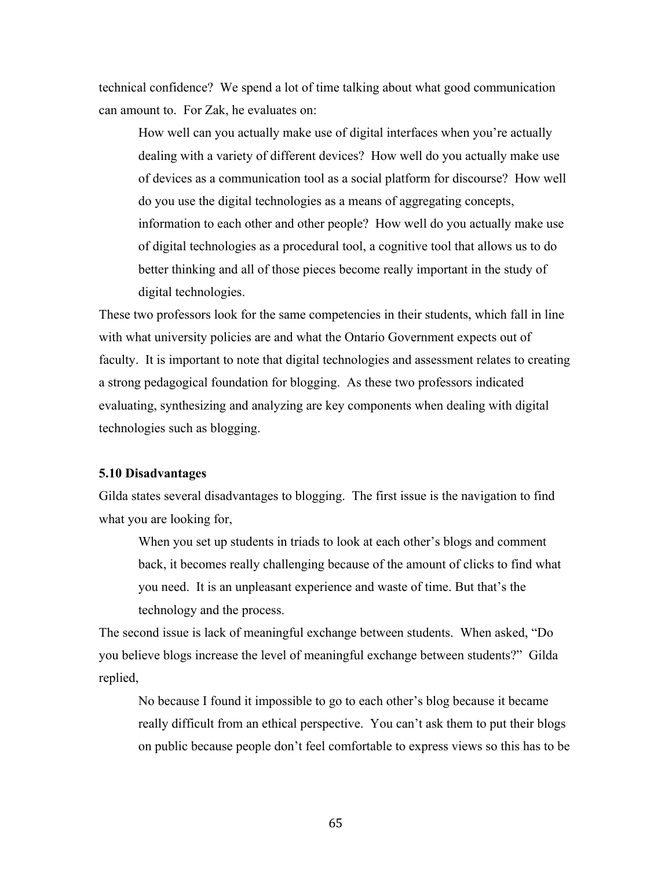technical confidence? We spend a lot of time talking about what good communication can amount to. For Zak, he evaluates on:

How well can you actually make use of digital interfaces when you're actually dealing with a variety of different devices? How well do you actually make use of devices as a communication tool as a social platform for discourse? How well do you use the digital technologies as a means of aggregating concepts, information to each other and other people? How well do you actually make use of digital technologies as a procedural tool, a cognitive tool that allows us to do better thinking and all of those pieces become really important in the study of digital technologies.

These two professors look for the same competencies in their students, which fall in line with what university policies are and what the Ontario Government expects out of faculty. It is important to note that digital technologies and assessment relates to creating a strong pedagogical foundation for blogging. As these two professors indicated evaluating, synthesizing and analyzing are key components when dealing with digital technologies such as blogging.

#### **5.10 Disadvantages**

Gilda states several disadvantages to blogging. The first issue is the navigation to find what you are looking for,

When you set up students in triads to look at each other's blogs and comment back, it becomes really challenging because of the amount of clicks to find what you need. It is an unpleasant experience and waste of time. But that's the technology and the process.

The second issue is lack of meaningful exchange between students. When asked, "Do you believe blogs increase the level of meaningful exchange between students?" Gilda replied,

No because I found it impossible to go to each other's blog because it became really difficult from an ethical perspective. You can't ask them to put their blogs on public because people don't feel comfortable to express views so this has to be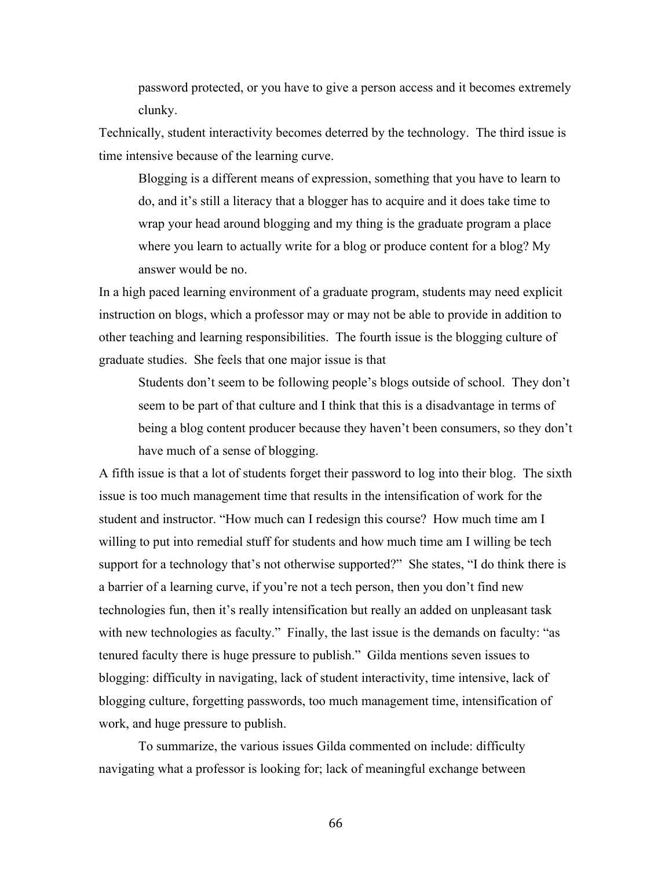password protected, or you have to give a person access and it becomes extremely clunky.

Technically, student interactivity becomes deterred by the technology. The third issue is time intensive because of the learning curve.

Blogging is a different means of expression, something that you have to learn to do, and it's still a literacy that a blogger has to acquire and it does take time to wrap your head around blogging and my thing is the graduate program a place where you learn to actually write for a blog or produce content for a blog? My answer would be no.

In a high paced learning environment of a graduate program, students may need explicit instruction on blogs, which a professor may or may not be able to provide in addition to other teaching and learning responsibilities. The fourth issue is the blogging culture of graduate studies. She feels that one major issue is that

Students don't seem to be following people's blogs outside of school. They don't seem to be part of that culture and I think that this is a disadvantage in terms of being a blog content producer because they haven't been consumers, so they don't have much of a sense of blogging.

A fifth issue is that a lot of students forget their password to log into their blog. The sixth issue is too much management time that results in the intensification of work for the student and instructor. "How much can I redesign this course? How much time am I willing to put into remedial stuff for students and how much time am I willing be tech support for a technology that's not otherwise supported?" She states, "I do think there is a barrier of a learning curve, if you're not a tech person, then you don't find new technologies fun, then it's really intensification but really an added on unpleasant task with new technologies as faculty." Finally, the last issue is the demands on faculty: "as tenured faculty there is huge pressure to publish." Gilda mentions seven issues to blogging: difficulty in navigating, lack of student interactivity, time intensive, lack of blogging culture, forgetting passwords, too much management time, intensification of work, and huge pressure to publish.

To summarize, the various issues Gilda commented on include: difficulty navigating what a professor is looking for; lack of meaningful exchange between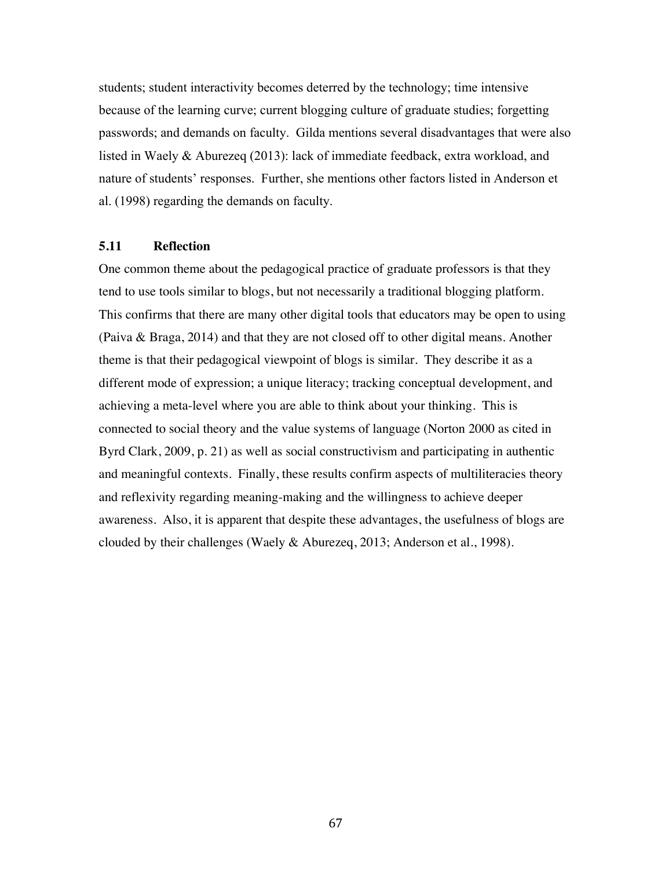students; student interactivity becomes deterred by the technology; time intensive because of the learning curve; current blogging culture of graduate studies; forgetting passwords; and demands on faculty. Gilda mentions several disadvantages that were also listed in Waely & Aburezeq (2013): lack of immediate feedback, extra workload, and nature of students' responses. Further, she mentions other factors listed in Anderson et al. (1998) regarding the demands on faculty.

#### **5.11 Reflection**

One common theme about the pedagogical practice of graduate professors is that they tend to use tools similar to blogs, but not necessarily a traditional blogging platform. This confirms that there are many other digital tools that educators may be open to using (Paiva & Braga, 2014) and that they are not closed off to other digital means. Another theme is that their pedagogical viewpoint of blogs is similar. They describe it as a different mode of expression; a unique literacy; tracking conceptual development, and achieving a meta-level where you are able to think about your thinking. This is connected to social theory and the value systems of language (Norton 2000 as cited in Byrd Clark, 2009, p. 21) as well as social constructivism and participating in authentic and meaningful contexts. Finally, these results confirm aspects of multiliteracies theory and reflexivity regarding meaning-making and the willingness to achieve deeper awareness. Also, it is apparent that despite these advantages, the usefulness of blogs are clouded by their challenges (Waely & Aburezeq, 2013; Anderson et al., 1998).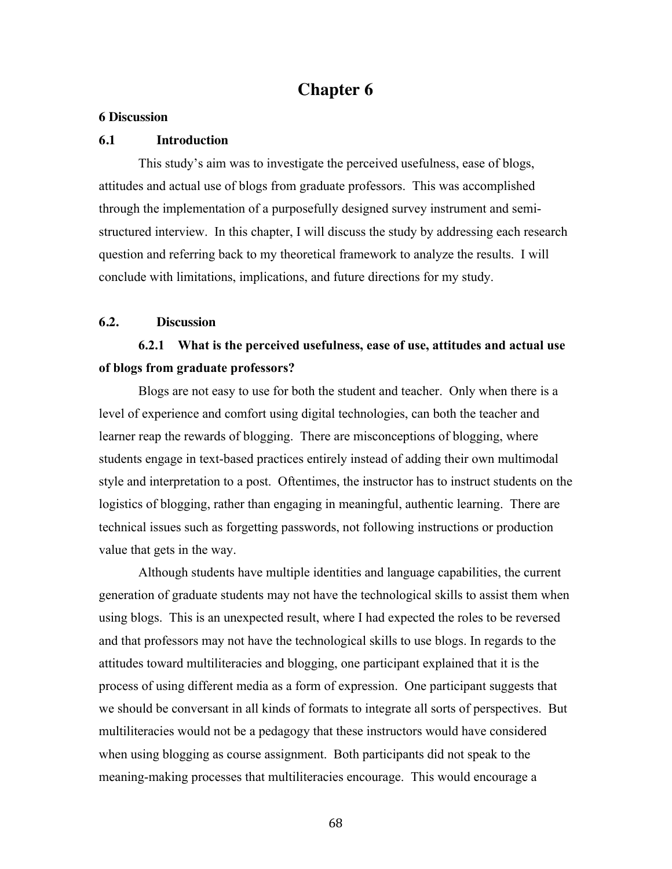# **Chapter 6**

#### **6 Discussion**

#### **6.1 Introduction**

This study's aim was to investigate the perceived usefulness, ease of blogs, attitudes and actual use of blogs from graduate professors. This was accomplished through the implementation of a purposefully designed survey instrument and semistructured interview. In this chapter, I will discuss the study by addressing each research question and referring back to my theoretical framework to analyze the results. I will conclude with limitations, implications, and future directions for my study.

### **6.2. Discussion**

# **6.2.1 What is the perceived usefulness, ease of use, attitudes and actual use of blogs from graduate professors?**

Blogs are not easy to use for both the student and teacher. Only when there is a level of experience and comfort using digital technologies, can both the teacher and learner reap the rewards of blogging. There are misconceptions of blogging, where students engage in text-based practices entirely instead of adding their own multimodal style and interpretation to a post. Oftentimes, the instructor has to instruct students on the logistics of blogging, rather than engaging in meaningful, authentic learning. There are technical issues such as forgetting passwords, not following instructions or production value that gets in the way.

Although students have multiple identities and language capabilities, the current generation of graduate students may not have the technological skills to assist them when using blogs. This is an unexpected result, where I had expected the roles to be reversed and that professors may not have the technological skills to use blogs. In regards to the attitudes toward multiliteracies and blogging, one participant explained that it is the process of using different media as a form of expression. One participant suggests that we should be conversant in all kinds of formats to integrate all sorts of perspectives. But multiliteracies would not be a pedagogy that these instructors would have considered when using blogging as course assignment. Both participants did not speak to the meaning-making processes that multiliteracies encourage. This would encourage a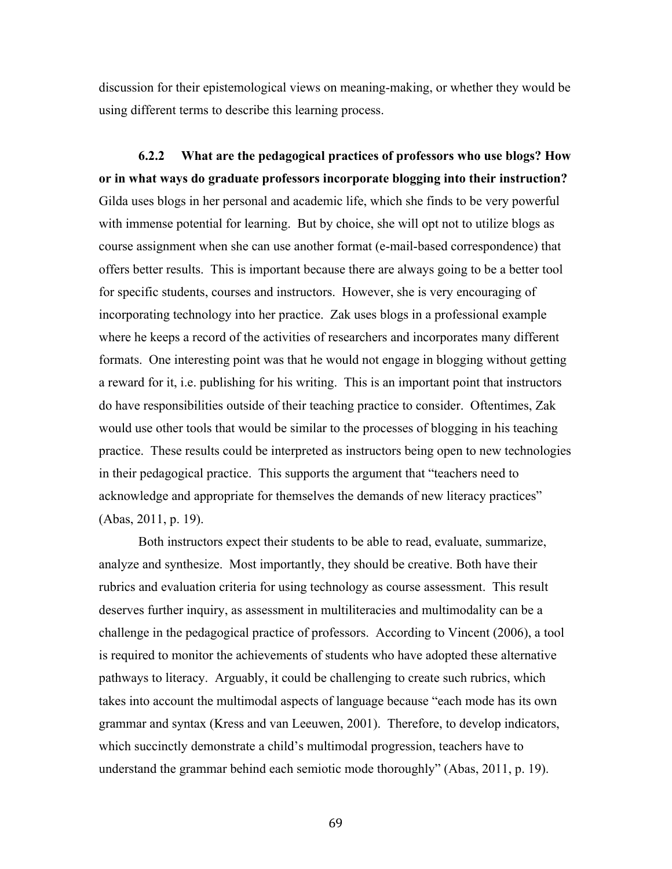discussion for their epistemological views on meaning-making, or whether they would be using different terms to describe this learning process.

**6.2.2 What are the pedagogical practices of professors who use blogs? How or in what ways do graduate professors incorporate blogging into their instruction?** Gilda uses blogs in her personal and academic life, which she finds to be very powerful with immense potential for learning. But by choice, she will opt not to utilize blogs as course assignment when she can use another format (e-mail-based correspondence) that offers better results. This is important because there are always going to be a better tool for specific students, courses and instructors. However, she is very encouraging of incorporating technology into her practice. Zak uses blogs in a professional example where he keeps a record of the activities of researchers and incorporates many different formats. One interesting point was that he would not engage in blogging without getting a reward for it, i.e. publishing for his writing. This is an important point that instructors do have responsibilities outside of their teaching practice to consider. Oftentimes, Zak would use other tools that would be similar to the processes of blogging in his teaching practice. These results could be interpreted as instructors being open to new technologies in their pedagogical practice. This supports the argument that "teachers need to acknowledge and appropriate for themselves the demands of new literacy practices" (Abas, 2011, p. 19).

Both instructors expect their students to be able to read, evaluate, summarize, analyze and synthesize. Most importantly, they should be creative. Both have their rubrics and evaluation criteria for using technology as course assessment. This result deserves further inquiry, as assessment in multiliteracies and multimodality can be a challenge in the pedagogical practice of professors. According to Vincent (2006), a tool is required to monitor the achievements of students who have adopted these alternative pathways to literacy. Arguably, it could be challenging to create such rubrics, which takes into account the multimodal aspects of language because "each mode has its own grammar and syntax (Kress and van Leeuwen, 2001). Therefore, to develop indicators, which succinctly demonstrate a child's multimodal progression, teachers have to understand the grammar behind each semiotic mode thoroughly" (Abas, 2011, p. 19).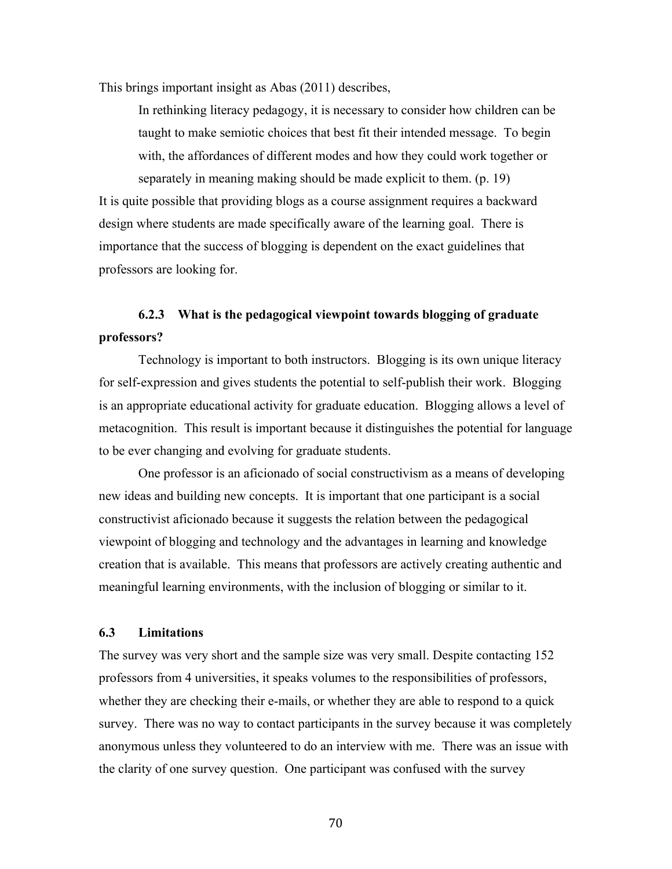This brings important insight as Abas (2011) describes,

In rethinking literacy pedagogy, it is necessary to consider how children can be taught to make semiotic choices that best fit their intended message. To begin with, the affordances of different modes and how they could work together or separately in meaning making should be made explicit to them. (p. 19)

It is quite possible that providing blogs as a course assignment requires a backward design where students are made specifically aware of the learning goal. There is importance that the success of blogging is dependent on the exact guidelines that professors are looking for.

## **6.2.3 What is the pedagogical viewpoint towards blogging of graduate professors?**

Technology is important to both instructors. Blogging is its own unique literacy for self-expression and gives students the potential to self-publish their work. Blogging is an appropriate educational activity for graduate education. Blogging allows a level of metacognition. This result is important because it distinguishes the potential for language to be ever changing and evolving for graduate students.

One professor is an aficionado of social constructivism as a means of developing new ideas and building new concepts. It is important that one participant is a social constructivist aficionado because it suggests the relation between the pedagogical viewpoint of blogging and technology and the advantages in learning and knowledge creation that is available. This means that professors are actively creating authentic and meaningful learning environments, with the inclusion of blogging or similar to it.

#### **6.3 Limitations**

The survey was very short and the sample size was very small. Despite contacting 152 professors from 4 universities, it speaks volumes to the responsibilities of professors, whether they are checking their e-mails, or whether they are able to respond to a quick survey. There was no way to contact participants in the survey because it was completely anonymous unless they volunteered to do an interview with me. There was an issue with the clarity of one survey question. One participant was confused with the survey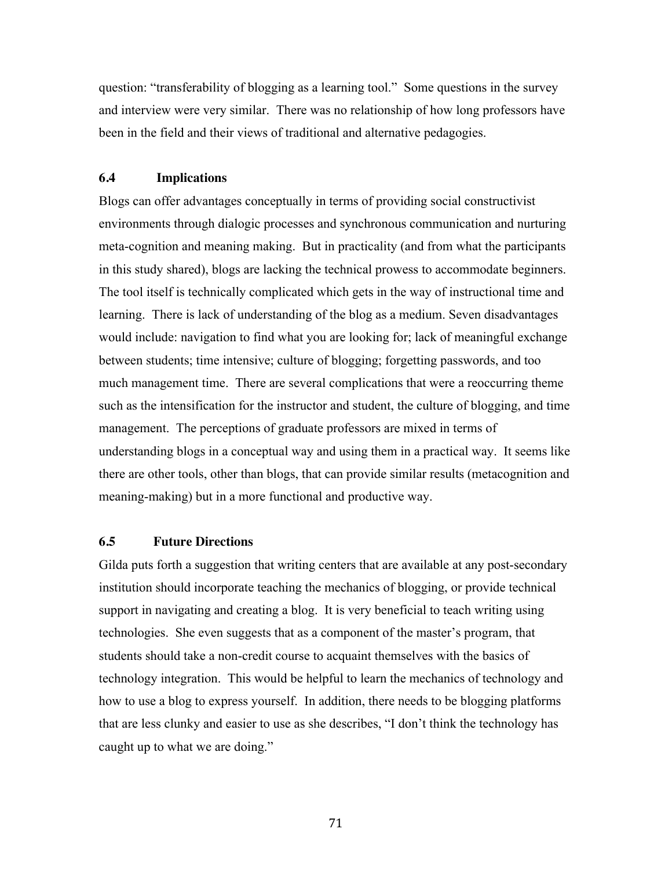question: "transferability of blogging as a learning tool." Some questions in the survey and interview were very similar. There was no relationship of how long professors have been in the field and their views of traditional and alternative pedagogies.

### **6.4 Implications**

Blogs can offer advantages conceptually in terms of providing social constructivist environments through dialogic processes and synchronous communication and nurturing meta-cognition and meaning making. But in practicality (and from what the participants in this study shared), blogs are lacking the technical prowess to accommodate beginners. The tool itself is technically complicated which gets in the way of instructional time and learning. There is lack of understanding of the blog as a medium. Seven disadvantages would include: navigation to find what you are looking for; lack of meaningful exchange between students; time intensive; culture of blogging; forgetting passwords, and too much management time. There are several complications that were a reoccurring theme such as the intensification for the instructor and student, the culture of blogging, and time management. The perceptions of graduate professors are mixed in terms of understanding blogs in a conceptual way and using them in a practical way. It seems like there are other tools, other than blogs, that can provide similar results (metacognition and meaning-making) but in a more functional and productive way.

#### **6.5 Future Directions**

Gilda puts forth a suggestion that writing centers that are available at any post-secondary institution should incorporate teaching the mechanics of blogging, or provide technical support in navigating and creating a blog. It is very beneficial to teach writing using technologies. She even suggests that as a component of the master's program, that students should take a non-credit course to acquaint themselves with the basics of technology integration. This would be helpful to learn the mechanics of technology and how to use a blog to express yourself. In addition, there needs to be blogging platforms that are less clunky and easier to use as she describes, "I don't think the technology has caught up to what we are doing."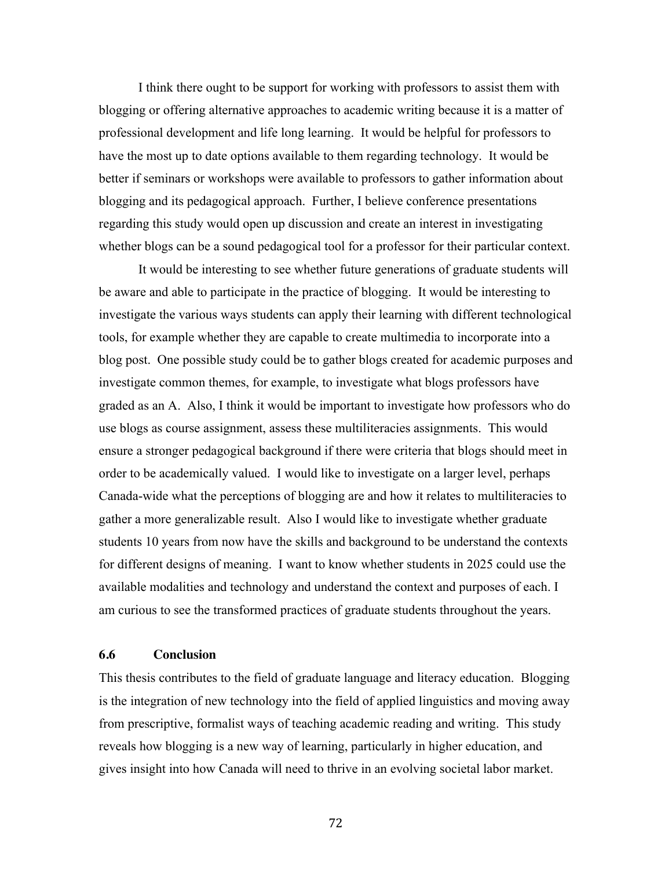I think there ought to be support for working with professors to assist them with blogging or offering alternative approaches to academic writing because it is a matter of professional development and life long learning. It would be helpful for professors to have the most up to date options available to them regarding technology. It would be better if seminars or workshops were available to professors to gather information about blogging and its pedagogical approach. Further, I believe conference presentations regarding this study would open up discussion and create an interest in investigating whether blogs can be a sound pedagogical tool for a professor for their particular context.

It would be interesting to see whether future generations of graduate students will be aware and able to participate in the practice of blogging. It would be interesting to investigate the various ways students can apply their learning with different technological tools, for example whether they are capable to create multimedia to incorporate into a blog post. One possible study could be to gather blogs created for academic purposes and investigate common themes, for example, to investigate what blogs professors have graded as an A. Also, I think it would be important to investigate how professors who do use blogs as course assignment, assess these multiliteracies assignments. This would ensure a stronger pedagogical background if there were criteria that blogs should meet in order to be academically valued. I would like to investigate on a larger level, perhaps Canada-wide what the perceptions of blogging are and how it relates to multiliteracies to gather a more generalizable result. Also I would like to investigate whether graduate students 10 years from now have the skills and background to be understand the contexts for different designs of meaning. I want to know whether students in 2025 could use the available modalities and technology and understand the context and purposes of each. I am curious to see the transformed practices of graduate students throughout the years.

#### **6.6 Conclusion**

This thesis contributes to the field of graduate language and literacy education. Blogging is the integration of new technology into the field of applied linguistics and moving away from prescriptive, formalist ways of teaching academic reading and writing. This study reveals how blogging is a new way of learning, particularly in higher education, and gives insight into how Canada will need to thrive in an evolving societal labor market.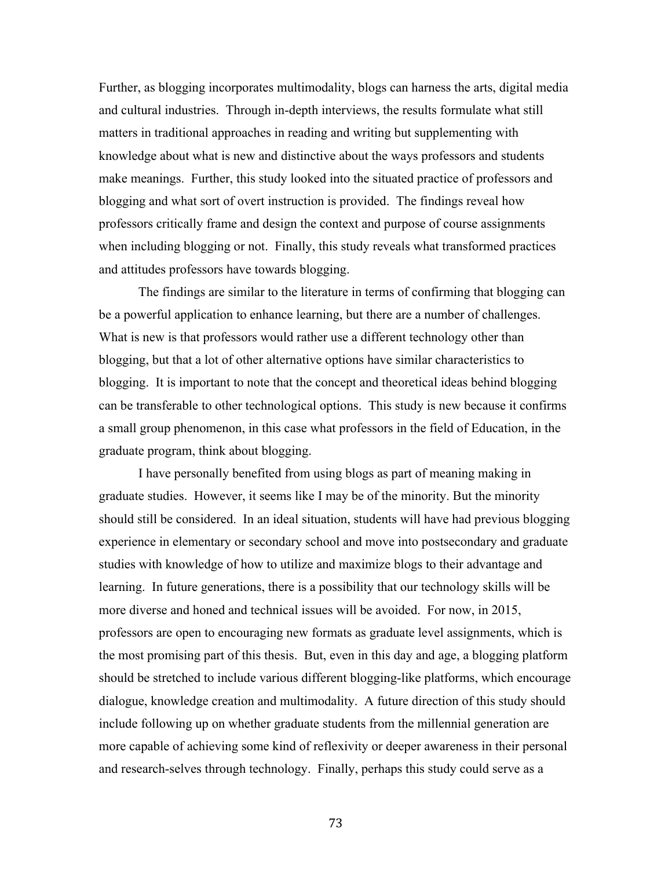Further, as blogging incorporates multimodality, blogs can harness the arts, digital media and cultural industries. Through in-depth interviews, the results formulate what still matters in traditional approaches in reading and writing but supplementing with knowledge about what is new and distinctive about the ways professors and students make meanings. Further, this study looked into the situated practice of professors and blogging and what sort of overt instruction is provided. The findings reveal how professors critically frame and design the context and purpose of course assignments when including blogging or not. Finally, this study reveals what transformed practices and attitudes professors have towards blogging.

The findings are similar to the literature in terms of confirming that blogging can be a powerful application to enhance learning, but there are a number of challenges. What is new is that professors would rather use a different technology other than blogging, but that a lot of other alternative options have similar characteristics to blogging. It is important to note that the concept and theoretical ideas behind blogging can be transferable to other technological options. This study is new because it confirms a small group phenomenon, in this case what professors in the field of Education, in the graduate program, think about blogging.

I have personally benefited from using blogs as part of meaning making in graduate studies. However, it seems like I may be of the minority. But the minority should still be considered. In an ideal situation, students will have had previous blogging experience in elementary or secondary school and move into postsecondary and graduate studies with knowledge of how to utilize and maximize blogs to their advantage and learning. In future generations, there is a possibility that our technology skills will be more diverse and honed and technical issues will be avoided. For now, in 2015, professors are open to encouraging new formats as graduate level assignments, which is the most promising part of this thesis. But, even in this day and age, a blogging platform should be stretched to include various different blogging-like platforms, which encourage dialogue, knowledge creation and multimodality. A future direction of this study should include following up on whether graduate students from the millennial generation are more capable of achieving some kind of reflexivity or deeper awareness in their personal and research-selves through technology. Finally, perhaps this study could serve as a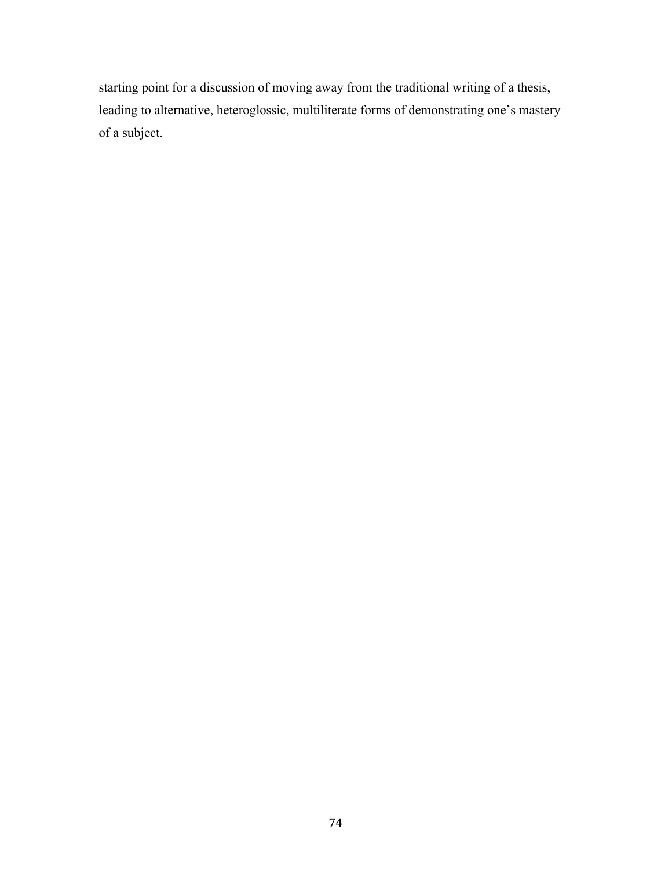starting point for a discussion of moving away from the traditional writing of a thesis, leading to alternative, heteroglossic, multiliterate forms of demonstrating one's mastery of a subject.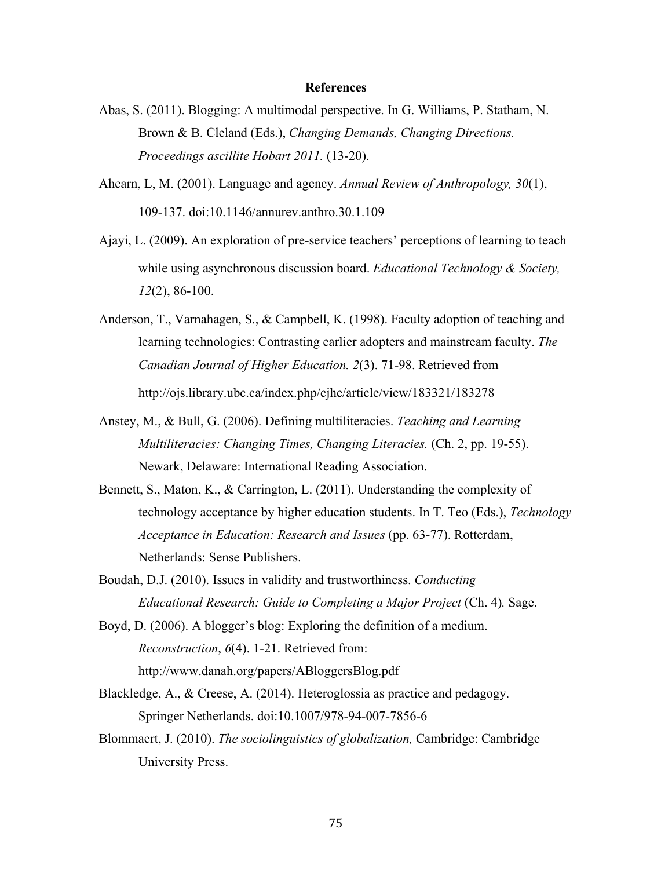#### **References**

- Abas, S. (2011). Blogging: A multimodal perspective. In G. Williams, P. Statham, N. Brown & B. Cleland (Eds.), *Changing Demands, Changing Directions. Proceedings ascillite Hobart 2011.* (13-20).
- Ahearn, L, M. (2001). Language and agency. *Annual Review of Anthropology, 30*(1), 109-137. doi:10.1146/annurev.anthro.30.1.109
- Ajayi, L. (2009). An exploration of pre-service teachers' perceptions of learning to teach while using asynchronous discussion board. *Educational Technology & Society, 12*(2), 86-100.
- Anderson, T., Varnahagen, S., & Campbell, K. (1998). Faculty adoption of teaching and learning technologies: Contrasting earlier adopters and mainstream faculty. *The Canadian Journal of Higher Education. 2*(3). 71-98. Retrieved from http://ojs.library.ubc.ca/index.php/cjhe/article/view/183321/183278
- Anstey, M., & Bull, G. (2006). Defining multiliteracies. *Teaching and Learning Multiliteracies: Changing Times, Changing Literacies.* (Ch. 2, pp. 19-55). Newark, Delaware: International Reading Association.
- Bennett, S., Maton, K., & Carrington, L. (2011). Understanding the complexity of technology acceptance by higher education students. In T. Teo (Eds.), *Technology Acceptance in Education: Research and Issues* (pp. 63-77). Rotterdam, Netherlands: Sense Publishers.
- Boudah, D.J. (2010). Issues in validity and trustworthiness. *Conducting Educational Research: Guide to Completing a Major Project* (Ch. 4). Sage.
- Boyd, D. (2006). A blogger's blog: Exploring the definition of a medium. *Reconstruction*, *6*(4). 1-21. Retrieved from: http://www.danah.org/papers/ABloggersBlog.pdf
- Blackledge, A., & Creese, A. (2014). Heteroglossia as practice and pedagogy. Springer Netherlands. doi:10.1007/978-94-007-7856-6
- Blommaert, J. (2010). *The sociolinguistics of globalization,* Cambridge: Cambridge University Press.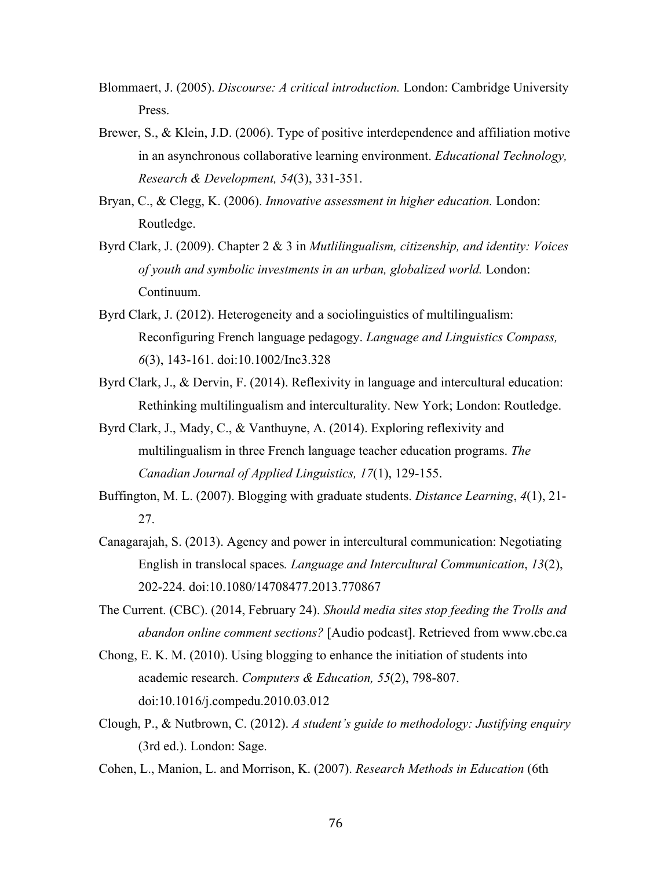Blommaert, J. (2005). *Discourse: A critical introduction.* London: Cambridge University Press.

- Brewer, S., & Klein, J.D. (2006). Type of positive interdependence and affiliation motive in an asynchronous collaborative learning environment. *Educational Technology, Research & Development, 54*(3), 331-351.
- Bryan, C., & Clegg, K. (2006). *Innovative assessment in higher education.* London: Routledge.
- Byrd Clark, J. (2009). Chapter 2 & 3 in *Mutlilingualism, citizenship, and identity: Voices of youth and symbolic investments in an urban, globalized world.* London: Continuum.
- Byrd Clark, J. (2012). Heterogeneity and a sociolinguistics of multilingualism: Reconfiguring French language pedagogy. *Language and Linguistics Compass, 6*(3), 143-161. doi:10.1002/Inc3.328
- Byrd Clark, J., & Dervin, F. (2014). Reflexivity in language and intercultural education: Rethinking multilingualism and interculturality. New York; London: Routledge.
- Byrd Clark, J., Mady, C., & Vanthuyne, A. (2014). Exploring reflexivity and multilingualism in three French language teacher education programs. *The Canadian Journal of Applied Linguistics, 17*(1), 129-155.
- Buffington, M. L. (2007). Blogging with graduate students. *Distance Learning*, *4*(1), 21- 27.
- Canagarajah, S. (2013). Agency and power in intercultural communication: Negotiating English in translocal spaces*. Language and Intercultural Communication*, *13*(2), 202-224. doi:10.1080/14708477.2013.770867
- The Current. (CBC). (2014, February 24). *Should media sites stop feeding the Trolls and abandon online comment sections?* [Audio podcast]. Retrieved from www.cbc.ca
- Chong, E. K. M. (2010). Using blogging to enhance the initiation of students into academic research. *Computers & Education, 55*(2), 798-807. doi:10.1016/j.compedu.2010.03.012
- Clough, P., & Nutbrown, C. (2012). *A student's guide to methodology: Justifying enquiry* (3rd ed.). London: Sage.
- Cohen, L., Manion, L. and Morrison, K. (2007). *Research Methods in Education* (6th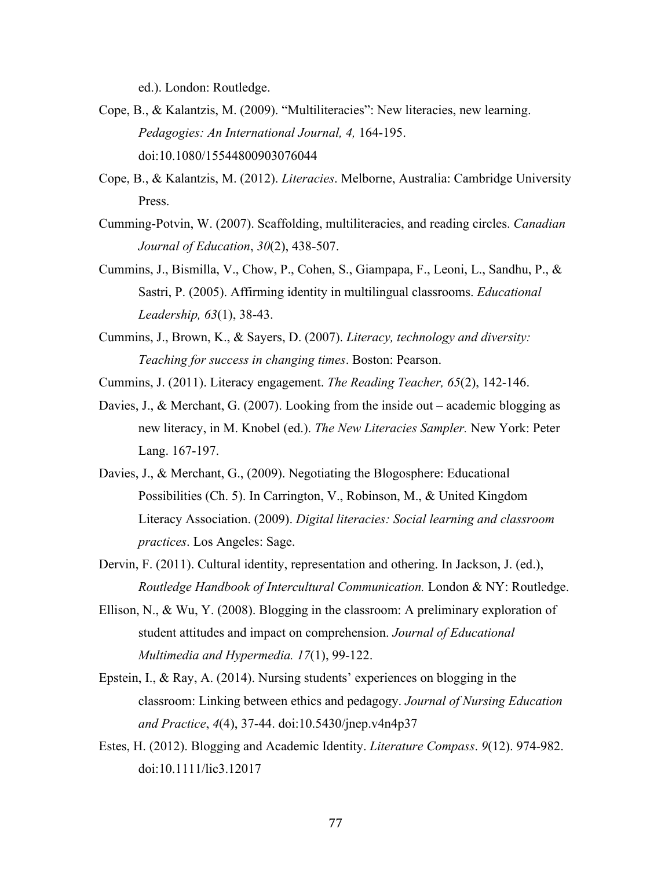ed.). London: Routledge.

- Cope, B., & Kalantzis, M. (2009). "Multiliteracies": New literacies, new learning. *Pedagogies: An International Journal, 4,* 164-195. doi:10.1080/15544800903076044
- Cope, B., & Kalantzis, M. (2012). *Literacies*. Melborne, Australia: Cambridge University Press.
- Cumming-Potvin, W. (2007). Scaffolding, multiliteracies, and reading circles. *Canadian Journal of Education*, *30*(2), 438-507.
- Cummins, J., Bismilla, V., Chow, P., Cohen, S., Giampapa, F., Leoni, L., Sandhu, P., & Sastri, P. (2005). Affirming identity in multilingual classrooms. *Educational Leadership, 63*(1), 38-43.
- Cummins, J., Brown, K., & Sayers, D. (2007). *Literacy, technology and diversity: Teaching for success in changing times*. Boston: Pearson.
- Cummins, J. (2011). Literacy engagement. *The Reading Teacher, 65*(2), 142-146.
- Davies, J., & Merchant, G. (2007). Looking from the inside out academic blogging as new literacy, in M. Knobel (ed.). *The New Literacies Sampler.* New York: Peter Lang. 167-197.
- Davies, J., & Merchant, G., (2009). Negotiating the Blogosphere: Educational Possibilities (Ch. 5). In Carrington, V., Robinson, M., & United Kingdom Literacy Association. (2009). *Digital literacies: Social learning and classroom practices*. Los Angeles: Sage.
- Dervin, F. (2011). Cultural identity, representation and othering. In Jackson, J. (ed.), *Routledge Handbook of Intercultural Communication.* London & NY: Routledge.
- Ellison, N., & Wu, Y. (2008). Blogging in the classroom: A preliminary exploration of student attitudes and impact on comprehension. *Journal of Educational Multimedia and Hypermedia. 17*(1), 99-122.
- Epstein, I., & Ray, A. (2014). Nursing students' experiences on blogging in the classroom: Linking between ethics and pedagogy. *Journal of Nursing Education and Practice*, *4*(4), 37-44. doi:10.5430/jnep.v4n4p37
- Estes, H. (2012). Blogging and Academic Identity. *Literature Compass*. *9*(12). 974-982. doi:10.1111/lic3.12017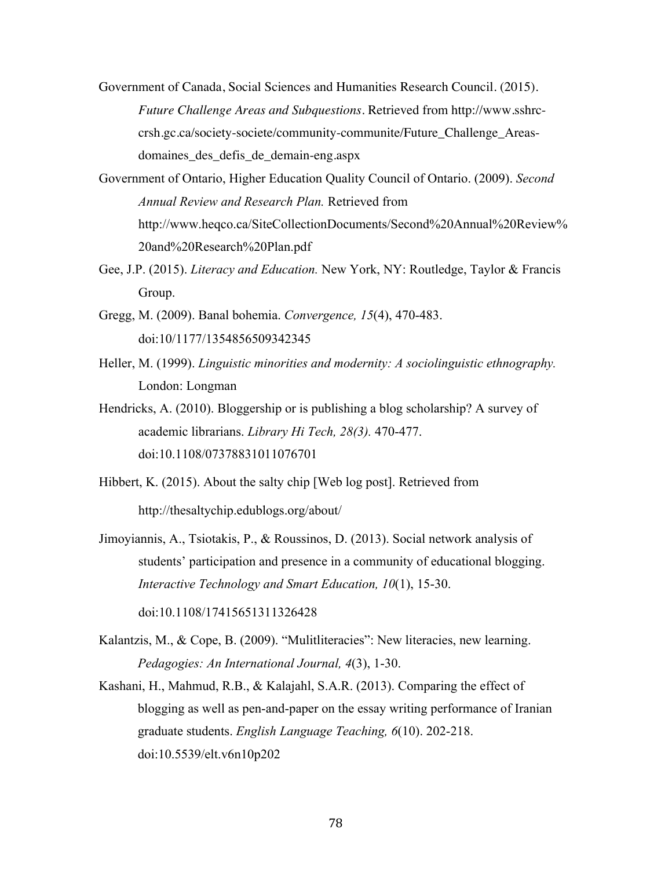- Government of Canada, Social Sciences and Humanities Research Council. (2015). *Future Challenge Areas and Subquestions*. Retrieved from http://www.sshrccrsh.gc.ca/society-societe/community-communite/Future\_Challenge\_Areasdomaines\_des\_defis\_de\_demain-eng.aspx
- Government of Ontario, Higher Education Quality Council of Ontario. (2009). *Second Annual Review and Research Plan.* Retrieved from http://www.heqco.ca/SiteCollectionDocuments/Second%20Annual%20Review% 20and%20Research%20Plan.pdf
- Gee, J.P. (2015). *Literacy and Education.* New York, NY: Routledge, Taylor & Francis Group.
- Gregg, M. (2009). Banal bohemia. *Convergence, 15*(4), 470-483. doi:10/1177/1354856509342345
- Heller, M. (1999). *Linguistic minorities and modernity: A sociolinguistic ethnography.*  London: Longman
- Hendricks, A. (2010). Bloggership or is publishing a blog scholarship? A survey of academic librarians. *Library Hi Tech, 28(3).* 470-477. doi:10.1108/07378831011076701
- Hibbert, K. (2015). About the salty chip [Web log post]. Retrieved from http://thesaltychip.edublogs.org/about/
- Jimoyiannis, A., Tsiotakis, P., & Roussinos, D. (2013). Social network analysis of students' participation and presence in a community of educational blogging. *Interactive Technology and Smart Education, 10*(1), 15-30.

doi:10.1108/17415651311326428

- Kalantzis, M., & Cope, B. (2009). "Mulitliteracies": New literacies, new learning. *Pedagogies: An International Journal, 4*(3), 1-30.
- Kashani, H., Mahmud, R.B., & Kalajahl, S.A.R. (2013). Comparing the effect of blogging as well as pen-and-paper on the essay writing performance of Iranian graduate students. *English Language Teaching, 6*(10). 202-218. doi:10.5539/elt.v6n10p202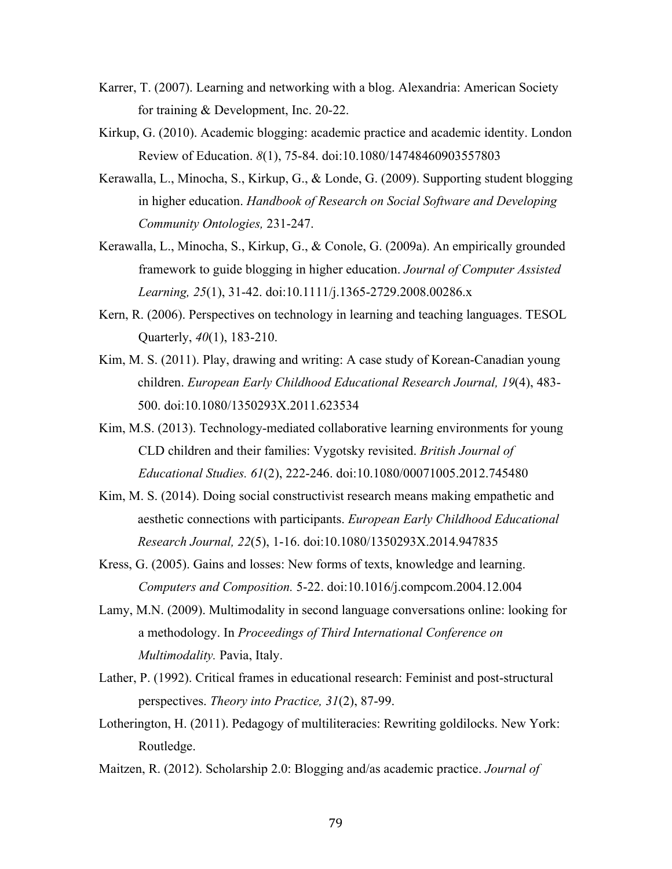- Karrer, T. (2007). Learning and networking with a blog. Alexandria: American Society for training & Development, Inc. 20-22.
- Kirkup, G. (2010). Academic blogging: academic practice and academic identity. London Review of Education. *8*(1), 75-84. doi:10.1080/14748460903557803
- Kerawalla, L., Minocha, S., Kirkup, G., & Londe, G. (2009). Supporting student blogging in higher education. *Handbook of Research on Social Software and Developing Community Ontologies,* 231-247.
- Kerawalla, L., Minocha, S., Kirkup, G., & Conole, G. (2009a). An empirically grounded framework to guide blogging in higher education. *Journal of Computer Assisted Learning, 25*(1), 31-42. doi:10.1111/j.1365-2729.2008.00286.x
- Kern, R. (2006). Perspectives on technology in learning and teaching languages. TESOL Quarterly, *40*(1), 183-210.
- Kim, M. S. (2011). Play, drawing and writing: A case study of Korean-Canadian young children. *European Early Childhood Educational Research Journal, 19*(4), 483- 500. doi:10.1080/1350293X.2011.623534
- Kim, M.S. (2013). Technology-mediated collaborative learning environments for young CLD children and their families: Vygotsky revisited. *British Journal of Educational Studies. 61*(2), 222-246. doi:10.1080/00071005.2012.745480
- Kim, M. S. (2014). Doing social constructivist research means making empathetic and aesthetic connections with participants. *European Early Childhood Educational Research Journal, 22*(5), 1-16. doi:10.1080/1350293X.2014.947835
- Kress, G. (2005). Gains and losses: New forms of texts, knowledge and learning. *Computers and Composition.* 5-22. doi:10.1016/j.compcom.2004.12.004
- Lamy, M.N. (2009). Multimodality in second language conversations online: looking for a methodology. In *Proceedings of Third International Conference on Multimodality.* Pavia, Italy.
- Lather, P. (1992). Critical frames in educational research: Feminist and post-structural perspectives. *Theory into Practice, 31*(2), 87-99.
- Lotherington, H. (2011). Pedagogy of multiliteracies: Rewriting goldilocks. New York: Routledge.
- Maitzen, R. (2012). Scholarship 2.0: Blogging and/as academic practice. *Journal of*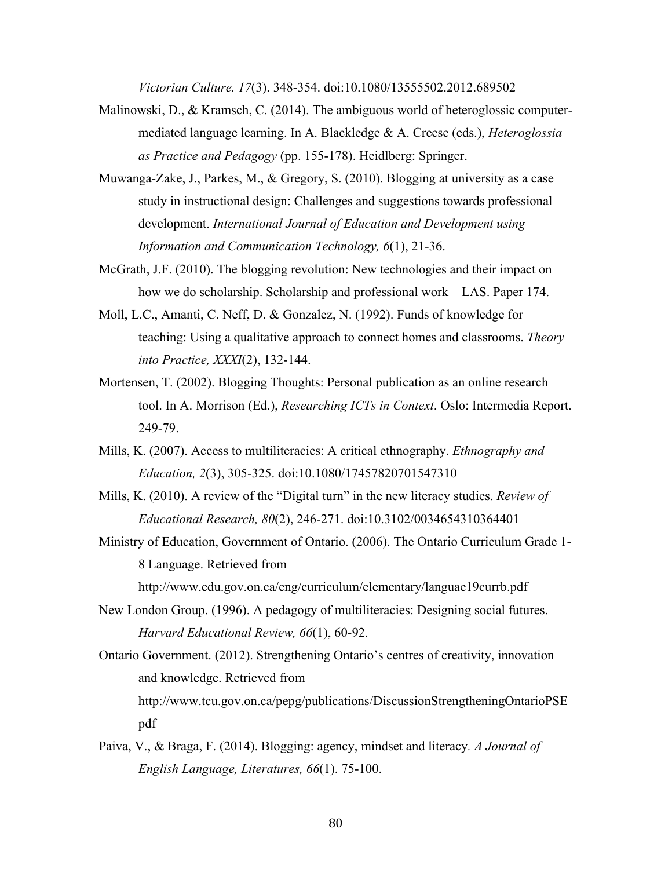*Victorian Culture. 17*(3). 348-354. doi:10.1080/13555502.2012.689502

- Malinowski, D., & Kramsch, C. (2014). The ambiguous world of heteroglossic computermediated language learning. In A. Blackledge & A. Creese (eds.), *Heteroglossia as Practice and Pedagogy* (pp. 155-178). Heidlberg: Springer.
- Muwanga-Zake, J., Parkes, M., & Gregory, S. (2010). Blogging at university as a case study in instructional design: Challenges and suggestions towards professional development. *International Journal of Education and Development using Information and Communication Technology, 6*(1), 21-36.
- McGrath, J.F. (2010). The blogging revolution: New technologies and their impact on how we do scholarship. Scholarship and professional work – LAS. Paper 174.
- Moll, L.C., Amanti, C. Neff, D. & Gonzalez, N. (1992). Funds of knowledge for teaching: Using a qualitative approach to connect homes and classrooms. *Theory into Practice, XXXI*(2), 132-144.
- Mortensen, T. (2002). Blogging Thoughts: Personal publication as an online research tool. In A. Morrison (Ed.), *Researching ICTs in Context*. Oslo: Intermedia Report. 249-79.
- Mills, K. (2007). Access to multiliteracies: A critical ethnography. *Ethnography and Education, 2*(3), 305-325. doi:10.1080/17457820701547310
- Mills, K. (2010). A review of the "Digital turn" in the new literacy studies. *Review of Educational Research, 80*(2), 246-271. doi:10.3102/0034654310364401
- Ministry of Education, Government of Ontario. (2006). The Ontario Curriculum Grade 1- 8 Language. Retrieved from

http://www.edu.gov.on.ca/eng/curriculum/elementary/languae19currb.pdf

- New London Group. (1996). A pedagogy of multiliteracies: Designing social futures. *Harvard Educational Review, 66*(1), 60-92.
- Ontario Government. (2012). Strengthening Ontario's centres of creativity, innovation and knowledge. Retrieved from http://www.tcu.gov.on.ca/pepg/publications/DiscussionStrengtheningOntarioPSE pdf
- Paiva, V., & Braga, F. (2014). Blogging: agency, mindset and literacy*. A Journal of English Language, Literatures, 66*(1). 75-100.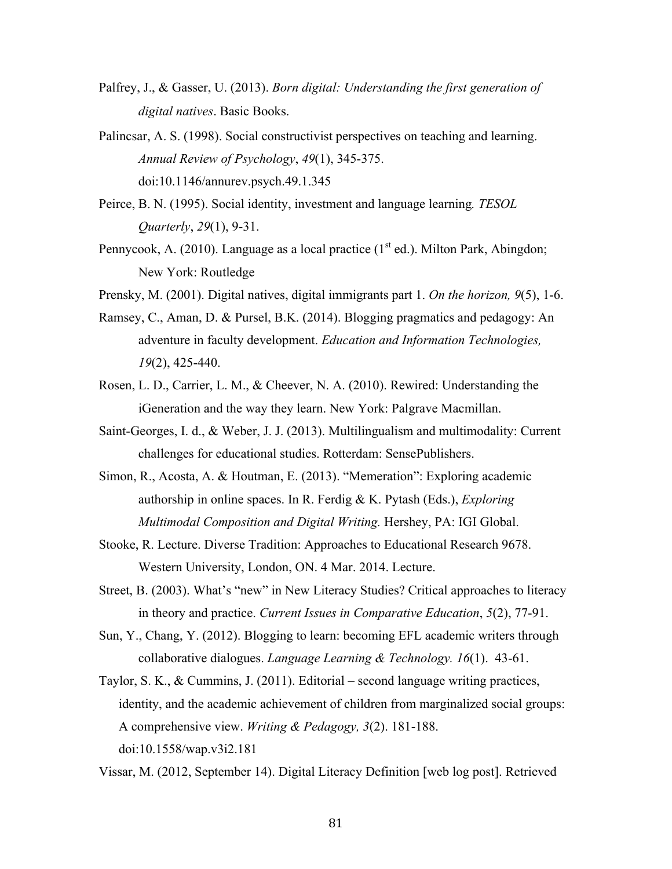- Palfrey, J., & Gasser, U. (2013). *Born digital: Understanding the first generation of digital natives*. Basic Books.
- Palincsar, A. S. (1998). Social constructivist perspectives on teaching and learning. *Annual Review of Psychology*, *49*(1), 345-375. doi:10.1146/annurev.psych.49.1.345
- Peirce, B. N. (1995). Social identity, investment and language learning*. TESOL Quarterly*, *29*(1), 9-31.
- Pennycook, A. (2010). Language as a local practice  $(1<sup>st</sup> ed.)$ . Milton Park, Abingdon; New York: Routledge
- Prensky, M. (2001). Digital natives, digital immigrants part 1. *On the horizon, 9*(5), 1-6.
- Ramsey, C., Aman, D. & Pursel, B.K. (2014). Blogging pragmatics and pedagogy: An adventure in faculty development. *Education and Information Technologies, 19*(2), 425-440.
- Rosen, L. D., Carrier, L. M., & Cheever, N. A. (2010). Rewired: Understanding the iGeneration and the way they learn. New York: Palgrave Macmillan.
- Saint-Georges, I. d., & Weber, J. J. (2013). Multilingualism and multimodality: Current challenges for educational studies. Rotterdam: SensePublishers.
- Simon, R., Acosta, A. & Houtman, E. (2013). "Memeration": Exploring academic authorship in online spaces. In R. Ferdig & K. Pytash (Eds.), *Exploring Multimodal Composition and Digital Writing.* Hershey, PA: IGI Global.
- Stooke, R. Lecture. Diverse Tradition: Approaches to Educational Research 9678. Western University, London, ON. 4 Mar. 2014. Lecture.
- Street, B. (2003). What's "new" in New Literacy Studies? Critical approaches to literacy in theory and practice. *Current Issues in Comparative Education*, *5*(2), 77-91.
- Sun, Y., Chang, Y. (2012). Blogging to learn: becoming EFL academic writers through collaborative dialogues. *Language Learning & Technology. 16*(1). 43-61.
- Taylor, S. K., & Cummins, J. (2011). Editorial second language writing practices, identity, and the academic achievement of children from marginalized social groups: A comprehensive view. *Writing & Pedagogy, 3*(2). 181-188. doi:10.1558/wap.v3i2.181
- Vissar, M. (2012, September 14). Digital Literacy Definition [web log post]. Retrieved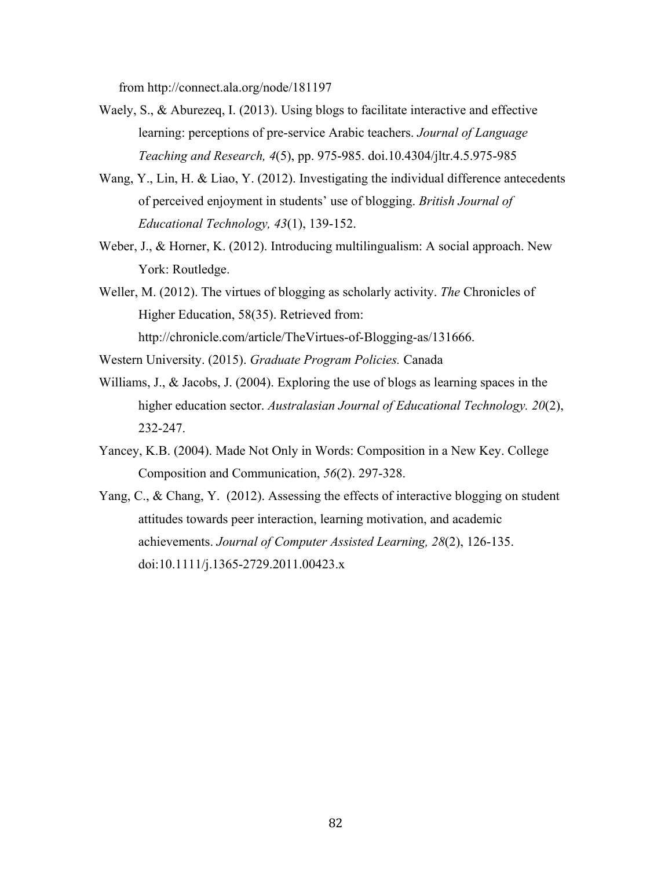from http://connect.ala.org/node/181197

- Waely, S., & Aburezeq, I. (2013). Using blogs to facilitate interactive and effective learning: perceptions of pre-service Arabic teachers. *Journal of Language Teaching and Research, 4*(5), pp. 975-985. doi.10.4304/jltr.4.5.975-985
- Wang, Y., Lin, H. & Liao, Y. (2012). Investigating the individual difference antecedents of perceived enjoyment in students' use of blogging. *British Journal of Educational Technology, 43*(1), 139-152.
- Weber, J., & Horner, K. (2012). Introducing multilingualism: A social approach. New York: Routledge.
- Weller, M. (2012). The virtues of blogging as scholarly activity. *The* Chronicles of Higher Education, 58(35). Retrieved from:

http://chronicle.com/article/TheVirtues-of-Blogging-as/131666.

- Western University. (2015). *Graduate Program Policies.* Canada
- Williams, J., & Jacobs, J. (2004). Exploring the use of blogs as learning spaces in the higher education sector. *Australasian Journal of Educational Technology. 20*(2), 232-247.
- Yancey, K.B. (2004). Made Not Only in Words: Composition in a New Key. College Composition and Communication, *56*(2). 297-328.
- Yang, C., & Chang, Y. (2012). Assessing the effects of interactive blogging on student attitudes towards peer interaction, learning motivation, and academic achievements. *Journal of Computer Assisted Learning, 28*(2), 126-135. doi:10.1111/j.1365-2729.2011.00423.x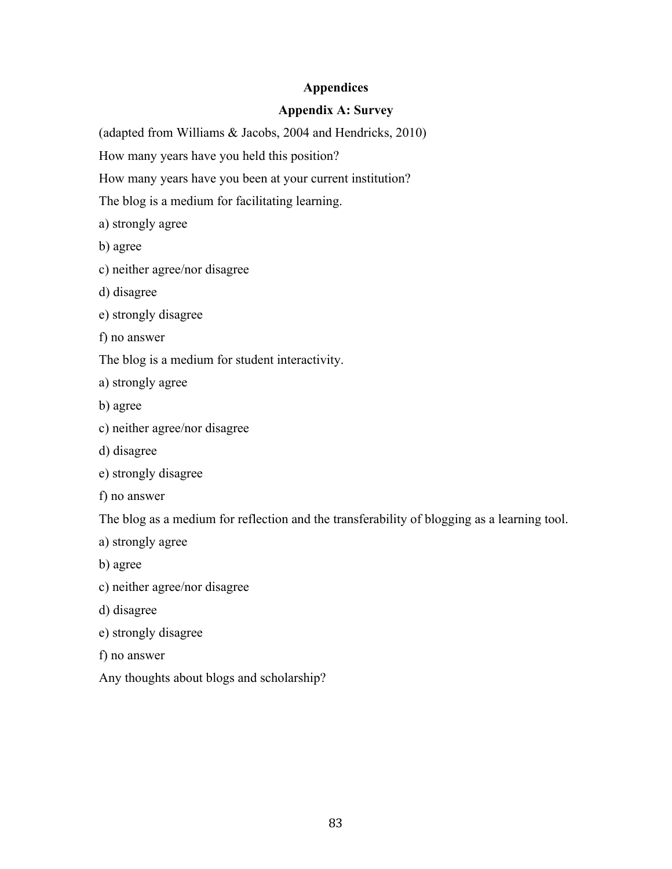### **Appendices**

### **Appendix A: Survey**

(adapted from Williams & Jacobs, 2004 and Hendricks, 2010)

How many years have you held this position?

How many years have you been at your current institution?

The blog is a medium for facilitating learning.

a) strongly agree

b) agree

- c) neither agree/nor disagree
- d) disagree
- e) strongly disagree
- f) no answer

The blog is a medium for student interactivity.

a) strongly agree

- b) agree
- c) neither agree/nor disagree
- d) disagree
- e) strongly disagree
- f) no answer

The blog as a medium for reflection and the transferability of blogging as a learning tool.

- a) strongly agree
- b) agree
- c) neither agree/nor disagree
- d) disagree
- e) strongly disagree
- f) no answer
- Any thoughts about blogs and scholarship?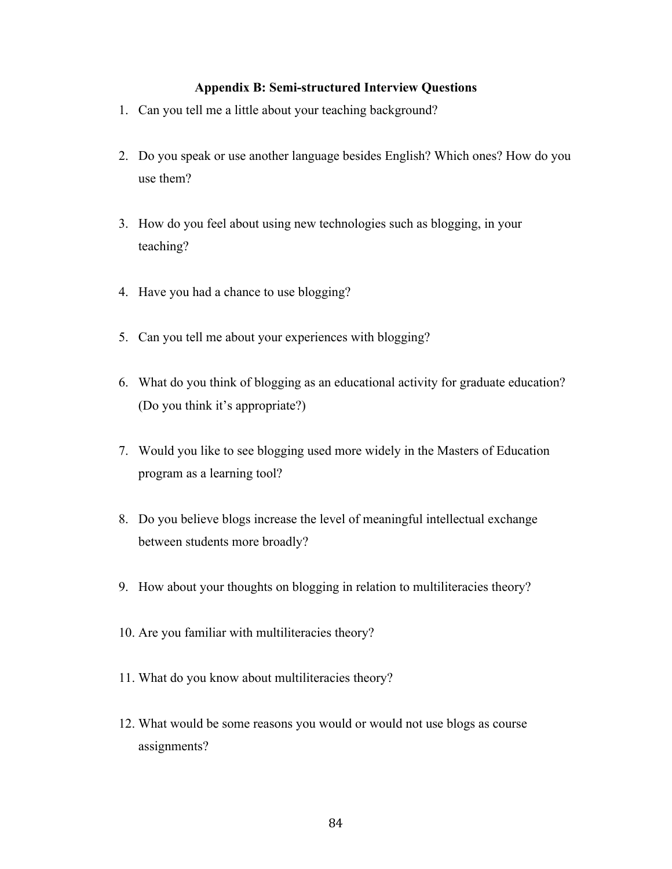#### **Appendix B: Semi-structured Interview Questions**

- 1. Can you tell me a little about your teaching background?
- 2. Do you speak or use another language besides English? Which ones? How do you use them?
- 3. How do you feel about using new technologies such as blogging, in your teaching?
- 4. Have you had a chance to use blogging?
- 5. Can you tell me about your experiences with blogging?
- 6. What do you think of blogging as an educational activity for graduate education? (Do you think it's appropriate?)
- 7. Would you like to see blogging used more widely in the Masters of Education program as a learning tool?
- 8. Do you believe blogs increase the level of meaningful intellectual exchange between students more broadly?
- 9. How about your thoughts on blogging in relation to multiliteracies theory?
- 10. Are you familiar with multiliteracies theory?
- 11. What do you know about multiliteracies theory?
- 12. What would be some reasons you would or would not use blogs as course assignments?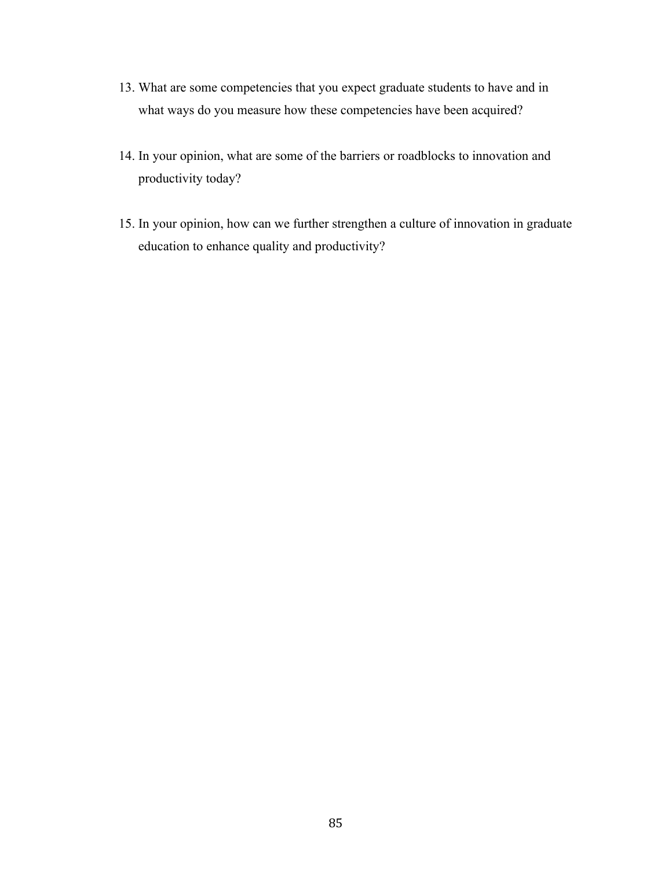- 13. What are some competencies that you expect graduate students to have and in what ways do you measure how these competencies have been acquired?
- 14. In your opinion, what are some of the barriers or roadblocks to innovation and productivity today?
- 15. In your opinion, how can we further strengthen a culture of innovation in graduate education to enhance quality and productivity?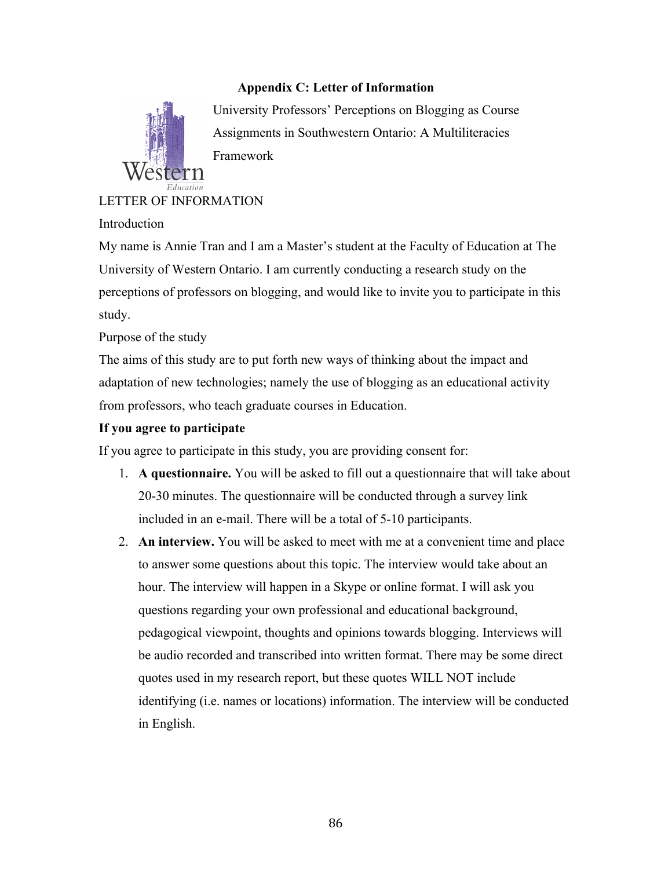### **Appendix C: Letter of Information**



University Professors' Perceptions on Blogging as Course Assignments in Southwestern Ontario: A Multiliteracies Framework

LETTER OF INFORMATION

Introduction

My name is Annie Tran and I am a Master's student at the Faculty of Education at The University of Western Ontario. I am currently conducting a research study on the perceptions of professors on blogging, and would like to invite you to participate in this study.

Purpose of the study

The aims of this study are to put forth new ways of thinking about the impact and adaptation of new technologies; namely the use of blogging as an educational activity from professors, who teach graduate courses in Education.

### **If you agree to participate**

If you agree to participate in this study, you are providing consent for:

- 1. **A questionnaire.** You will be asked to fill out a questionnaire that will take about 20-30 minutes. The questionnaire will be conducted through a survey link included in an e-mail. There will be a total of 5-10 participants.
- 2. **An interview.** You will be asked to meet with me at a convenient time and place to answer some questions about this topic. The interview would take about an hour. The interview will happen in a Skype or online format. I will ask you questions regarding your own professional and educational background, pedagogical viewpoint, thoughts and opinions towards blogging. Interviews will be audio recorded and transcribed into written format. There may be some direct quotes used in my research report, but these quotes WILL NOT include identifying (i.e. names or locations) information. The interview will be conducted in English.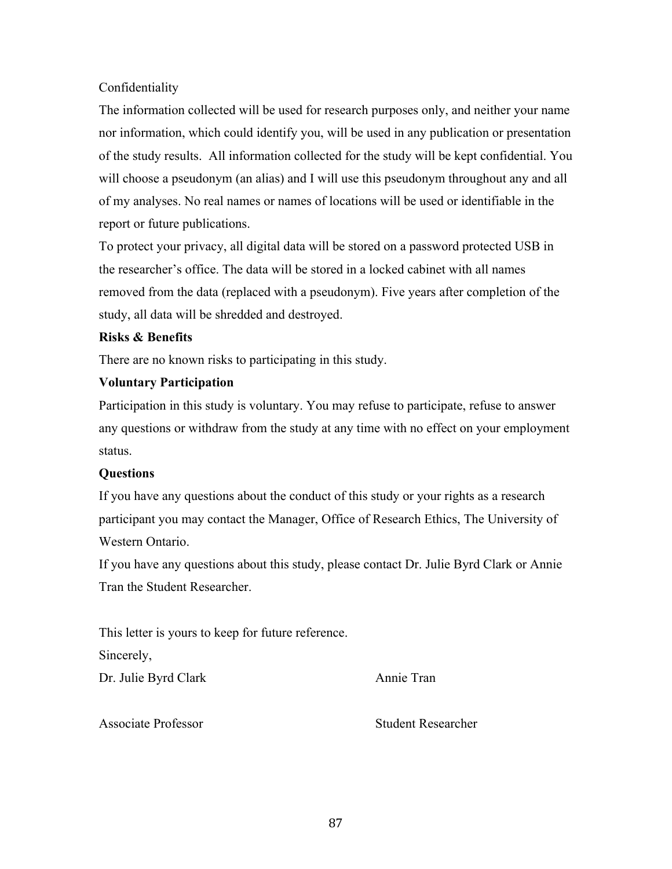### Confidentiality

The information collected will be used for research purposes only, and neither your name nor information, which could identify you, will be used in any publication or presentation of the study results. All information collected for the study will be kept confidential. You will choose a pseudonym (an alias) and I will use this pseudonym throughout any and all of my analyses. No real names or names of locations will be used or identifiable in the report or future publications.

To protect your privacy, all digital data will be stored on a password protected USB in the researcher's office. The data will be stored in a locked cabinet with all names removed from the data (replaced with a pseudonym). Five years after completion of the study, all data will be shredded and destroyed.

### **Risks & Benefits**

There are no known risks to participating in this study.

### **Voluntary Participation**

Participation in this study is voluntary. You may refuse to participate, refuse to answer any questions or withdraw from the study at any time with no effect on your employment status.

### **Questions**

If you have any questions about the conduct of this study or your rights as a research participant you may contact the Manager, Office of Research Ethics, The University of Western Ontario.

If you have any questions about this study, please contact Dr. Julie Byrd Clark or Annie Tran the Student Researcher.

This letter is yours to keep for future reference.

Sincerely,

Dr. Julie Byrd Clark Annie Tran

Associate Professor Student Researcher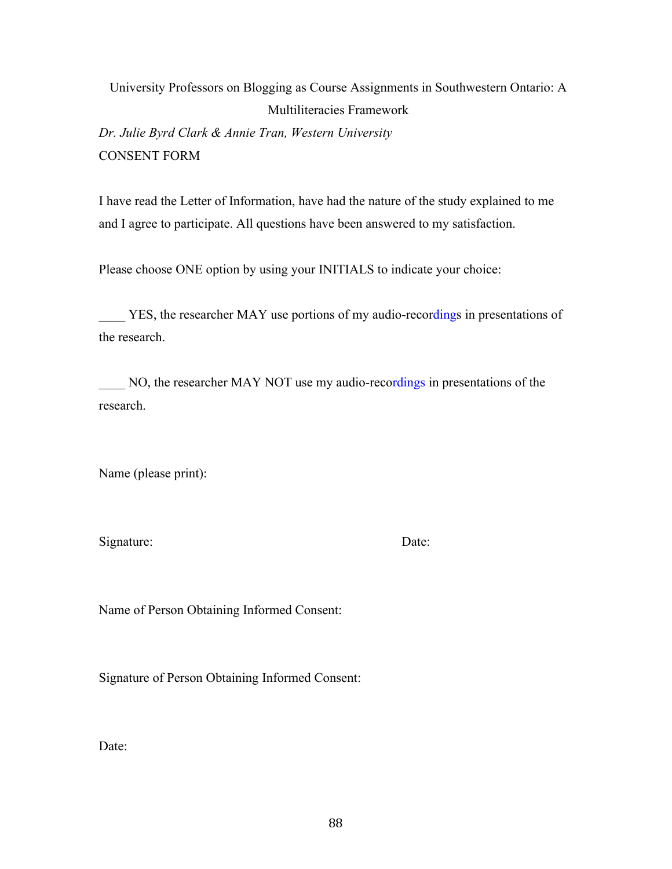University Professors on Blogging as Course Assignments in Southwestern Ontario: A Multiliteracies Framework *Dr. Julie Byrd Clark & Annie Tran, Western University*

CONSENT FORM

I have read the Letter of Information, have had the nature of the study explained to me and I agree to participate. All questions have been answered to my satisfaction.

Please choose ONE option by using your INITIALS to indicate your choice:

YES, the researcher MAY use portions of my audio-recordings in presentations of the research.

NO, the researcher MAY NOT use my audio-recordings in presentations of the research.

Name (please print):

Signature: Date:

Name of Person Obtaining Informed Consent:

Signature of Person Obtaining Informed Consent:

Date: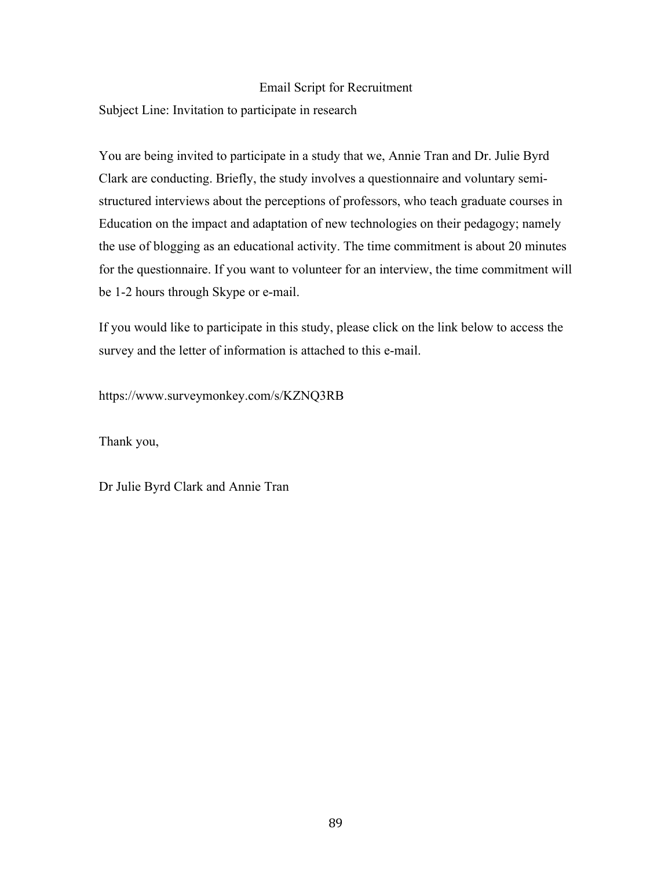#### Email Script for Recruitment

Subject Line: Invitation to participate in research

You are being invited to participate in a study that we, Annie Tran and Dr. Julie Byrd Clark are conducting. Briefly, the study involves a questionnaire and voluntary semistructured interviews about the perceptions of professors, who teach graduate courses in Education on the impact and adaptation of new technologies on their pedagogy; namely the use of blogging as an educational activity. The time commitment is about 20 minutes for the questionnaire. If you want to volunteer for an interview, the time commitment will be 1-2 hours through Skype or e-mail.

If you would like to participate in this study, please click on the link below to access the survey and the letter of information is attached to this e-mail.

https://www.surveymonkey.com/s/KZNQ3RB

Thank you,

Dr Julie Byrd Clark and Annie Tran